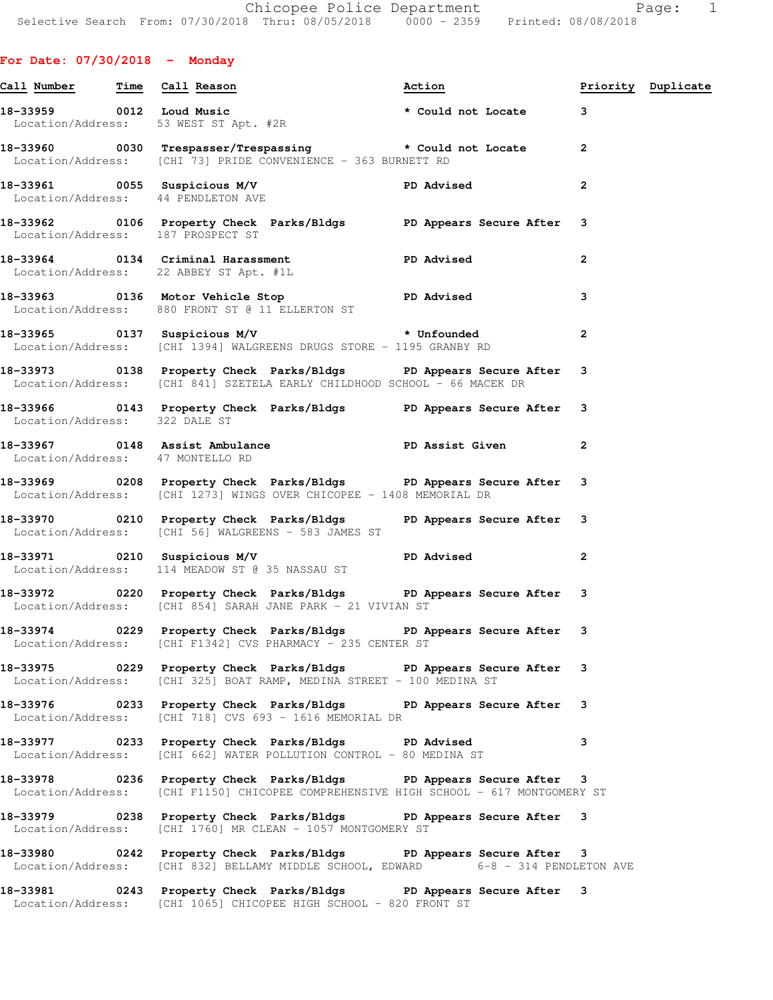## **For Date: 07/30/2018 - Monday**

|                                   | Call Number Time Call Reason                                                                                              | Action <b>Priority</b> Duplicate                                                                                                                           |                |  |
|-----------------------------------|---------------------------------------------------------------------------------------------------------------------------|------------------------------------------------------------------------------------------------------------------------------------------------------------|----------------|--|
|                                   |                                                                                                                           | 18-33959 0012 Loud Music<br>Location/Address: 53 WEST ST Apt. #2R<br>Location/Address: 53 WEST ST Apt. #2R                                                 |                |  |
|                                   | Location/Address: [CHI 73] PRIDE CONVENIENCE - 363 BURNETT RD                                                             | 18-33960 0030 Trespasser/Trespassing * Could not Locate 2                                                                                                  |                |  |
|                                   |                                                                                                                           | 18-33961 0055 Suspicious M/V PD Advised<br>Location/Address: 44 PENDLETON AVE                                                                              | $\mathbf{2}$   |  |
| Location/Address: 187 PROSPECT ST |                                                                                                                           | 18-33962 0106 Property Check Parks/Bldgs PD Appears Secure After                                                                                           | 3              |  |
|                                   | Location/Address: 22 ABBEY ST Apt. #1L                                                                                    | 18-33964 0134 Criminal Harassment TPD Advised                                                                                                              | $\overline{2}$ |  |
|                                   | Location/Address: 880 FRONT ST @ 11 ELLERTON ST                                                                           | 18-33963 0136 Motor Vehicle Stop North PD Advised                                                                                                          | 3              |  |
|                                   |                                                                                                                           | 18-33965      0137   Suspicious M/V            * Unfounded<br>Location/Address: [CHI 1394] WALGREENS DRUGS STORE - 1195 GRANBY RD                          | $\overline{2}$ |  |
|                                   |                                                                                                                           | 18-33973      0138 Property Check Parks/Bldgs      PD Appears Secure After<br>Location/Address: [CHI 841] SZETELA EARLY CHILDHOOD SCHOOL - 66 MACEK DR     | 3              |  |
| Location/Address: 322 DALE ST     |                                                                                                                           | 18-33966 143 Property Check Parks/Bldgs PD Appears Secure After 3                                                                                          |                |  |
| Location/Address: 47 MONTELLO RD  |                                                                                                                           | 18-33967 0148 Assist Ambulance New PD Assist Given                                                                                                         | $\mathbf{2}$   |  |
|                                   | Location/Address: [CHI 1273] WINGS OVER CHICOPEE - 1408 MEMORIAL DR                                                       | 18-33969 0208 Property Check Parks/Bldgs PD Appears Secure After                                                                                           | 3              |  |
|                                   | Location/Address: [CHI 56] WALGREENS - 583 JAMES ST                                                                       | 18-33970 0210 Property Check Parks/Bldgs PD Appears Secure After 3                                                                                         |                |  |
|                                   | Location/Address: 114 MEADOW ST @ 35 NASSAU ST                                                                            | 18-33971 0210 Suspicious M/V PD Advised                                                                                                                    | $\mathbf{2}$   |  |
|                                   | Location/Address: [CHI 854] SARAH JANE PARK - 21 VIVIAN ST                                                                | 18-33972 0220 Property Check Parks/Bldgs PD Appears Secure After 3                                                                                         |                |  |
|                                   | Location/Address: [CHI F1342] CVS PHARMACY - 235 CENTER ST                                                                | 18-33974 0229 Property Check Parks/Bldgs PD Appears Secure After 3                                                                                         |                |  |
|                                   | Location/Address: [CHI 325] BOAT RAMP, MEDINA STREET - 100 MEDINA ST                                                      | 18-33975 0229 Property Check Parks/Bldgs PD Appears Secure After                                                                                           | 3              |  |
|                                   | Location/Address: [CHI 718] CVS 693 - 1616 MEMORIAL DR                                                                    | 18-33976 0233 Property Check Parks/Bldgs PD Appears Secure After                                                                                           | 3              |  |
|                                   | 18-33977 0233 Property Check Parks/Bldgs PD Advised<br>Location/Address: [CHI 662] WATER POLLUTION CONTROL - 80 MEDINA ST |                                                                                                                                                            | 3              |  |
|                                   |                                                                                                                           | 18-33978 0236 Property Check Parks/Bldgs PD Appears Secure After 3<br>Location/Address: [CHI F1150] CHICOPEE COMPREHENSIVE HIGH SCHOOL - 617 MONTGOMERY ST |                |  |
|                                   | Location/Address: [CHI 1760] MR CLEAN - 1057 MONTGOMERY ST                                                                | 18-33979 		 0238 Property Check Parks/Bldgs 		 PD Appears Secure After 3                                                                                   |                |  |
|                                   |                                                                                                                           | 18-33980 0242 Property Check Parks/Bldgs DP Appears Secure After 3<br>Location/Address: [CHI 832] BELLAMY MIDDLE SCHOOL, EDWARD 6-8 - 314 PENDLETON AVE    |                |  |
| 18-33981                          |                                                                                                                           | 0243 Property Check Parks/Bldgs PD Appears Secure After 3                                                                                                  |                |  |

Location/Address: [CHI 1065] CHICOPEE HIGH SCHOOL - 820 FRONT ST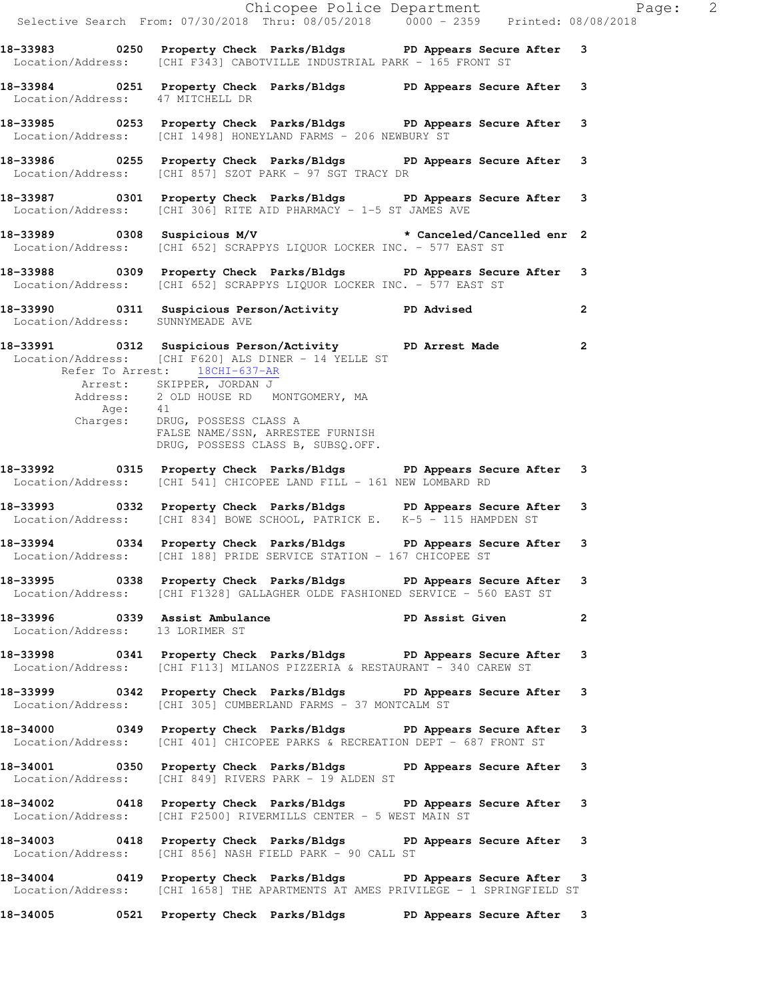|                                  | Chicopee Police Department<br>Selective Search From: 07/30/2018 Thru: 08/05/2018 0000 - 2359 Printed: 08/08/2018                                                                                                                                                                                                                                                                |              |
|----------------------------------|---------------------------------------------------------------------------------------------------------------------------------------------------------------------------------------------------------------------------------------------------------------------------------------------------------------------------------------------------------------------------------|--------------|
|                                  | 18-33983 0250 Property Check Parks/Bldgs PD Appears Secure After 3<br>Location/Address: [CHI F343] CABOTVILLE INDUSTRIAL PARK - 165 FRONT ST                                                                                                                                                                                                                                    |              |
| Location/Address: 47 MITCHELL DR | 18-33984 0251 Property Check Parks/Bldgs PD Appears Secure After 3                                                                                                                                                                                                                                                                                                              |              |
|                                  | 18-33985 0253 Property Check Parks/Bldgs PD Appears Secure After 3<br>Location/Address: [CHI 1498] HONEYLAND FARMS - 206 NEWBURY ST                                                                                                                                                                                                                                             |              |
|                                  | 18-33986 0255 Property Check Parks/Bldgs PD Appears Secure After 3<br>Location/Address: [CHI 857] SZOT PARK - 97 SGT TRACY DR                                                                                                                                                                                                                                                   |              |
|                                  | 18-33987 0301 Property Check Parks/Bldgs PD Appears Secure After 3<br>Location/Address: [CHI 306] RITE AID PHARMACY - 1-5 ST JAMES AVE                                                                                                                                                                                                                                          |              |
|                                  | 18-33989 0308 Suspicious M/V * Canceled/Cancelled enr 2<br>Location/Address: [CHI 652] SCRAPPYS LIQUOR LOCKER INC. - 577 EAST ST                                                                                                                                                                                                                                                |              |
|                                  | 18-33988 0309 Property Check Parks/Bldgs PD Appears Secure After 3<br>Location/Address: [CHI 652] SCRAPPYS LIQUOR LOCKER INC. - 577 EAST ST                                                                                                                                                                                                                                     |              |
| Location/Address: SUNNYMEADE AVE | 18-33990 0311 Suspicious Person/Activity PD Advised                                                                                                                                                                                                                                                                                                                             | $\mathbf{2}$ |
| Age:                             | 18-33991 0312 Suspicious Person/Activity PD Arrest Made 2<br>Location/Address: [CHI F620] ALS DINER - 14 YELLE ST<br>Refer To Arrest: 18CHI-637-AR<br>Arrest: SKIPPER, JORDAN J<br>Address: 2 OLD HOUSE RD MONTGOMERY, MA<br>41<br>Charges: DRUG, POSSESS CLASS A<br>FALSE NAME/SSN, ARRESTEE FURNISH<br>DRUG, POSSESS CLASS B, SUBSQ.OFF.<br>DRUG, POSSESS CLASS B, SUBSQ.OFF. |              |
|                                  | 18-33992 0315 Property Check Parks/Bldgs PD Appears Secure After 3<br>Location/Address: [CHI 541] CHICOPEE LAND FILL - 161 NEW LOMBARD RD                                                                                                                                                                                                                                       |              |
|                                  | 18-33993 0332 Property Check Parks/Bldgs PD Appears Secure After 3<br>Location/Address: [CHI 834] BOWE SCHOOL, PATRICK E. K-5 - 115 HAMPDEN ST                                                                                                                                                                                                                                  |              |
|                                  | 18-33994 0334 Property Check Parks/Bldgs PD Appears Secure After 3<br>Location/Address: [CHI 188] PRIDE SERVICE STATION - 167 CHICOPEE ST                                                                                                                                                                                                                                       |              |
|                                  | 18-33995 0338 Property Check Parks/Bldgs PD Appears Secure After 3<br>Location/Address: [CHI F1328] GALLAGHER OLDE FASHIONED SERVICE - 560 EAST ST                                                                                                                                                                                                                              |              |
| Location/Address: 13 LORIMER ST  | 18-33996 0339 Assist Ambulance New PD Assist Given 2                                                                                                                                                                                                                                                                                                                            |              |
|                                  | 18-33998 0341 Property Check Parks/Bldgs PD Appears Secure After 3<br>Location/Address: [CHI F113] MILANOS PIZZERIA & RESTAURANT - 340 CAREW ST                                                                                                                                                                                                                                 |              |
|                                  | 18-33999 0342 Property Check Parks/Bldgs PD Appears Secure After 3<br>Location/Address: [CHI 305] CUMBERLAND FARMS - 37 MONTCALM ST                                                                                                                                                                                                                                             |              |
|                                  | 18-34000 0349 Property Check Parks/Bldgs PD Appears Secure After 3<br>Location/Address: [CHI 401] CHICOPEE PARKS & RECREATION DEPT - 687 FRONT ST                                                                                                                                                                                                                               |              |
|                                  | 18-34001 0350 Property Check Parks/Bldgs PD Appears Secure After 3<br>Location/Address: [CHI 849] RIVERS PARK - 19 ALDEN ST                                                                                                                                                                                                                                                     |              |
|                                  | 18-34002 0418 Property Check Parks/Bldgs PD Appears Secure After 3<br>Location/Address: [CHI F2500] RIVERMILLS CENTER - 5 WEST MAIN ST                                                                                                                                                                                                                                          |              |
|                                  | 18-34003 0418 Property Check Parks/Bldgs PD Appears Secure After 3<br>Location/Address: [CHI 856] NASH FIELD PARK - 90 CALL ST                                                                                                                                                                                                                                                  |              |
|                                  | 18-34004 0419 Property Check Parks/Bldgs PD Appears Secure After 3<br>Location/Address: [CHI 1658] THE APARTMENTS AT AMES PRIVILEGE - 1 SPRINGFIELD ST                                                                                                                                                                                                                          |              |
|                                  | 18-34005 0521 Property Check Parks/Bldgs PD Appears Secure After 3                                                                                                                                                                                                                                                                                                              |              |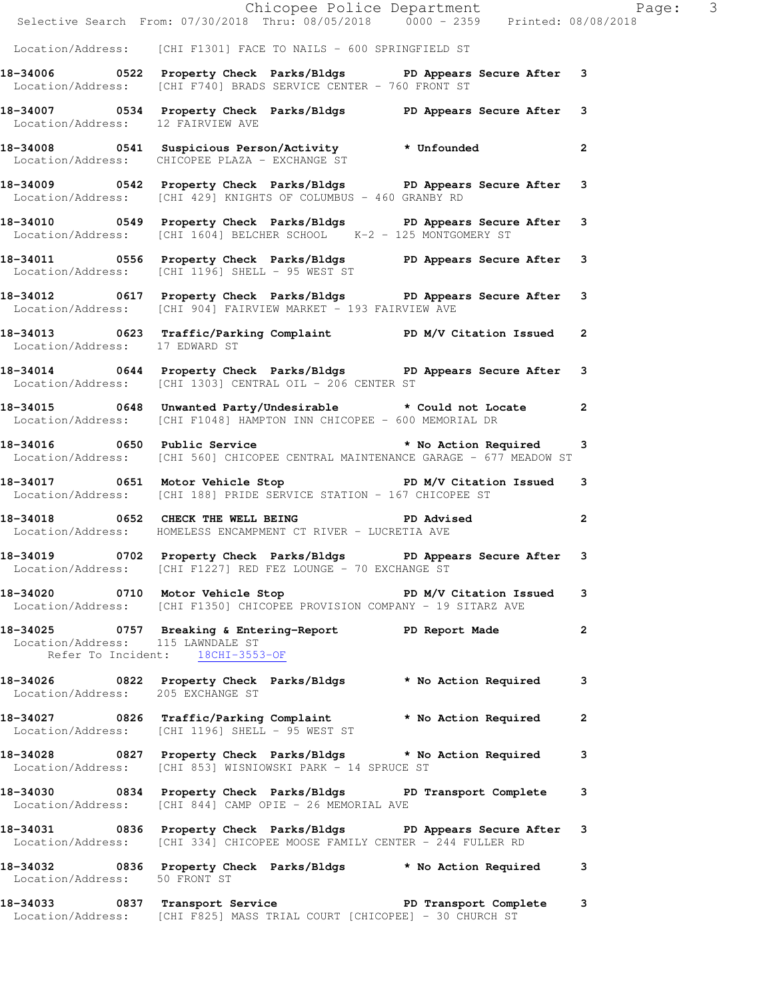|                                   | Chicopee Police Department<br>Selective Search From: 07/30/2018 Thru: 08/05/2018 0000 - 2359 Printed: 08/08/2018                                          |   |  |
|-----------------------------------|-----------------------------------------------------------------------------------------------------------------------------------------------------------|---|--|
|                                   | Location/Address: [CHI F1301] FACE TO NAILS - 600 SPRINGFIELD ST                                                                                          |   |  |
|                                   | 18-34006 0522 Property Check Parks/Bldgs PD Appears Secure After 3<br>Location/Address: [CHI F740] BRADS SERVICE CENTER - 760 FRONT ST                    |   |  |
| Location/Address: 12 FAIRVIEW AVE | 18-34007 0534 Property Check Parks/Bldgs PD Appears Secure After 3                                                                                        |   |  |
|                                   | 18-34008 0541 Suspicious Person/Activity * Unfounded 2<br>Location/Address: CHICOPEE PLAZA - EXCHANGE ST                                                  |   |  |
|                                   | 18-34009 0542 Property Check Parks/Bldgs PD Appears Secure After 3<br>Location/Address: [CHI 429] KNIGHTS OF COLUMBUS - 460 GRANBY RD                     |   |  |
|                                   | 18-34010 0549 Property Check Parks/Bldgs PD Appears Secure After 3<br>Location/Address: [CHI 1604] BELCHER SCHOOL K-2 - 125 MONTGOMERY ST                 |   |  |
|                                   | 18-34011 0556 Property Check Parks/Bldgs PD Appears Secure After 3<br>Location/Address: [CHI 1196] SHELL - 95 WEST ST                                     |   |  |
|                                   | 18-34012 0617 Property Check Parks/Bldgs PD Appears Secure After 3<br>Location/Address: [CHI 904] FAIRVIEW MARKET - 193 FAIRVIEW AVE                      |   |  |
| Location/Address: 17 EDWARD ST    | 18-34013 0623 Traffic/Parking Complaint PD M/V Citation Issued 2                                                                                          |   |  |
|                                   | 18-34014 0644 Property Check Parks/Bldgs PD Appears Secure After 3<br>Location/Address: [CHI 1303] CENTRAL OIL - 206 CENTER ST                            |   |  |
|                                   | 18-34015 0648 Unwanted Party/Undesirable $*$ Could not Locate 2<br>Location/Address: [CHI F1048] HAMPTON INN CHICOPEE - 600 MEMORIAL DR                   |   |  |
|                                   | 18-34016 0650 Public Service <b>18-34016</b> to No Action Required 3<br>  Location/Address: [CHI 560] CHICOPEE CENTRAL MAINTENANCE GARAGE - 677 MEADOW ST |   |  |
|                                   | 18-34017 0651 Motor Vehicle Stop N/V Citation Issued 3<br>Location/Address: [CHI 188] PRIDE SERVICE STATION - 167 CHICOPEE ST                             |   |  |
|                                   | 18-34018 0652 CHECK THE WELL BEING PD Advised 2<br>Location/Address: HOMELESS ENCAMPMENT CT RIVER - LUCRETIA AVE                                          |   |  |
|                                   | 18-34019 0702 Property Check Parks/Bldgs PD Appears Secure After 3<br>Location/Address: [CHI F1227] RED FEZ LOUNGE - 70 EXCHANGE ST                       |   |  |
|                                   | 18-34020 0710 Motor Vehicle Stop N/V Citation Issued<br>Location/Address: [CHI F1350] CHICOPEE PROVISION COMPANY - 19 SITARZ AVE                          | 3 |  |
|                                   | 18-34025 0757 Breaking & Entering-Report PD Report Made 2<br>Location/Address: 115 LAWNDALE ST<br>Refer To Incident: 18CHI-3553-OF                        |   |  |
| Location/Address: 205 EXCHANGE ST | 18-34026 0822 Property Check Parks/Bldgs * No Action Required 3                                                                                           |   |  |
|                                   | 18-34027 0826 Traffic/Parking Complaint * No Action Required 2<br>Location/Address: [CHI 1196] SHELL - 95 WEST ST                                         |   |  |
|                                   | 18-34028 0827 Property Check Parks/Bldgs * No Action Required 3<br>Location/Address: [CHI 853] WISNIOWSKI PARK - 14 SPRUCE ST                             |   |  |
|                                   | 18-34030 0834 Property Check Parks/Bldgs PD Transport Complete 3<br>Location/Address: [CHI 844] CAMP OPIE - 26 MEMORIAL AVE                               |   |  |
|                                   | 18-34031 0836 Property Check Parks/Bldgs PD Appears Secure After 3<br>Location/Address: [CHI 334] CHICOPEE MOOSE FAMILY CENTER - 244 FULLER RD            |   |  |
| Location/Address: 50 FRONT ST     | 18-34032 0836 Property Check Parks/Bldgs * No Action Required 3                                                                                           |   |  |
|                                   | 18-34033 0837 Transport Service New PD Transport Complete 3<br>Location/Address: [CHI F825] MASS TRIAL COURT [CHICOPEE] - 30 CHURCH ST                    |   |  |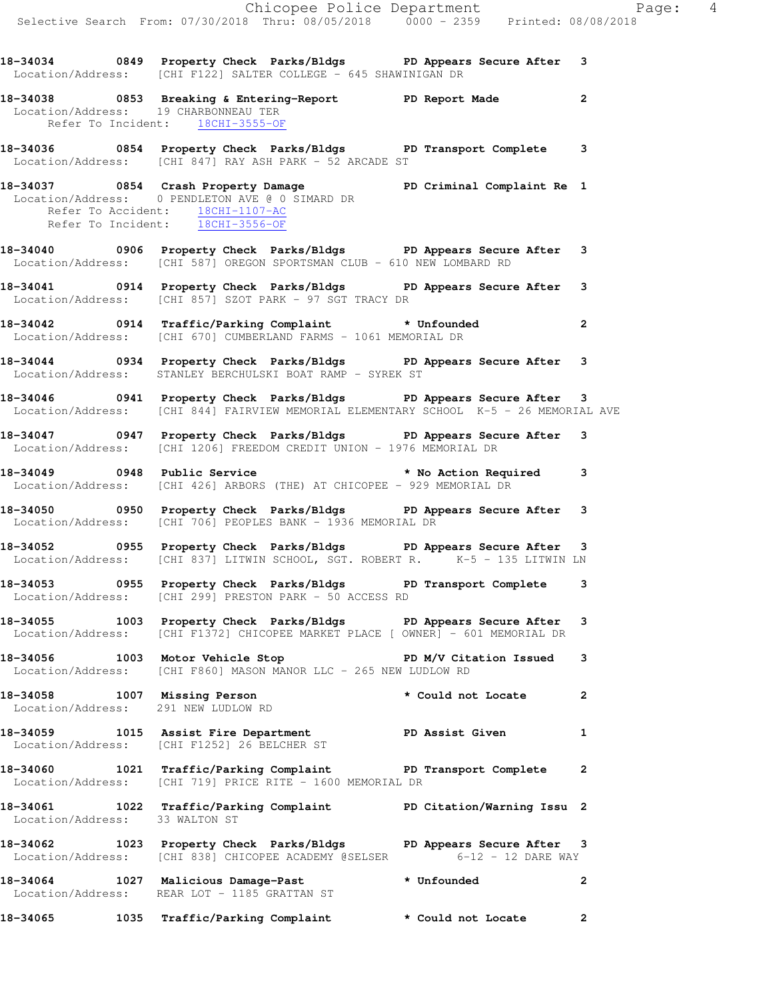|                                  | Chicopee Police Department<br>Selective Search From: 07/30/2018 Thru: 08/05/2018 0000 - 2359 Printed: 08/08/2018                                                 |                                                                                                                                                                                                                                |                |
|----------------------------------|------------------------------------------------------------------------------------------------------------------------------------------------------------------|--------------------------------------------------------------------------------------------------------------------------------------------------------------------------------------------------------------------------------|----------------|
|                                  | 18-34034 0849 Property Check Parks/Bldgs PD Appears Secure After 3<br>Location/Address: [CHI F122] SALTER COLLEGE - 645 SHAWINIGAN DR                            |                                                                                                                                                                                                                                |                |
| Refer To Incident: 18CHI-3555-OF | 18-34038 18-34038 Dreaking & Entering-Report 1990 PD Report Made<br>Location/Address: 19 CHARBONNEAU TER                                                         |                                                                                                                                                                                                                                | $\overline{2}$ |
|                                  | 18-34036 0854 Property Check Parks/Bldgs PD Transport Complete 3<br>Location/Address: [CHI 847] RAY ASH PARK - 52 ARCADE ST                                      |                                                                                                                                                                                                                                |                |
| Refer To Incident: 18CHI-3556-OF | 18-34037 0854 Crash Property Damage New PD Criminal Complaint Re 1<br>Location/Address: 0 PENDLETON AVE @ 0 SIMARD DR<br>Refer To Accident: 18CHI-1107-AC        |                                                                                                                                                                                                                                |                |
|                                  | 18-34040 0906 Property Check Parks/Bldgs PD Appears Secure After 3<br>Location/Address: [CHI 587] OREGON SPORTSMAN CLUB - 610 NEW LOMBARD RD                     |                                                                                                                                                                                                                                |                |
|                                  | 18-34041 18-34041 0914 Property Check Parks/Bldgs 19 PD Appears Secure After 3<br>Location/Address: [CHI 857] SZOT PARK - 97 SGT TRACY DR                        |                                                                                                                                                                                                                                |                |
|                                  | 18-34042 0914 Traffic/Parking Complaint * Unfounded<br>Location/Address: [CHI 670] CUMBERLAND FARMS - 1061 MEMORIAL DR                                           |                                                                                                                                                                                                                                | $\overline{2}$ |
|                                  | 18-34044 0934 Property Check Parks/Bldgs PD Appears Secure After 3<br>Location/Address: STANLEY BERCHULSKI BOAT RAMP - SYREK ST                                  |                                                                                                                                                                                                                                |                |
|                                  | 18-34046 0941 Property Check Parks/Bldgs PD Appears Secure After 3<br>Location/Address: [CHI 844] FAIRVIEW MEMORIAL ELEMENTARY SCHOOL K-5 - 26 MEMORIAL AVE      |                                                                                                                                                                                                                                |                |
|                                  | 18-34047 0947 Property Check Parks/Bldgs PD Appears Secure After 3<br>Location/Address: [CHI 1206] FREEDOM CREDIT UNION - 1976 MEMORIAL DR                       |                                                                                                                                                                                                                                |                |
|                                  | 18-34049 0948 Public Service <b>18-3404</b> Mo Action Required 3<br>Location/Address: [CHI 426] ARBORS (THE) AT CHICOPEE - 929 MEMORIAL DR                       |                                                                                                                                                                                                                                |                |
|                                  | 18-34050 0950 Property Check Parks/Bldgs PD Appears Secure After 3<br>Location/Address: [CHI 706] PEOPLES BANK - 1936 MEMORIAL DR                                |                                                                                                                                                                                                                                |                |
|                                  | 18-34052 0955 Property Check Parks/Bldgs PD Appears Secure After 3<br>Location/Address: [CHI 837] LITWIN SCHOOL, SGT. ROBERT R. <sup>1</sup> K-5 - 135 LITWIN LN |                                                                                                                                                                                                                                |                |
|                                  | 18-34053 0955 Property Check Parks/Bldgs PD Transport Complete 3<br>Location/Address: [CHI 299] PRESTON PARK - 50 ACCESS RD                                      |                                                                                                                                                                                                                                |                |
|                                  | 18-34055 1003 Property Check Parks/Bldgs PD Appears Secure After 3<br>Location/Address: [CHI F1372] CHICOPEE MARKET PLACE [ OWNER] - 601 MEMORIAL DR             |                                                                                                                                                                                                                                |                |
|                                  | 18-34056 1003 Motor Vehicle Stop N/V Citation Issued 3<br>Location/Address: [CHI F860] MASON MANOR LLC - 265 NEW LUDLOW RD                                       |                                                                                                                                                                                                                                |                |
|                                  | 18-34058 1007 Missing Person <b>that is a state</b> to the set of the set of the set of the set of the set of the set o<br>Location/Address: 291 NEW LUDLOW RD   |                                                                                                                                                                                                                                | $\mathbf{2}$   |
|                                  | 18-34059 1015 Assist Fire Department PD Assist Given 1<br>Location/Address: [CHI F1252] 26 BELCHER ST                                                            |                                                                                                                                                                                                                                |                |
|                                  | 18-34060 1021 Traffic/Parking Complaint PD Transport Complete 2<br>Location/Address: [CHI 719] PRICE RITE - 1600 MEMORIAL DR                                     |                                                                                                                                                                                                                                |                |
| Location/Address: 33 WALTON ST   | 18-34061 1022 Traffic/Parking Complaint PD Citation/Warning Issu 2                                                                                               |                                                                                                                                                                                                                                |                |
|                                  | 18-34062 1023 Property Check Parks/Bldgs PD Appears Secure After 3<br>Location/Address: [CHI 838] CHICOPEE ACADEMY @SELSER 6-12 - 12 DARE WAY                    |                                                                                                                                                                                                                                |                |
|                                  | 18-34064 1027 Malicious Damage-Past<br>Location/Address: REAR LOT - 1185 GRATTAN ST                                                                              | * Unfounded the state of the state of the state of the state of the state of the state of the state of the state of the state of the state of the state of the state of the state of the state of the state of the state of th | $\mathbf{2}$   |
| 18-34065                         | 1035 Traffic/Parking Complaint                                                                                                                                   | * Could not Locate                                                                                                                                                                                                             | $\mathbf{2}$   |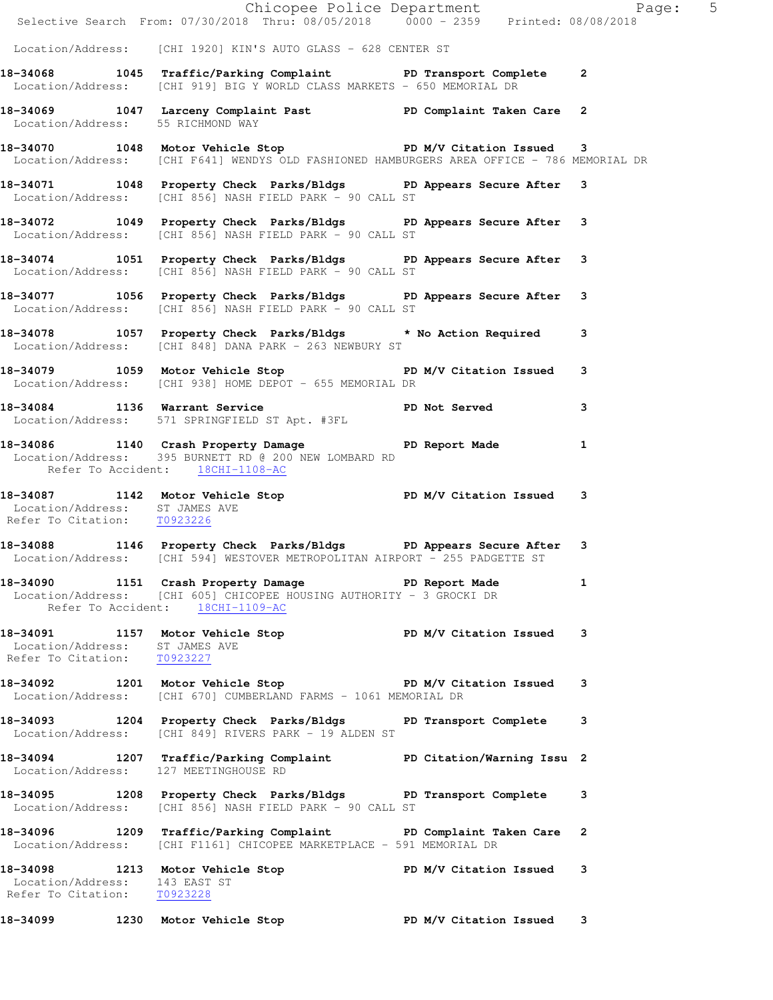|                                                               | Chicopee Police Department<br>Selective Search From: 07/30/2018 Thru: 08/05/2018 0000 - 2359 Printed: 08/08/2018                                                      |  |  |
|---------------------------------------------------------------|-----------------------------------------------------------------------------------------------------------------------------------------------------------------------|--|--|
|                                                               | Location/Address: [CHI 1920] KIN'S AUTO GLASS - 628 CENTER ST                                                                                                         |  |  |
|                                                               | 18-34068 1045 Traffic/Parking Complaint PD Transport Complete 2<br>Location/Address: [CHI 919] BIG Y WORLD CLASS MARKETS - 650 MEMORIAL DR                            |  |  |
| Location/Address: 55 RICHMOND WAY                             | 18-34069 1047 Larceny Complaint Past PD Complaint Taken Care 2                                                                                                        |  |  |
|                                                               | 18-34070 1048 Motor Vehicle Stop N/V Citation Issued 3<br>Location/Address: [CHI F641] WENDYS OLD FASHIONED HAMBURGERS AREA OFFICE - 786 MEMORIAL DR                  |  |  |
|                                                               | 18-34071 1048 Property Check Parks/Bldgs PD Appears Secure After 3<br>Location/Address: [CHI 856] NASH FIELD PARK - 90 CALL ST                                        |  |  |
|                                                               | 18-34072 1049 Property Check Parks/Bldgs PD Appears Secure After 3<br>Location/Address: [CHI 856] NASH FIELD PARK - 90 CALL ST                                        |  |  |
|                                                               | 18-34074 1051 Property Check Parks/Bldgs PD Appears Secure After 3<br>Location/Address: [CHI 856] NASH FIELD PARK - 90 CALL ST                                        |  |  |
|                                                               | 18-34077 1056 Property Check Parks/Bldgs PD Appears Secure After 3<br>Location/Address: [CHI 856] NASH FIELD PARK - 90 CALL ST                                        |  |  |
|                                                               | 18-34078 1057 Property Check Parks/Bldgs * No Action Required 3<br>Location/Address: [CHI 848] DANA PARK - 263 NEWBURY ST                                             |  |  |
|                                                               | 18-34079 1059 Motor Vehicle Stop Noter 18 PD M/V Citation Issued 3<br>Location/Address: [CHI 938] HOME DEPOT - 655 MEMORIAL DR                                        |  |  |
|                                                               | 18-34084 1136 Warrant Service PD Not Served 3<br>Location/Address: 571 SPRINGFIELD ST Apt. #3FL                                                                       |  |  |
|                                                               | 18-34086 1140 Crash Property Damage PD Report Made 1<br>Location/Address: 395 BURNETT RD @ 200 NEW LOMBARD RD<br>Refer To Accident: 18CHI-1108-AC                     |  |  |
| Location/Address: ST JAMES AVE<br>Refer To Citation: T0923226 | 18-34087 1142 Motor Vehicle Stop N/V Citation Issued 3                                                                                                                |  |  |
|                                                               | 18-34088 1146 Property Check Parks/Bldgs PD Appears Secure After 3<br>Location/Address: [CHI 594] WESTOVER METROPOLITAN AIRPORT - 255 PADGETTE ST                     |  |  |
|                                                               | 18-34090 1151 Crash Property Damage Name PD Report Made 1<br>Location/Address: [CHI 605] CHICOPEE HOUSING AUTHORITY - 3 GROCKI DR<br>Refer To Accident: 18CHI-1109-AC |  |  |
| Location/Address: ST JAMES AVE<br>Refer To Citation: T0923227 | 18-34091 1157 Motor Vehicle Stop N/V Citation Issued 3                                                                                                                |  |  |
|                                                               | 18-34092 1201 Motor Vehicle Stop N/V Citation Issued 3<br>Location/Address: [CHI 670] CUMBERLAND FARMS - 1061 MEMORIAL DR                                             |  |  |
|                                                               | 18-34093 1204 Property Check Parks/Bldgs PD Transport Complete 3<br>Location/Address: [CHI 849] RIVERS PARK - 19 ALDEN ST                                             |  |  |
| Location/Address: 127 MEETINGHOUSE RD                         | 18-34094 1207 Traffic/Parking Complaint PD Citation/Warning Issu 2                                                                                                    |  |  |
|                                                               | 18-34095 1208 Property Check Parks/Bldgs PD Transport Complete 3<br>Location/Address: [CHI 856] NASH FIELD PARK - 90 CALL ST                                          |  |  |
|                                                               | 18-34096 1209 Traffic/Parking Complaint PD Complaint Taken Care 2<br>Location/Address: [CHI F1161] CHICOPEE MARKETPLACE - 591 MEMORIAL DR                             |  |  |
| Location/Address: 143 EAST ST<br>Refer To Citation: T0923228  | 18-34098 1213 Motor Vehicle Stop PD M/V Citation Issued 3                                                                                                             |  |  |
|                                                               | 18-34099 1230 Motor Vehicle Stop N/V Citation Issued 3                                                                                                                |  |  |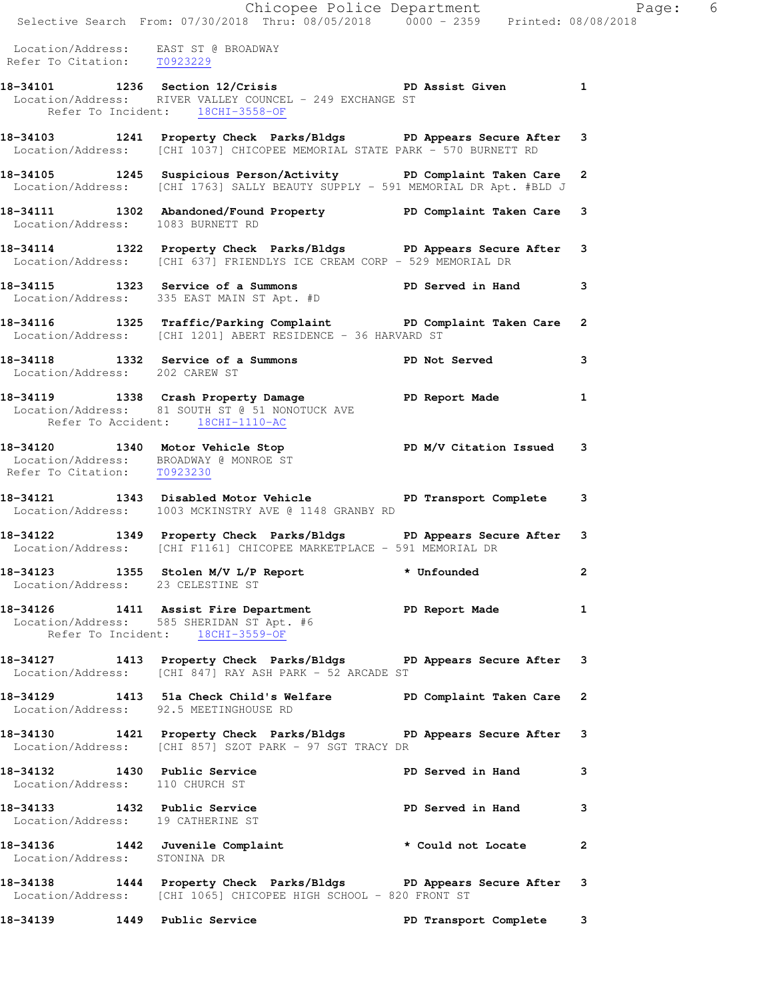|                                                                     | Chicopee Police Department<br>Selective Search From: 07/30/2018 Thru: 08/05/2018    0000 - 2359    Printed: 08/08/2018                                   |                   |              |
|---------------------------------------------------------------------|----------------------------------------------------------------------------------------------------------------------------------------------------------|-------------------|--------------|
| Location/Address: EAST ST @ BROADWAY<br>Refer To Citation: T0923229 |                                                                                                                                                          |                   |              |
|                                                                     | 18-34101 1236 Section 12/Crisis <b>PD</b> Assist Given 1<br>Location/Address: RIVER VALLEY COUNCEL - 249 EXCHANGE ST<br>Refer To Incident: 18CHI-3558-OF |                   |              |
|                                                                     | 18-34103 1241 Property Check Parks/Bldgs PD Appears Secure After<br>Location/Address: [CHI 1037] CHICOPEE MEMORIAL STATE PARK - 570 BURNETT RD           |                   | 3            |
|                                                                     | 18-34105 1245 Suspicious Person/Activity PD Complaint Taken Care<br>Location/Address: [CHI 1763] SALLY BEAUTY SUPPLY - 591 MEMORIAL DR Apt. #BLD J       |                   | $\mathbf{2}$ |
| Location/Address: 1083 BURNETT RD                                   | 18-34111 1302 Abandoned/Found Property 19D Complaint Taken Care 3                                                                                        |                   |              |
|                                                                     | 18-34114 1322 Property Check Parks/Bldgs PD Appears Secure After<br>Location/Address: [CHI 637] FRIENDLYS ICE CREAM CORP - 529 MEMORIAL DR               |                   | 3            |
|                                                                     | 18-34115 1323 Service of a Summons PD Served in Hand<br>Location/Address: 335 EAST MAIN ST Apt. #D                                                       |                   | 3            |
|                                                                     | 18-34116 1325 Traffic/Parking Complaint PD Complaint Taken Care<br>Location/Address: [CHI 1201] ABERT RESIDENCE - 36 HARVARD ST                          |                   | $\mathbf{2}$ |
| Location/Address: 202 CAREW ST                                      | 18-34118 1332 Service of a Summons TPD Not Served                                                                                                        |                   | 3            |
|                                                                     | 18-34119 1338 Crash Property Damage Name PD Report Made<br>Location/Address: 81 SOUTH ST @ 51 NONOTUCK AVE<br>Refer To Accident: 18CHI-1110-AC           |                   | 1            |
| Refer To Citation: T0923230                                         | 18-34120 1340 Motor Vehicle Stop N/V Citation Issued<br>Location/Address: BROADWAY @ MONROE ST                                                           |                   | 3            |
|                                                                     | 18-34121 1343 Disabled Motor Vehicle PD Transport Complete<br>Location/Address: 1003 MCKINSTRY AVE @ 1148 GRANBY RD                                      |                   | 3            |
|                                                                     | 18-34122 1349 Property Check Parks/Bldgs PD Appears Secure After<br>Location/Address: [CHI F1161] CHICOPEE MARKETPLACE - 591 MEMORIAL DR                 |                   | 3            |
| Location/Address: 23 CELESTINE ST                                   | 18-34123 1355 Stolen M/V L/P Report * Unfounded                                                                                                          |                   | 2            |
|                                                                     | 18-34126 1411 Assist Fire Department PD Report Made<br>Location/Address: 585 SHERIDAN ST Apt. #6<br>Refer To Incident: 18CHI-3559-OF                     |                   | $\mathbf{1}$ |
|                                                                     | 18-34127 1413 Property Check Parks/Bldgs PD Appears Secure After 3<br>Location/Address: [CHI 847] RAY ASH PARK - 52 ARCADE ST                            |                   |              |
| Location/Address: 92.5 MEETINGHOUSE RD                              | 18-34129 1413 51a Check Child's Welfare PD Complaint Taken Care                                                                                          |                   | 2            |
|                                                                     | 18-34130 1421 Property Check Parks/Bldgs PD Appears Secure After 3<br>Location/Address: [CHI 857] SZOT PARK - 97 SGT TRACY DR                            |                   |              |
| 18-34132 1430 Public Service<br>Location/Address: 110 CHURCH ST     |                                                                                                                                                          | PD Served in Hand | 3            |
| Location/Address: 19 CATHERINE ST                                   | 18-34133 1432 Public Service PD Served in Hand                                                                                                           |                   | 3            |
| Location/Address: STONINA DR                                        | 18-34136 1442 Juvenile Complaint the second not Locate                                                                                                   |                   | 2            |
|                                                                     | 18-34138 1444 Property Check Parks/Bldgs PD Appears Secure After 3<br>Location/Address: [CHI 1065] CHICOPEE HIGH SCHOOL - 820 FRONT ST                   |                   |              |
|                                                                     |                                                                                                                                                          |                   |              |

**18-34139 1449 Public Service PD Transport Complete 3**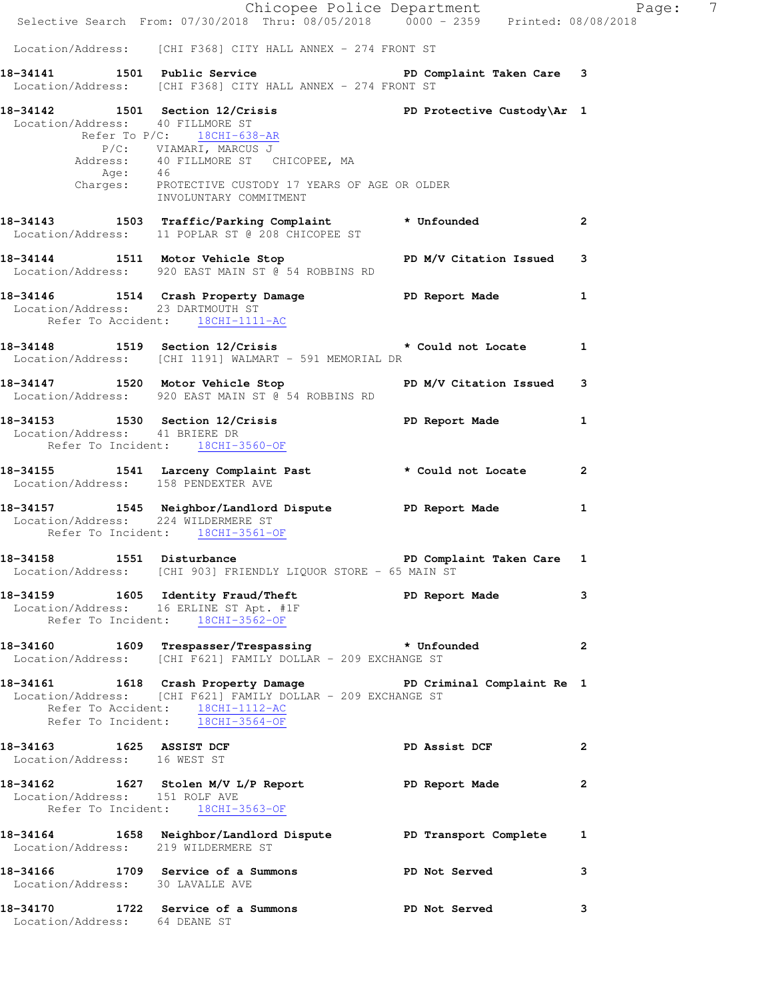|                                                                         | E Chicopee Police Department<br>Selective Search From: 07/30/2018 Thru: 08/05/2018 0000 - 2359 Printed: 08/08/2018                                                                                                                                         |                           | Page: 7        |
|-------------------------------------------------------------------------|------------------------------------------------------------------------------------------------------------------------------------------------------------------------------------------------------------------------------------------------------------|---------------------------|----------------|
|                                                                         |                                                                                                                                                                                                                                                            |                           |                |
|                                                                         | Location/Address: [CHI F368] CITY HALL ANNEX - 274 FRONT ST                                                                                                                                                                                                |                           |                |
|                                                                         | 18-34141 1501 Public Service 20 PD Complaint Taken Care 3<br>Location/Address: [CHI F368] CITY HALL ANNEX - 274 FRONT ST                                                                                                                                   |                           |                |
| Location/Address: 40 FILLMORE ST                                        | 18-34142 1501 Section 12/Crisis 20 PD Protective Custody\Ar 1<br>Refer To P/C: 18CHI-638-AR<br>P/C: VIAMARI, MARCUS J<br>Address: 40 FILLMORE ST CHICOPEE, MA<br>Age: 46<br>Charges: PROTECTIVE CUSTODY 17 YEARS OF AGE OR OLDER<br>INVOLUNTARY COMMITMENT |                           |                |
|                                                                         | 18-34143 1503 Traffic/Parking Complaint * Unfounded<br>Location/Address: 11 POPLAR ST @ 208 CHICOPEE ST                                                                                                                                                    |                           | $\overline{2}$ |
|                                                                         | 18-34144   1511   Motor Vehicle Stop   PD M/V Citation Issued   3<br>Location/Address: 920 EAST MAIN ST @ 54 ROBBINS RD                                                                                                                                    |                           |                |
| Location/Address: 23 DARTMOUTH ST<br>Refer To Accident: 18CHI-1111-AC   | 18-34146 1514 Crash Property Damage PD Report Made                                                                                                                                                                                                         |                           | $\mathbf{1}$   |
|                                                                         | 18-34148 1519 Section 12/Crisis the section of Locate 1<br>Location/Address: [CHI 1191] WALMART - 591 MEMORIAL DR                                                                                                                                          |                           |                |
|                                                                         | 18-34147 1520 Motor Vehicle Stop N/V Citation Issued<br>Location/Address: 920 EAST MAIN ST @ 54 ROBBINS RD                                                                                                                                                 |                           | 3              |
| Location/Address: 41 BRIERE DR                                          | 18-34153 1530 Section 12/Crisis 1 PD Report Made 1<br>Refer To Incident: 18CHI-3560-OF                                                                                                                                                                     |                           |                |
|                                                                         | 18-34155 1541 Larceny Complaint Past * Could not Locate 2<br>Location/Address: 158 PENDEXTER AVE                                                                                                                                                           |                           |                |
| Location/Address: 224 WILDERMERE ST<br>Refer To Incident: 18CHI-3561-OF | 18-34157 1545 Neighbor/Landlord Dispute PD Report Made                                                                                                                                                                                                     |                           | $\mathbf{1}$   |
| 18-34158 1551 Disturbance                                               | Location/Address: [CHI 903] FRIENDLY LIQUOR STORE - 65 MAIN ST                                                                                                                                                                                             | PD Complaint Taken Care 1 |                |
|                                                                         | 18-34159 1605 Identity Fraud/Theft PD Report Made 3<br>Location/Address: 16 ERLINE ST Apt. #1F<br>Refer To Incident: 18CHI-3562-OF                                                                                                                         |                           |                |
|                                                                         | 18-34160 1609 Trespasser/Trespassing * Unfounded 2<br>Location/Address: [CHI F621] FAMILY DOLLAR - 209 EXCHANGE ST                                                                                                                                         |                           |                |
| Refer To Accident: 18CHI-1112-AC<br>Refer To Incident: 18CHI-3564-OF    | 18-34161 1618 Crash Property Damage PD Criminal Complaint Re 1<br>Location/Address: [CHI F621] FAMILY DOLLAR - 209 EXCHANGE ST                                                                                                                             |                           |                |
| Location/Address: 16 WEST ST                                            | 18-34163 1625 ASSIST DCF                                                                                                                                                                                                                                   | PD Assist DCF             | $\overline{2}$ |
| Location/Address: 151 ROLF AVE                                          | 18-34162 1627 Stolen M/V L/P Report PD Report Made<br>Refer To Incident: 18CHI-3563-OF                                                                                                                                                                     |                           | $\mathbf{2}$   |
|                                                                         | 18-34164   1658   Neighbor/Landlord Dispute   PD Transport Complete   1<br>Location/Address: 219 WILDERMERE ST                                                                                                                                             |                           |                |
|                                                                         | 18-34166 1709 Service of a Summons PD Not Served<br>Location/Address: 30 LAVALLE AVE                                                                                                                                                                       |                           | 3              |
| Location/Address: 64 DEANE ST                                           | 18-34170 1722 Service of a Summons PD Not Served                                                                                                                                                                                                           |                           | 3              |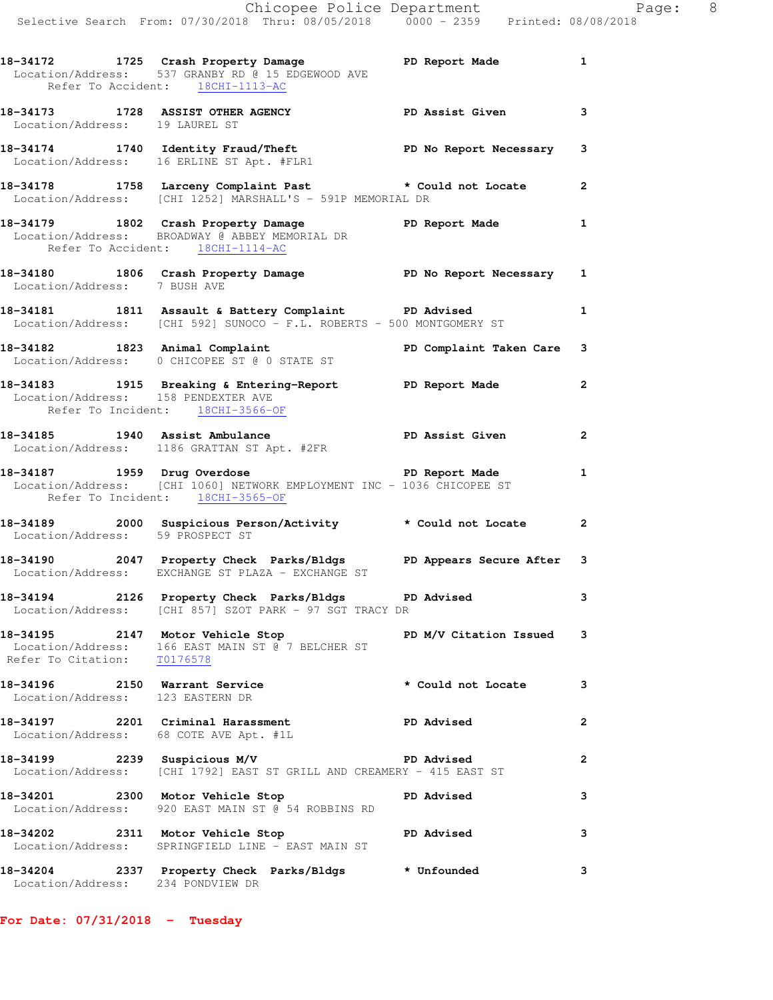|                                                                         | Chicopee Police Department<br>Selective Search From: 07/30/2018 Thru: 08/05/2018 0000 - 2359 Printed: 08/08/2018                              |                |  |
|-------------------------------------------------------------------------|-----------------------------------------------------------------------------------------------------------------------------------------------|----------------|--|
|                                                                         | 18-34172 1725 Crash Property Damage PD Report Made 1<br>Location/Address: 537 GRANBY RD @ 15 EDGEWOOD AVE<br>Refer To Accident: 18CHI-1113-AC |                |  |
| Location/Address: 19 LAUREL ST                                          | 18-34173 1728 ASSIST OTHER AGENCY PD Assist Given                                                                                             | 3              |  |
|                                                                         | 18-34174 1740 Identity Fraud/Theft PD No Report Necessary 3<br>Location/Address: 16 ERLINE ST Apt. #FLR1                                      |                |  |
|                                                                         | 18-34178 1758 Larceny Complaint Past the Movie of the Could not Locate 2<br>Location/Address: [CHI 1252] MARSHALL'S - 591P MEMORIAL DR        |                |  |
| Refer To Accident: 18CHI-1114-AC                                        | 18-34179 1802 Crash Property Damage Neport Made 1<br>Location/Address: BROADWAY @ ABBEY MEMORIAL DR                                           |                |  |
| Location/Address: 7 BUSH AVE                                            | 18-34180 1806 Crash Property Damage No PD No Report Necessary 1                                                                               |                |  |
|                                                                         | 18-34181 1811 Assault & Battery Complaint PD Advised<br>Location/Address: [CHI 592] SUNOCO - F.L. ROBERTS - 500 MONTGOMERY ST                 | $\mathbf{1}$   |  |
|                                                                         | 18-34182   1823   Animal Complaint<br>Location/Address: 0 CHICOPEE ST @ 0 STATE ST                                                            |                |  |
| Location/Address: 158 PENDEXTER AVE<br>Refer To Incident: 18CHI-3566-OF | 18-34183 1915 Breaking & Entering-Report PD Report Made                                                                                       | $\overline{2}$ |  |
|                                                                         | 18-34185 1940 Assist Ambulance New PD Assist Given<br>Location/Address: 1186 GRATTAN ST Apt. #2FR                                             | $\mathbf{2}$   |  |
| Refer To Incident: 18CHI-3565-OF                                        | 18-34187 1959 Drug Overdose 1988 18-34187 PD Report Made<br>Location/Address: [CHI 1060] NETWORK EMPLOYMENT INC - 1036 CHICOPEE ST            | $\mathbf{1}$   |  |
| Location/Address: 59 PROSPECT ST                                        | 18-34189 2000 Suspicious Person/Activity tould not Locate 2                                                                                   |                |  |
|                                                                         | 18-34190 2047 Property Check Parks/Bldgs PD Appears Secure After 3<br>Location/Address: EXCHANGE ST PLAZA - EXCHANGE ST                       |                |  |
|                                                                         | 18-34194 2126 Property Check Parks/Bldgs PD Advised<br>Location/Address: [CHI 857] SZOT PARK - 97 SGT TRACY DR                                | 3              |  |
| Refer To Citation: T0176578                                             | 18-34195 2147 Motor Vehicle Stop N/V Citation Issued<br>Location/Address: 166 EAST MAIN ST @ 7 BELCHER ST                                     | 3              |  |
| Location/Address: 123 EASTERN DR                                        | 18-34196 2150 Warrant Service * Could not Locate                                                                                              | 3              |  |
|                                                                         | 18-34197 2201 Criminal Harassment PD Advised<br>Location/Address: 68 COTE AVE Apt. #1L                                                        | 2              |  |
|                                                                         | 18-34199 2239 Suspicious M/V PD Advised<br>Location/Address: [CHI 1792] EAST ST GRILL AND CREAMERY - 415 EAST ST                              | 2              |  |
|                                                                         | 18-34201 2300 Motor Vehicle Stop PD Advised<br>Location/Address: 920 EAST MAIN ST @ 54 ROBBINS RD                                             | 3              |  |
|                                                                         | 18-34202 2311 Motor Vehicle Stop PD Advised<br>Location/Address: SPRINGFIELD LINE - EAST MAIN ST                                              | 3              |  |
| Location/Address: 234 PONDVIEW DR                                       | 18-34204 2337 Property Check Parks/Bldgs * Unfounded                                                                                          | 3              |  |

**For Date: 07/31/2018 - Tuesday**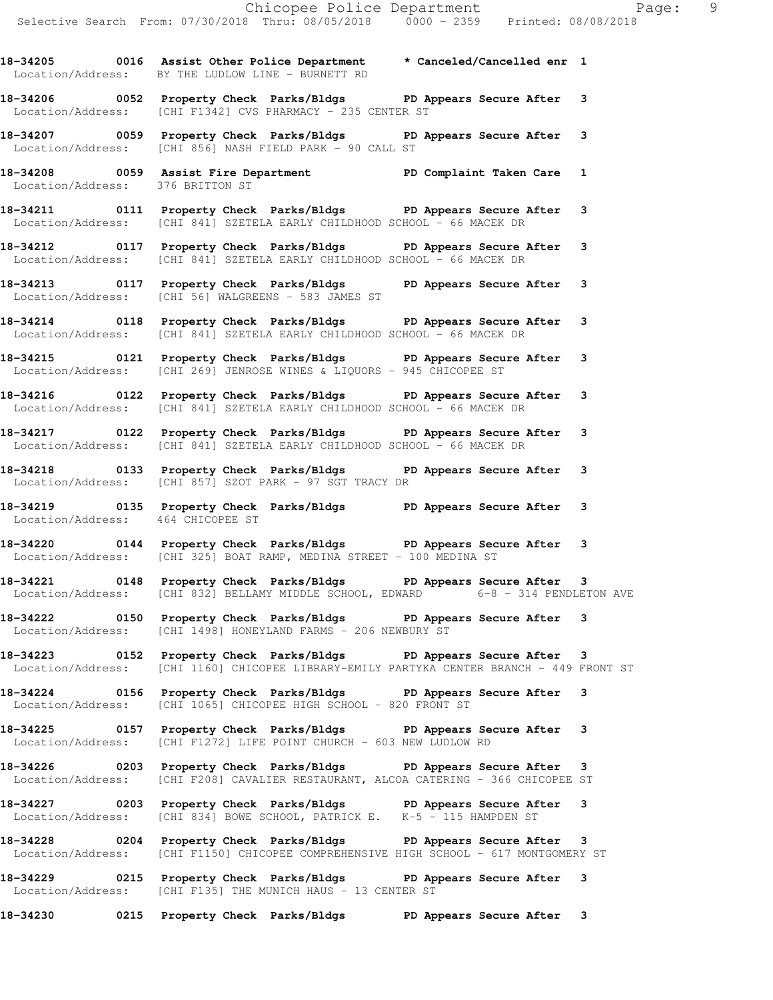Location/Address: BY THE LUDLOW LINE - BURNETT RD

**18-34206 0052 Property Check Parks/Bldgs PD Appears Secure After 3**  Location/Address: [CHI F1342] CVS PHARMACY - 235 CENTER ST

**18-34207 0059 Property Check Parks/Bldgs PD Appears Secure After 3**  Location/Address: [CHI 856] NASH FIELD PARK - 90 CALL ST

**18-34208 0059 Assist Fire Department PD Complaint Taken Care 1**  Location/Address: 376 BRITTON ST

**18-34211 0111 Property Check Parks/Bldgs PD Appears Secure After 3**  Location/Address: [CHI 841] SZETELA EARLY CHILDHOOD SCHOOL - 66 MACEK DR

**18-34212 0117 Property Check Parks/Bldgs PD Appears Secure After 3**  Location/Address: [CHI 841] SZETELA EARLY CHILDHOOD SCHOOL - 66 MACEK DR

**18-34213 0117 Property Check Parks/Bldgs PD Appears Secure After 3**  Location/Address: [CHI 56] WALGREENS - 583 JAMES ST

**18-34214 0118 Property Check Parks/Bldgs PD Appears Secure After 3**  Location/Address: [CHI 841] SZETELA EARLY CHILDHOOD SCHOOL - 66 MACEK DR

**18-34215 0121 Property Check Parks/Bldgs PD Appears Secure After 3**  Location/Address: [CHI 269] JENROSE WINES & LIQUORS - 945 CHICOPEE ST

**18-34216 0122 Property Check Parks/Bldgs PD Appears Secure After 3**  Location/Address: [CHI 841] SZETELA EARLY CHILDHOOD SCHOOL - 66 MACEK DR

**18-34217 0122 Property Check Parks/Bldgs PD Appears Secure After 3**  Location/Address: [CHI 841] SZETELA EARLY CHILDHOOD SCHOOL - 66 MACEK DR

**18-34218 0133 Property Check Parks/Bldgs PD Appears Secure After 3**  Location/Address: [CHI 857] SZOT PARK - 97 SGT TRACY DR

**18-34219 0135 Property Check Parks/Bldgs PD Appears Secure After 3**  Location/Address: 464 CHICOPEE ST

**18-34220 0144 Property Check Parks/Bldgs PD Appears Secure After 3**  Location/Address: [CHI 325] BOAT RAMP, MEDINA STREET - 100 MEDINA ST

**18-34221 0148 Property Check Parks/Bldgs PD Appears Secure After 3**  Location/Address: [CHI 832] BELLAMY MIDDLE SCHOOL, EDWARD 6-8 - 314 PENDLETON AVE

**18-34222 0150 Property Check Parks/Bldgs PD Appears Secure After 3**  Location/Address: [CHI 1498] HONEYLAND FARMS - 206 NEWBURY ST

**18-34223 0152 Property Check Parks/Bldgs PD Appears Secure After 3**  Location/Address: [CHI 1160] CHICOPEE LIBRARY-EMILY PARTYKA CENTER BRANCH - 449 FRONT ST

**18-34224 0156 Property Check Parks/Bldgs PD Appears Secure After 3**  Location/Address: [CHI 1065] CHICOPEE HIGH SCHOOL - 820 FRONT ST

**18-34225 0157 Property Check Parks/Bldgs PD Appears Secure After 3**  Location/Address: [CHI F1272] LIFE POINT CHURCH - 603 NEW LUDLOW RD

**18-34226 0203 Property Check Parks/Bldgs PD Appears Secure After 3**  Location/Address: [CHI F208] CAVALIER RESTAURANT, ALCOA CATERING - 366 CHICOPEE ST

**18-34227 0203 Property Check Parks/Bldgs PD Appears Secure After 3**  Location/Address: [CHI 834] BOWE SCHOOL, PATRICK E. K-5 - 115 HAMPDEN ST

**18-34228 0204 Property Check Parks/Bldgs PD Appears Secure After 3**  Location/Address: [CHI F1150] CHICOPEE COMPREHENSIVE HIGH SCHOOL - 617 MONTGOMERY ST

**18-34229 0215 Property Check Parks/Bldgs PD Appears Secure After 3**  Location/Address: [CHI F135] THE MUNICH HAUS - 13 CENTER ST

**18-34230 0215 Property Check Parks/Bldgs PD Appears Secure After 3**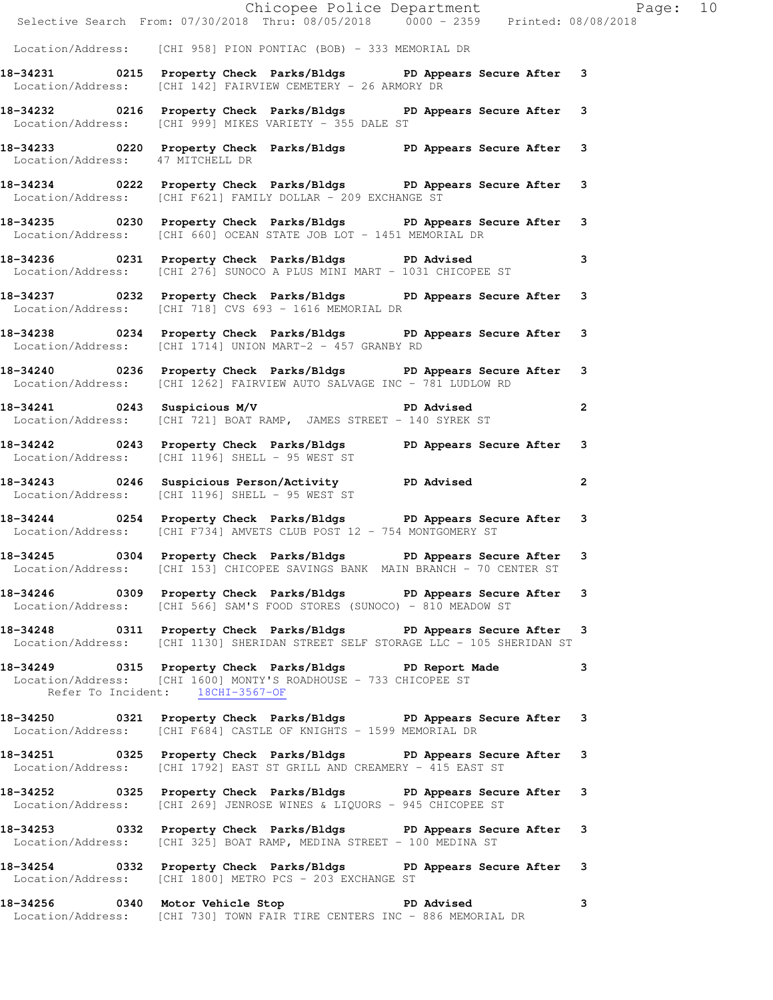|                                  | Chicopee Police Department<br>Selective Search From: 07/30/2018 Thru: 08/05/2018 0000 - 2359 Printed: 08/08/2018                                                      |                         |  |
|----------------------------------|-----------------------------------------------------------------------------------------------------------------------------------------------------------------------|-------------------------|--|
|                                  | Location/Address: [CHI 958] PION PONTIAC (BOB) - 333 MEMORIAL DR                                                                                                      |                         |  |
|                                  | 18-34231 0215 Property Check Parks/Bldgs PD Appears Secure After 3<br>Location/Address: [CHI 142] FAIRVIEW CEMETERY - 26 ARMORY DR                                    |                         |  |
|                                  | 18-34232 		 0216 Property Check Parks/Bldgs 		 PD Appears Secure After 3<br>Location/Address: [CHI 999] MIKES VARIETY - 355 DALE ST                                   |                         |  |
| Location/Address: 47 MITCHELL DR | 18-34233 0220 Property Check Parks/Bldgs PD Appears Secure After 3                                                                                                    |                         |  |
|                                  | 18-34234 0222 Property Check Parks/Bldgs PD Appears Secure After 3<br>Location/Address: [CHI F621] FAMILY DOLLAR - 209 EXCHANGE ST                                    |                         |  |
|                                  | 18-34235 0230 Property Check Parks/Bldgs PD Appears Secure After 3<br>Location/Address: [CHI 660] OCEAN STATE JOB LOT - 1451 MEMORIAL DR                              |                         |  |
|                                  | 18-34236 0231 Property Check Parks/Bldgs PD Advised<br>Location/Address: [CHI 276] SUNOCO A PLUS MINI MART - 1031 CHICOPEE ST                                         | $\overline{\mathbf{3}}$ |  |
|                                  | 18-34237 0232 Property Check Parks/Bldgs PD Appears Secure After 3<br>Location/Address: [CHI 718] CVS 693 - 1616 MEMORIAL DR                                          |                         |  |
|                                  | 18-34238 		 0234 Property Check Parks/Bldgs 		 PD Appears Secure After 3<br>Location/Address: [CHI 1714] UNION MART-2 - 457 GRANBY RD                                 |                         |  |
|                                  | 18-34240 0236 Property Check Parks/Bldgs PD Appears Secure After 3<br>Location/Address: [CHI 1262] FAIRVIEW AUTO SALVAGE INC - 781 LUDLOW RD                          |                         |  |
|                                  | 18-34241 0243 Suspicious M/V PD Advised<br>Location/Address: [CHI 721] BOAT RAMP, JAMES STREET - 140 SYREK ST                                                         |                         |  |
|                                  | 18-34242 0243 Property Check Parks/Bldgs PD Appears Secure After 3<br>Location/Address: [CHI 1196] SHELL - 95 WEST ST                                                 |                         |  |
|                                  | 18-34243 		 0246 Suspicious Person/Activity 		 PD Advised<br>Location/Address: [CHI 1196] SHELL - 95 WEST ST                                                          | $\overline{a}$          |  |
|                                  | 18-34244 0254 Property Check Parks/Bldgs PD Appears Secure After 3<br>Location/Address: [CHI F734] AMVETS CLUB POST 12 - 754 MONTGOMERY ST                            |                         |  |
|                                  | 18-34245 0304 Property Check Parks/Bldgs PD Appears Secure After 3<br>Location/Address: [CHI 153] CHICOPEE SAVINGS BANK MAIN BRANCH - 70 CENTER ST                    |                         |  |
|                                  | 18-34246 		 0309 Property Check Parks/Bldgs 		 PD Appears Secure After 3<br>Location/Address: [CHI 566] SAM'S FOOD STORES (SUNOCO) - 810 MEADOW ST                    |                         |  |
|                                  | 18-34248 0311 Property Check Parks/Bldgs PD Appears Secure After 3<br>Location/Address: [CHI 1130] SHERIDAN STREET SELF STORAGE LLC - 105 SHERIDAN ST                 |                         |  |
|                                  | 18-34249 		 0315 Property Check Parks/Bldgs 		 PD Report Made<br>Location/Address: [CHI 1600] MONTY'S ROADHOUSE - 733 CHICOPEE ST<br>Refer To Incident: 18CHI-3567-OF | $\mathbf{3}$            |  |
|                                  | 18-34250 0321 Property Check Parks/Bldgs PD Appears Secure After 3<br>Location/Address: [CHI F684] CASTLE OF KNIGHTS - 1599 MEMORIAL DR                               |                         |  |
|                                  | 18-34251 0325 Property Check Parks/Bldgs PD Appears Secure After 3<br>  Location/Address: [CHI 1792] EAST ST GRILL AND CREAMERY - 415 EAST ST                         |                         |  |
|                                  | 18-34252 		 0325 Property Check Parks/Bldgs 		 PD Appears Secure After 3<br>Location/Address: [CHI 269] JENROSE WINES & LIQUORS - 945 CHICOPEE ST                     |                         |  |
|                                  | 18-34253 		 0332 Property Check Parks/Bldgs 		 PD Appears Secure After 3<br>Location/Address: [CHI 325] BOAT RAMP, MEDINA STREET - 100 MEDINA ST                      |                         |  |
|                                  | 18-34254 0332 Property Check Parks/Bldgs PD Appears Secure After 3<br>Location/Address: [CHI 1800] METRO PCS - 203 EXCHANGE ST                                        |                         |  |
|                                  | 18-34256 0340 Motor Vehicle Stop North PD Advised<br>Location/Address: [CHI 730] TOWN FAIR TIRE CENTERS INC - 886 MEMORIAL DR                                         | $\mathbf{3}$            |  |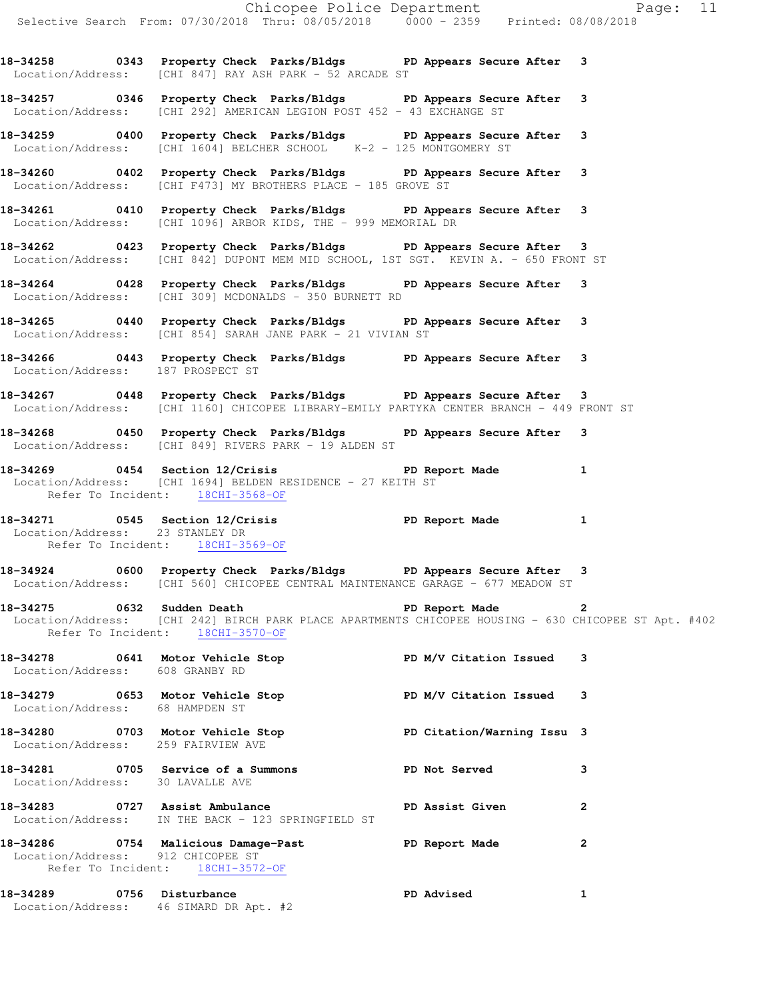Location/Address: [CHI 847] RAY ASH PARK - 52 ARCADE ST **18-34257 0346 Property Check Parks/Bldgs PD Appears Secure After 3** 

Location/Address: [CHI 292] AMERICAN LEGION POST 452 - 43 EXCHANGE ST

**18-34259 0400 Property Check Parks/Bldgs PD Appears Secure After 3**  Location/Address: [CHI 1604] BELCHER SCHOOL K-2 - 125 MONTGOMERY ST

**18-34260 0402 Property Check Parks/Bldgs PD Appears Secure After 3**  Location/Address: [CHI F473] MY BROTHERS PLACE - 185 GROVE ST

**18-34261 0410 Property Check Parks/Bldgs PD Appears Secure After 3**  Location/Address: [CHI 1096] ARBOR KIDS, THE - 999 MEMORIAL DR

**18-34262 0423 Property Check Parks/Bldgs PD Appears Secure After 3**  Location/Address: [CHI 842] DUPONT MEM MID SCHOOL, 1ST SGT. KEVIN A. - 650 FRONT ST

**18-34264 0428 Property Check Parks/Bldgs PD Appears Secure After 3**  Location/Address: [CHI 309] MCDONALDS - 350 BURNETT RD

**18-34265 0440 Property Check Parks/Bldgs PD Appears Secure After 3**  Location/Address: [CHI 854] SARAH JANE PARK - 21 VIVIAN ST

**18-34266 0443 Property Check Parks/Bldgs PD Appears Secure After 3**  Location/Address: 187 PROSPECT ST

**18-34267 0448 Property Check Parks/Bldgs PD Appears Secure After 3**  Location/Address: [CHI 1160] CHICOPEE LIBRARY-EMILY PARTYKA CENTER BRANCH - 449 FRONT ST

**18-34268 0450 Property Check Parks/Bldgs PD Appears Secure After 3**  Location/Address: [CHI 849] RIVERS PARK - 19 ALDEN ST

**18-34269 0454 Section 12/Crisis PD Report Made 1**  Location/Address: [CHI 1694] BELDEN RESIDENCE - 27 KEITH ST Refer To Incident: 18CHI-3568-OF

**18-34271 0545 Section 12/Crisis PD Report Made 1**  Location/Address: 23 STANLEY DR Refer To Incident: 18CHI-3569-OF

**18-34924 0600 Property Check Parks/Bldgs PD Appears Secure After 3**  Location/Address: [CHI 560] CHICOPEE CENTRAL MAINTENANCE GARAGE - 677 MEADOW ST

**18-34275 0632 Sudden Death PD Report Made 2**  Location/Address: [CHI 242] BIRCH PARK PLACE APARTMENTS CHICOPEE HOUSING - 630 CHICOPEE ST Apt. #402 Refer To Incident: 18CHI-3570-OF

| 18-34278 0641<br>Location/Address: |      | Motor Vehicle Stop<br>608 GRANBY RD                                                                          | PD M/V Citation Issued     | 3              |
|------------------------------------|------|--------------------------------------------------------------------------------------------------------------|----------------------------|----------------|
| Location/Address:                  |      | 18-34279 0653 Motor Vehicle Stop<br>68 HAMPDEN ST                                                            | PD M/V Citation Issued 3   |                |
| 18-34280                           | 0703 | Motor Vehicle Stop<br>Location/Address: 259 FAIRVIEW AVE                                                     | PD Citation/Warning Issu 3 |                |
| Location/Address:                  |      | 30 LAVALLE AVE                                                                                               | PD Not Served              | 3              |
| 18-34283                           |      | 0727 Assist Ambulance<br>Location/Address: IN THE BACK - 123 SPRINGFIELD ST                                  | PD Assist Given            | $\overline{2}$ |
|                                    |      | 18-34286 0754 Malicious Damage-Past<br>Location/Address: 912 CHICOPEE ST<br>Refer To Incident: 18CHI-3572-OF | PD Report Made             | $\mathbf{2}$   |
| 18-34289                           | 0756 | Disturbance                                                                                                  | PD Advised                 | 1              |

Location/Address: 46 SIMARD DR Apt. #2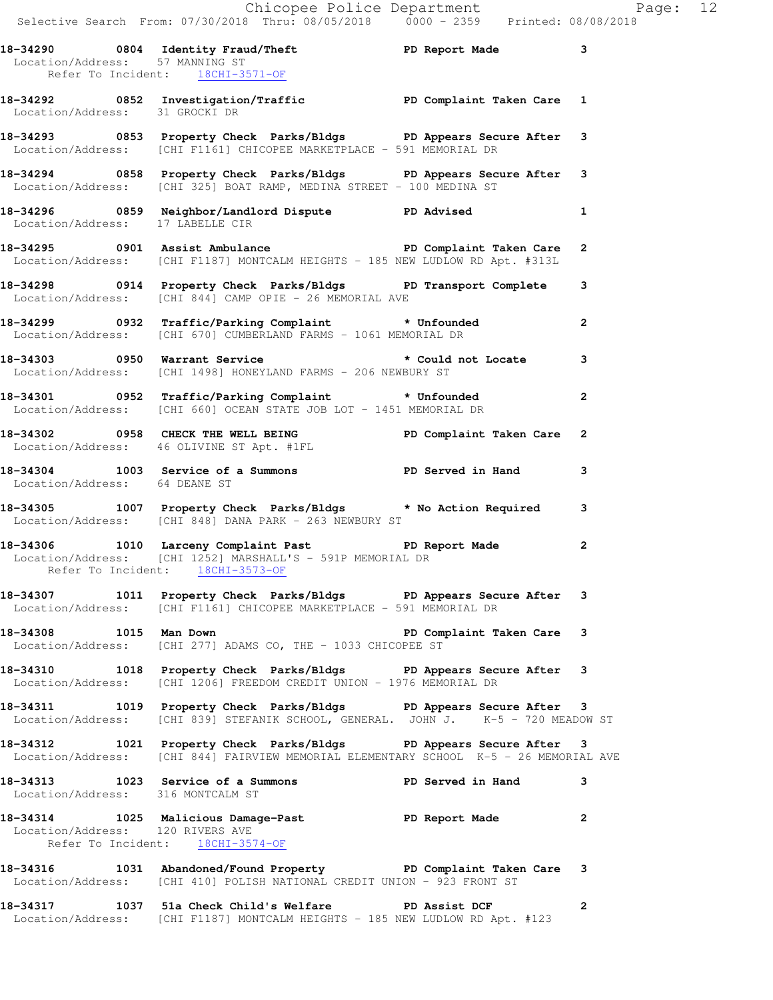|                                  | Chicopee Police Department<br>Selective Search From: 07/30/2018 Thru: 08/05/2018 0000 - 2359 Printed: 08/08/2018                                            |                           |              |  |
|----------------------------------|-------------------------------------------------------------------------------------------------------------------------------------------------------------|---------------------------|--------------|--|
| Location/Address: 57 MANNING ST  | 18-34290 0804 Identity Fraud/Theft <b>18-34290</b> PD Report Made 3<br>Refer To Incident: 18CHI-3571-OF                                                     |                           |              |  |
|                                  | 18-34292 0852 Investigation/Traffic <b>PD Complaint Taken Care</b> 1<br>Location/Address: 31 GROCKI DR                                                      |                           |              |  |
|                                  | 18-34293 0853 Property Check Parks/Bldgs PD Appears Secure After 3<br>Location/Address: [CHI F1161] CHICOPEE MARKETPLACE - 591 MEMORIAL DR                  |                           |              |  |
|                                  | 18-34294 1858 Property Check Parks/Bldgs 1 PD Appears Secure After 3<br>Location/Address: [CHI 325] BOAT RAMP, MEDINA STREET - 100 MEDINA ST                |                           |              |  |
| Location/Address: 17 LABELLE CIR | 18-34296 0859 Neighbor/Landlord Dispute PD Advised 1                                                                                                        |                           |              |  |
|                                  | 18-34295 0901 Assist Ambulance <b>18 PD</b> Complaint Taken Care 2<br>Location/Address: [CHI F1187] MONTCALM HEIGHTS - 185 NEW LUDLOW RD Apt. #313L         |                           |              |  |
|                                  | 18-34298 0914 Property Check Parks/Bldgs PD Transport Complete 3<br>Location/Address: [CHI 844] CAMP OPIE - 26 MEMORIAL AVE                                 |                           |              |  |
|                                  | 18-34299 0932 Traffic/Parking Complaint * Unfounded 2<br>Location/Address: [CHI 670] CUMBERLAND FARMS - 1061 MEMORIAL DR                                    |                           |              |  |
|                                  | 18-34303 0950 Warrant Service <b>18-34303</b> tould not Locate 3<br>Location/Address: [CHI 1498] HONEYLAND FARMS - 206 NEWBURY ST                           |                           |              |  |
|                                  | 18-34301 0952 Traffic/Parking Complaint * Unfounded<br>Location/Address: [CHI 660] OCEAN STATE JOB LOT - 1451 MEMORIAL DR                                   |                           |              |  |
|                                  | 18-34302 0958 CHECK THE WELL BEING PD Complaint Taken Care 2<br>Location/Address: 46 OLIVINE ST Apt. #1FL                                                   |                           |              |  |
| Location/Address: 64 DEANE ST    | 18-34304 1003 Service of a Summons TPD Served in Hand 3                                                                                                     |                           |              |  |
|                                  | 18-34305 1007 Property Check Parks/Bldgs * No Action Required 3<br>Location/Address: [CHI 848] DANA PARK - 263 NEWBURY ST                                   |                           |              |  |
|                                  | 18-34306 1010 Larceny Complaint Past PD Report Made<br>Location/Address: [CHI 1252] MARSHALL'S - 591P MEMORIAL DR<br>Refer To Incident: 18CHI-3573-OF       |                           | 2            |  |
|                                  | 18-34307 1011 Property Check Parks/Bldgs PD Appears Secure After 3<br>Location/Address: [CHI F1161] CHICOPEE MARKETPLACE - 591 MEMORIAL DR                  |                           |              |  |
| 18-34308 1015 Man Down           | Location/Address: [CHI 277] ADAMS CO, THE - 1033 CHICOPEE ST                                                                                                | PD Complaint Taken Care 3 |              |  |
|                                  | 18-34310 1018 Property Check Parks/Bldgs PD Appears Secure After 3<br>Location/Address: [CHI 1206] FREEDOM CREDIT UNION - 1976 MEMORIAL DR                  |                           |              |  |
|                                  | 18-34311 1019 Property Check Parks/Bldgs PD Appears Secure After 3<br>Location/Address: [CHI 839] STEFANIK SCHOOL, GENERAL. JOHN J. K-5 - 720 MEADOW ST     |                           |              |  |
|                                  | 18-34312 1021 Property Check Parks/Bldgs PD Appears Secure After 3<br>Location/Address: [CHI 844] FAIRVIEW MEMORIAL ELEMENTARY SCHOOL K-5 - 26 MEMORIAL AVE |                           |              |  |
|                                  | 18-34313 1023 Service of a Summons PD Served in Hand<br>Location/Address: 316 MONTCALM ST                                                                   |                           | -3           |  |
| Location/Address: 120 RIVERS AVE | 18-34314 1025 Malicious Damage-Past 1990 PD Report Made<br>Refer To Incident: 18CHI-3574-OF                                                                 |                           | $\mathbf{2}$ |  |
|                                  | 18-34316 1031 Abandoned/Found Property PD Complaint Taken Care 3<br>Location/Address: [CHI 410] POLISH NATIONAL CREDIT UNION - 923 FRONT ST                 |                           |              |  |

**18-34317 1037 51a Check Child's Welfare PD Assist DCF 2**  Location/Address: [CHI F1187] MONTCALM HEIGHTS - 185 NEW LUDLOW RD Apt. #123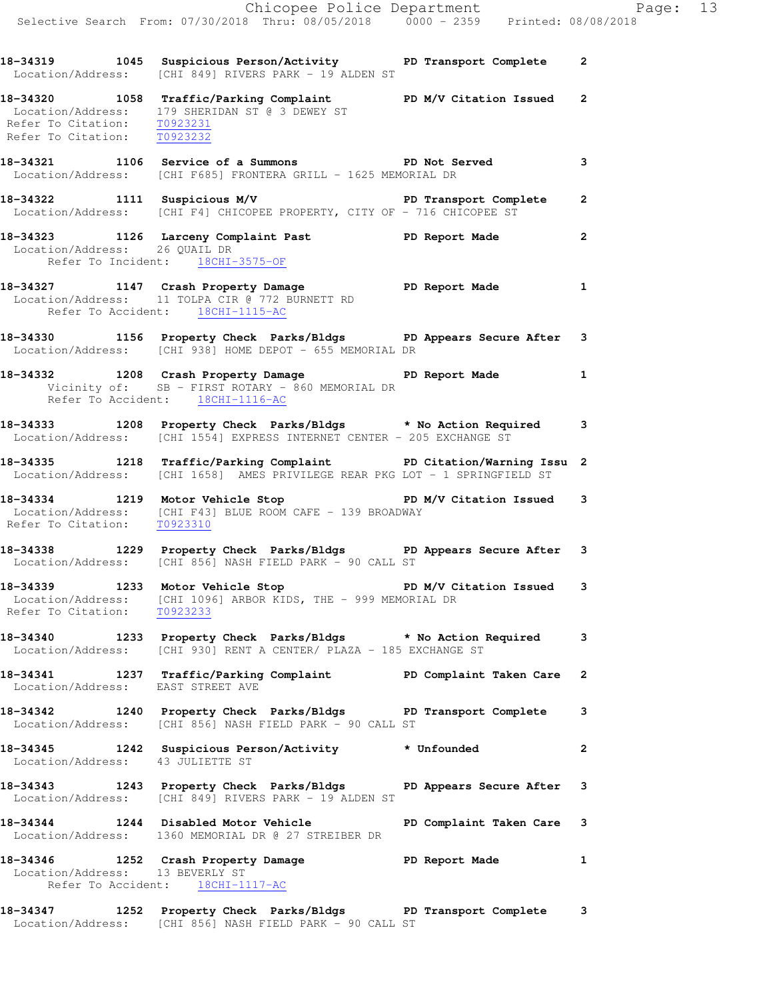**18-34320 1058 Traffic/Parking Complaint PD M/V Citation Issued 2**  Location/Address: 179 SHERIDAN ST @ 3 DEWEY ST Refer To Citation: T0923231 Refer To Citation: T0923232

**18-34321 1106 Service of a Summons PD Not Served 3**  Location/Address: [CHI F685] FRONTERA GRILL - 1625 MEMORIAL DR

**18-34322 1111 Suspicious M/V PD Transport Complete 2**  Location/Address: [CHI F4] CHICOPEE PROPERTY, CITY OF - 716 CHICOPEE ST

**18-34323 1126 Larceny Complaint Past PD Report Made 2**  Location/Address: 26 QUAIL DR Refer To Incident: 18CHI-3575-OF

- **18-34327 1147 Crash Property Damage PD Report Made 1**  Location/Address: 11 TOLPA CIR @ 772 BURNETT RD Refer To Accident: 18CHI-1115-AC
- **18-34330 1156 Property Check Parks/Bldgs PD Appears Secure After 3**  Location/Address: [CHI 938] HOME DEPOT - 655 MEMORIAL DR
- **18-34332 1208 Crash Property Damage PD Report Made 1**  Vicinity of: SB - FIRST ROTARY - 860 MEMORIAL DR Refer To Accident: 18CHI-1116-AC
- **18-34333 1208 Property Check Parks/Bldgs \* No Action Required 3**  Location/Address: [CHI 1554] EXPRESS INTERNET CENTER - 205 EXCHANGE ST
- **18-34335 1218 Traffic/Parking Complaint PD Citation/Warning Issu 2**  Location/Address: [CHI 1658] AMES PRIVILEGE REAR PKG LOT - 1 SPRINGFIELD ST
- **18-34334 1219 Motor Vehicle Stop PD M/V Citation Issued 3**  [CHI F43] BLUE ROOM CAFE - 139 BROADWAY Location/Address: [CHI F43<br>Refer To Citation: <u>T0923310</u>
- **18-34338 1229 Property Check Parks/Bldgs PD Appears Secure After 3**  Location/Address: [CHI 856] NASH FIELD PARK - 90 CALL ST
- 18-34339 1233 Motor Vehicle Stop **PD M/V Citation Issued** 3 Location/Address: [CHI 1096] ARBOR KIDS, THE - 999 MEMORIAL DR Refer To Citation: T0923233
- **18-34340 1233 Property Check Parks/Bldgs \* No Action Required 3**  Location/Address: [CHI 930] RENT A CENTER/ PLAZA - 185 EXCHANGE ST
- **18-34341 1237 Traffic/Parking Complaint PD Complaint Taken Care 2**  Location/Address: EAST STREET AVE
- **18-34342 1240 Property Check Parks/Bldgs PD Transport Complete 3**  Location/Address: [CHI 856] NASH FIELD PARK - 90 CALL ST
- **18-34345 1242 Suspicious Person/Activity \* Unfounded 2**  Location/Address: 43 JULIETTE ST
- **18-34343 1243 Property Check Parks/Bldgs PD Appears Secure After 3**  Location/Address: [CHI 849] RIVERS PARK - 19 ALDEN ST
- **18-34344 1244 Disabled Motor Vehicle PD Complaint Taken Care 3**  Location/Address: 1360 MEMORIAL DR @ 27 STREIBER DR

**18-34346 1252 Crash Property Damage PD Report Made 1**  Location/Address: 13 BEVERLY ST Refer To Accident: 18CHI-1117-AC

**18-34347 1252 Property Check Parks/Bldgs PD Transport Complete 3**  Location/Address: [CHI 856] NASH FIELD PARK - 90 CALL ST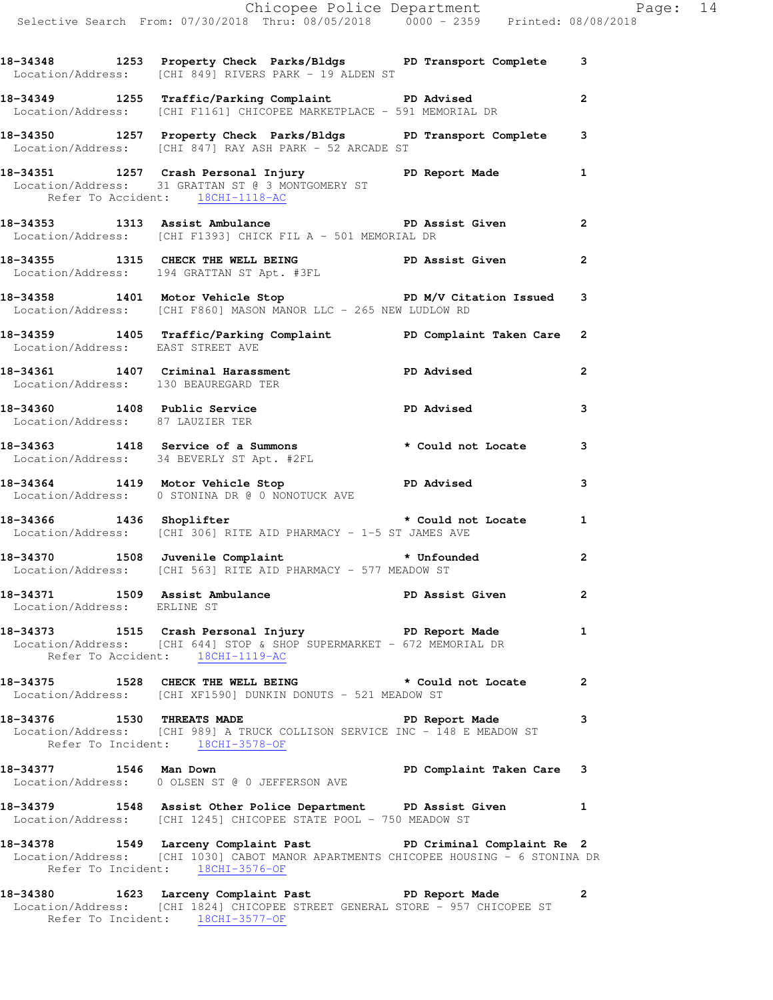|                                      | Chicopee Police Department<br>Selective Search From: 07/30/2018 Thru: 08/05/2018 0000 - 2359 Printed: 08/08/2018                                                                           |              |  |
|--------------------------------------|--------------------------------------------------------------------------------------------------------------------------------------------------------------------------------------------|--------------|--|
|                                      |                                                                                                                                                                                            |              |  |
|                                      | 18-34348 1253 Property Check Parks/Bldgs PD Transport Complete 3<br>Location/Address: [CHI 849] RIVERS PARK - 19 ALDEN ST                                                                  |              |  |
|                                      | 18-34349 1255 Traffic/Parking Complaint PD Advised<br>Location/Address: [CHI F1161] CHICOPEE MARKETPLACE - 591 MEMORIAL DR                                                                 | $\mathbf{2}$ |  |
|                                      | 18-34350 1257 Property Check Parks/Bldgs PD Transport Complete 3<br>Location/Address: [CHI 847] RAY ASH PARK - 52 ARCADE ST                                                                |              |  |
| Refer To Accident: 18CHI-1118-AC     | 18-34351 1257 Crash Personal Injury 18-34351 PD Report Made<br>Location/Address: 31 GRATTAN ST @ 3 MONTGOMERY ST                                                                           | 1            |  |
|                                      | 18-34353 1313 Assist Ambulance 1988 1999 PD Assist Given<br>Location/Address: [CHI F1393] CHICK FIL A - 501 MEMORIAL DR                                                                    |              |  |
|                                      | 18-34355 1315 CHECK THE WELL BEING PD Assist Given<br>Location/Address: 194 GRATTAN ST Apt. #3FL                                                                                           |              |  |
|                                      | 18-34358 1401 Motor Vehicle Stop PD M/V Citation Issued 3<br>Location/Address: [CHI F860] MASON MANOR LLC - 265 NEW LUDLOW RD                                                              |              |  |
|                                      | 18-34359 1405 Traffic/Parking Complaint PD Complaint Taken Care 2<br>Location/Address: EAST STREET AVE                                                                                     |              |  |
| Location/Address: 130 BEAUREGARD TER | 18-34361 1407 Criminal Harassment <b>PD</b> Advised                                                                                                                                        | $\mathbf{2}$ |  |
| Location/Address: 87 LAUZIER TER     | 18-34360 1408 Public Service PD Advised                                                                                                                                                    | 3            |  |
|                                      | 18-34363 1418 Service of a Summons * Could not Locate<br>Location/Address: 34 BEVERLY ST Apt. #2FL                                                                                         | 3            |  |
|                                      | 18-34364 1419 Motor Vehicle Stop North PD Advised<br>Location/Address: 0 STONINA DR @ 0 NONOTUCK AVE                                                                                       | 3            |  |
|                                      | 18-34366 1436 Shoplifter <b>the set of the Shoplifter</b> the set of the set of the set of the set of the set of the s<br>Location/Address: [CHI 306] RITE AID PHARMACY - 1-5 ST JAMES AVE |              |  |
|                                      | 18-34370 1508 Juvenile Complaint the state of the state of the state of the state of the state of th<br>Location/Address: [CHI 563] RITE AID PHARMACY - 577 MEADOW ST                      | $\mathbf{2}$ |  |
| Location/Address: ERLINE ST          | 18-34371 1509 Assist Ambulance New PD Assist Given                                                                                                                                         | $\mathbf{2}$ |  |
|                                      | 18-34373 1515 Crash Personal Injury 18-34373 PD Report Made<br>Location/Address: [CHI 644] STOP & SHOP SUPERMARKET - 672 MEMORIAL DR<br>Refer To Accident: 18CHI-1119-AC                   | 1            |  |
|                                      | 18-34375 1528 CHECK THE WELL BEING * Could not Locate 2<br>Location/Address: [CHI XF1590] DUNKIN DONUTS - 521 MEADOW ST                                                                    |              |  |
|                                      | 18-34376 1530 THREATS MADE 20 PD Report Made 3<br>Location/Address: [CHI 989] A TRUCK COLLISON SERVICE INC - 148 E MEADOW ST<br>Refer To Incident: 18CHI-3578-OF                           |              |  |
|                                      | 18-34377 1546 Man Down <b>Depart of the Series Complaint Taken Care</b> 3<br>Location/Address: 0 OLSEN ST @ 0 JEFFERSON AVE                                                                |              |  |
|                                      | 18-34379 1548 Assist Other Police Department PD Assist Given 1<br>Location/Address: [CHI 1245] CHICOPEE STATE POOL - 750 MEADOW ST                                                         |              |  |
|                                      | 18-34378 1549 Larceny Complaint Past PD Criminal Complaint Re 2                                                                                                                            |              |  |
|                                      | Location/Address: [CHI 1030] CABOT MANOR APARTMENTS CHICOPEE HOUSING - 6 STONINA DR<br>Refer To Incident: 18CHI-3576-OF                                                                    |              |  |
|                                      |                                                                                                                                                                                            |              |  |

**18-34380 1623 Larceny Complaint Past PD Report Made 2**  Location/Address: [CHI 1824] CHICOPEE STREET GENERAL STORE - 957 CHICOPEE ST Refer To Incident: 18CHI-3577-OF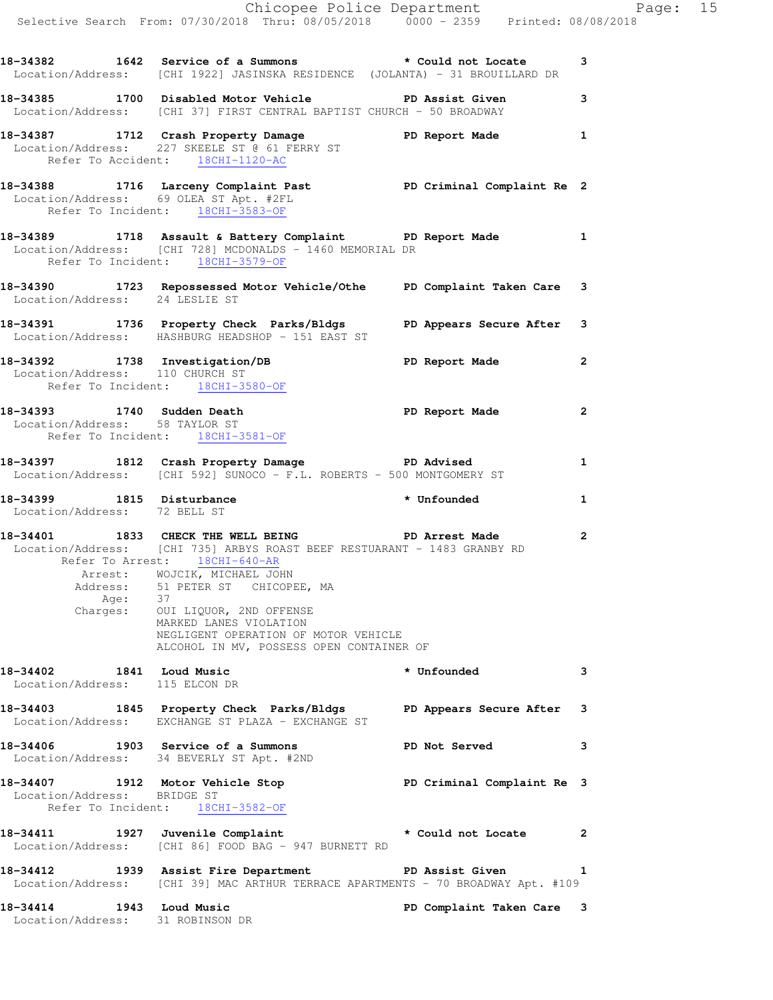|                                                            | Chicopee Police Department<br>Selective Search From: 07/30/2018 Thru: 08/05/2018 0000 - 2359 Printed: 08/08/2018                                                                                                                                                                                                                                                |                            |              |
|------------------------------------------------------------|-----------------------------------------------------------------------------------------------------------------------------------------------------------------------------------------------------------------------------------------------------------------------------------------------------------------------------------------------------------------|----------------------------|--------------|
|                                                            | 18-34382 1642 Service of a Summons * Could not Locate 3<br>Location/Address: [CHI 1922] JASINSKA RESIDENCE (JOLANTA) - 31 BROUILLARD DR                                                                                                                                                                                                                         |                            |              |
|                                                            | 18-34385 1700 Disabled Motor Vehicle PD Assist Given<br>Location/Address: [CHI 37] FIRST CENTRAL BAPTIST CHURCH - 50 BROADWAY                                                                                                                                                                                                                                   |                            | $\mathbf{3}$ |
| Refer To Accident: 18CHI-1120-AC                           | 18-34387 1712 Crash Property Damage Name PD Report Made 1<br>Location/Address: 227 SKEELE ST @ 61 FERRY ST                                                                                                                                                                                                                                                      |                            |              |
|                                                            | 18-34388 1716 Larceny Complaint Past 18-34388 18-34388 1716 Larceny Complaint Past<br>Location/Address: 69 OLEA ST Apt. #2FL<br>Refer To Incident: 18CHI-3583-OF                                                                                                                                                                                                |                            |              |
| Refer To Incident: 18CHI-3579-OF                           | 18-34389 1718 Assault & Battery Complaint PD Report Made 1<br>Location/Address: [CHI 728] MCDONALDS - 1460 MEMORIAL DR                                                                                                                                                                                                                                          |                            |              |
| Location/Address: 24 LESLIE ST                             | 18-34390 1723 Repossessed Motor Vehicle/Othe PD Complaint Taken Care 3                                                                                                                                                                                                                                                                                          |                            |              |
|                                                            | 18-34391 1736 Property Check Parks/Bldgs PD Appears Secure After 3<br>Location/Address: HASHBURG HEADSHOP - 151 EAST ST                                                                                                                                                                                                                                         |                            |              |
| Location/Address: 110 CHURCH ST                            | 18-34392 1738 Investigation/DB PD Report Made 2<br>Refer To Incident: 18CHI-3580-OF                                                                                                                                                                                                                                                                             |                            |              |
|                                                            | 18-34393 1740 Sudden Death PD Report Made<br>Location/Address: 58 TAYLOR ST<br>Refer To Incident: 18CHI-3581-OF                                                                                                                                                                                                                                                 |                            | 2            |
|                                                            | 18-34397 1812 Crash Property Damage PD Advised<br>Location/Address: [CHI 592] SUNOCO - F.L. ROBERTS - 500 MONTGOMERY ST                                                                                                                                                                                                                                         |                            | $\mathbf{1}$ |
| Location/Address: 72 BELL ST                               | 18-34399 1815 Disturbance * Unfounded                                                                                                                                                                                                                                                                                                                           |                            | $\mathbf{1}$ |
| Refer To Arrest: 18CHI-640-AR                              | 18-34401 1833 CHECK THE WELL BEING PD Arrest Made<br>Location/Address: [CHI 735] ARBYS ROAST BEEF RESTUARANT - 1483 GRANBY RD<br>Arrest: WOJCIK, MICHAEL JOHN<br>Address: 51 PETER ST CHICOPEE, MA<br>Age: 37<br>Charges: OUI LIQUOR, 2ND OFFENSE<br>MARKED LANES VIOLATION<br>NEGLIGENT OPERATION OF MOTOR VEHICLE<br>ALCOHOL IN MV, POSSESS OPEN CONTAINER OF |                            | 2            |
| 18-34402 1841 Loud Music<br>Location/Address: 115 ELCON DR |                                                                                                                                                                                                                                                                                                                                                                 | * Unfounded                | 3            |
|                                                            | 18-34403 1845 Property Check Parks/Bldgs PD Appears Secure After 3<br>Location/Address: EXCHANGE ST PLAZA - EXCHANGE ST                                                                                                                                                                                                                                         |                            |              |
|                                                            | 18-34406 1903 Service of a Summons Nervel BD Not Served<br>Location/Address: 34 BEVERLY ST Apt. #2ND                                                                                                                                                                                                                                                            |                            | 3            |
| Location/Address: BRIDGE ST                                | 18-34407 1912 Motor Vehicle Stop<br>Refer To Incident: 18CHI-3582-OF                                                                                                                                                                                                                                                                                            | PD Criminal Complaint Re 3 |              |
|                                                            | 18-34411 1927 Juvenile Complaint * Could not Locate<br>Location/Address: [CHI 86] FOOD BAG - 947 BURNETT RD                                                                                                                                                                                                                                                     |                            | $\mathbf{2}$ |
|                                                            | 18-34412 1939 Assist Fire Department PD Assist Given<br>Location/Address: [CHI 39] MAC ARTHUR TERRACE APARTMENTS - 70 BROADWAY Apt. #109                                                                                                                                                                                                                        |                            | 1            |
| 18-34414 1943 Loud Music                                   |                                                                                                                                                                                                                                                                                                                                                                 | PD Complaint Taken Care 3  |              |

Location/Address: 31 ROBINSON DR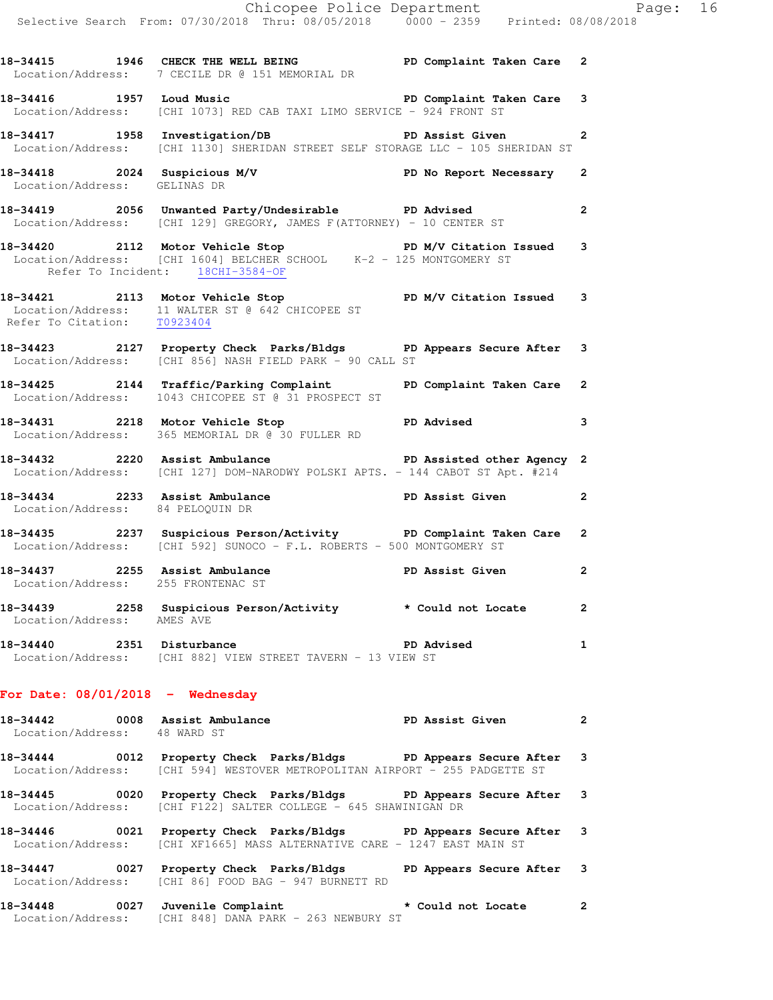|                                                                      | Chicopee Police Department<br>Selective Search From: 07/30/2018 Thru: 08/05/2018 0000 - 2359 Printed: 08/08/2018                                                     |                   |                |
|----------------------------------------------------------------------|----------------------------------------------------------------------------------------------------------------------------------------------------------------------|-------------------|----------------|
|                                                                      | 18-34415 1946 CHECK THE WELL BEING PD Complaint Taken Care 2<br>Location/Address: 7 CECILE DR @ 151 MEMORIAL DR                                                      |                   |                |
|                                                                      | 18-34416 1957 Loud Music <b>18-34416</b> PD Complaint Taken Care 3<br>Location/Address: [CHI 1073] RED CAB TAXI LIMO SERVICE - 924 FRONT ST                          |                   |                |
|                                                                      | 18-34417 1958 Investigation/DB PD Assist Given 2<br>Location/Address: [CHI 1130] SHERIDAN STREET SELF STORAGE LLC - 105 SHERIDAN ST                                  |                   |                |
| Location/Address: GELINAS DR                                         | 18-34418 2024 Suspicious M/V PD No Report Necessary 2                                                                                                                |                   |                |
|                                                                      | 18-34419 2056 Unwanted Party/Undesirable PD Advised<br>Location/Address: [CHI 129] GREGORY, JAMES F(ATTORNEY) - 10 CENTER ST                                         |                   | $\mathbf{2}$   |
|                                                                      | 18-34420 2112 Motor Vehicle Stop PD M/V Citation Issued 3<br>Location/Address: [CHI 1604] BELCHER SCHOOL K-2 - 125 MONTGOMERY ST<br>Refer To Incident: 18CHI-3584-OF |                   |                |
| Refer To Citation: T0923404                                          | 18-34421 2113 Motor Vehicle Stop<br>Location/Address: 11 WALTER ST @ 642 CHICOPEE ST<br>Pofer To Citation                                                            |                   |                |
|                                                                      | 18-34423 2127 Property Check Parks/Bldgs PD Appears Secure After 3<br>Location/Address: [CHI 856] NASH FIELD PARK - 90 CALL ST                                       |                   |                |
|                                                                      | 18-34425 2144 Traffic/Parking Complaint PD Complaint Taken Care 2<br>Location/Address: 1043 CHICOPEE ST @ 31 PROSPECT ST                                             |                   |                |
|                                                                      | 18-34431 2218 Motor Vehicle Stop North PD Advised 3<br>Location/Address: 365 MEMORIAL DR @ 30 FULLER RD                                                              |                   |                |
|                                                                      | 18-34432 2220 Assist Ambulance New PD Assisted other Agency 2<br>Location/Address: [CHI 127] DOM-NARODWY POLSKI APTS. - 144 CABOT ST Apt. #214                       |                   |                |
| Location/Address: 84 PELOQUIN DR                                     | 18-34434 2233 Assist Ambulance New PD Assist Given 2                                                                                                                 |                   |                |
|                                                                      | 18-34435 2237 Suspicious Person/Activity PD Complaint Taken Care 2<br>Location/Address: [CHI 592] SUNOCO - F.L. ROBERTS - 500 MONTGOMERY ST                          |                   |                |
| 18-34437 2255 Assist Ambulance<br>Location/Address: 255 FRONTENAC ST |                                                                                                                                                                      | PD Assist Given   |                |
| Location/Address: AMES AVE                                           | 18-34439 2258 Suspicious Person/Activity * Could not Locate                                                                                                          |                   | $\overline{2}$ |
| 18-34440 2351 Disturbance                                            | Location/Address: [CHI 882] VIEW STREET TAVERN - 13 VIEW ST                                                                                                          | <b>PD Advised</b> | 1              |
| For Date: $08/01/2018$ - Wednesday                                   |                                                                                                                                                                      |                   |                |
| 18-34442 0008 Assist Ambulance<br>Location/Address: 48 WARD ST       |                                                                                                                                                                      | PD Assist Given   | 2              |

- **18-34444 0012 Property Check Parks/Bldgs PD Appears Secure After 3**  Location/Address: [CHI 594] WESTOVER METROPOLITAN AIRPORT - 255 PADGETTE ST
- **18-34445 0020 Property Check Parks/Bldgs PD Appears Secure After 3**  Location/Address: [CHI F122] SALTER COLLEGE - 645 SHAWINIGAN DR
- **18-34446 0021 Property Check Parks/Bldgs PD Appears Secure After 3**  Location/Address: [CHI XF1665] MASS ALTERNATIVE CARE - 1247 EAST MAIN ST
- **18-34447 0027 Property Check Parks/Bldgs PD Appears Secure After 3**  Location/Address: [CHI 86] FOOD BAG - 947 BURNETT RD
- **18-34448 0027 Juvenile Complaint \* Could not Locate 2**  Location/Address: [CHI 848] DANA PARK - 263 NEWBURY ST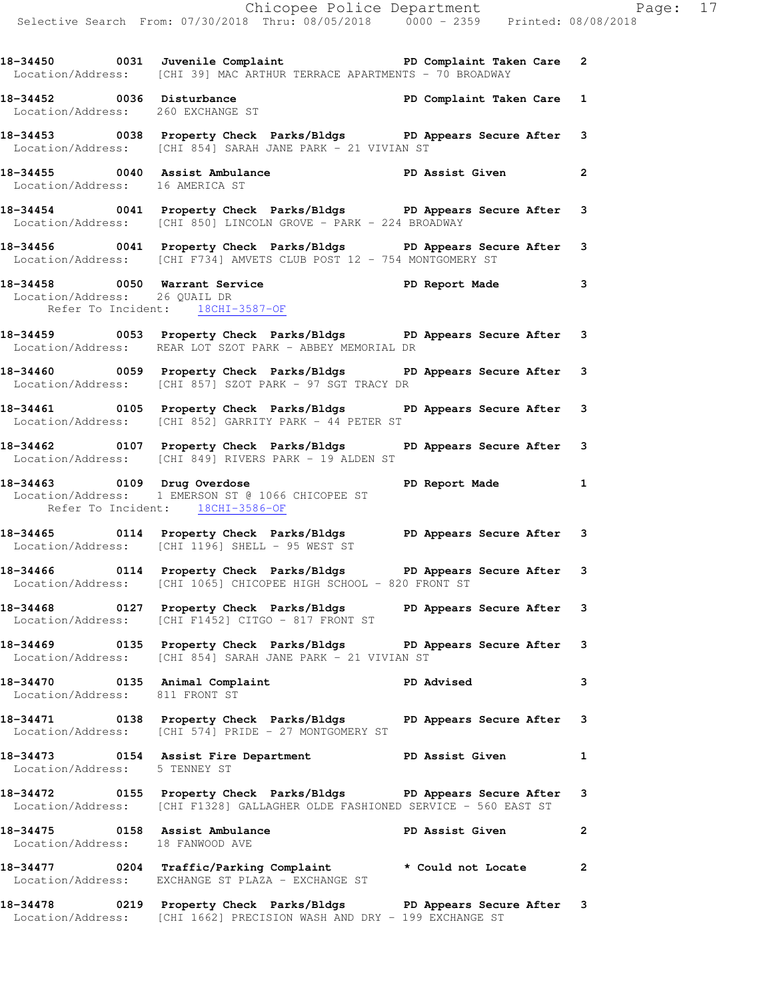|                                   | Chicopee Police Department<br>Selective Search From: 07/30/2018 Thru: 08/05/2018 0000 - 2359 Printed: 08/08/2018                                                                                                    |                |  |
|-----------------------------------|---------------------------------------------------------------------------------------------------------------------------------------------------------------------------------------------------------------------|----------------|--|
|                                   | 18-34450 0031 Juvenile Complaint <b>18-34450 PD</b> Complaint Taken Care 2<br>Location/Address: [CHI 39] MAC ARTHUR TERRACE APARTMENTS - 70 BROADWAY                                                                |                |  |
| Location/Address: 260 EXCHANGE ST | 18-34452 0036 Disturbance<br>Location/Address: 260 EXCHANCE ST                                                                                                                                                      |                |  |
|                                   | 18-34453 0038 Property Check Parks/Bldgs PD Appears Secure After 3<br>Location/Address: [CHI 854] SARAH JANE PARK - 21 VIVIAN ST                                                                                    |                |  |
| Location/Address: 16 AMERICA ST   | 18-34455 0040 Assist Ambulance New PD Assist Given                                                                                                                                                                  | $\mathbf{2}$   |  |
|                                   | 18-34454 0041 Property Check Parks/Bldgs PD Appears Secure After 3<br>Location/Address: [CHI 850] LINCOLN GROVE - PARK - 224 BROADWAY                                                                               |                |  |
|                                   | 18-34456 0041 Property Check Parks/Bldgs PD Appears Secure After 3<br>Location/Address: [CHI F734] AMVETS CLUB POST 12 - 754 MONTGOMERY ST                                                                          |                |  |
|                                   | 18-34458 0050 Warrant Service<br>Location/Address: 26 QUAIL DR<br>Note in the Section of Termin of the Service of the Service of the Service of Termin of Termin of Termin of T<br>Refer To Incident: 18CHI-3587-OF |                |  |
|                                   | 18-34459 0053 Property Check Parks/Bldgs PD Appears Secure After 3<br>Location/Address: REAR LOT SZOT PARK - ABBEY MEMORIAL DR                                                                                      |                |  |
|                                   | 18-34460 0059 Property Check Parks/Bldgs PD Appears Secure After 3<br>Location/Address: [CHI 857] SZOT PARK - 97 SGT TRACY DR                                                                                       |                |  |
|                                   | 18-34461 0105 Property Check Parks/Bldgs PD Appears Secure After 3<br>Location/Address: [CHI 852] GARRITY PARK - 44 PETER ST                                                                                        |                |  |
|                                   | 18-34462 0107 Property Check Parks/Bldgs PD Appears Secure After 3<br>Location/Address: [CHI 849] RIVERS PARK - 19 ALDEN ST                                                                                         |                |  |
| Refer To Incident: 18CHI-3586-OF  | 18-34463 0109 Drug Overdose 1 PD Report Made 1<br>Location/Address: 1 EMERSON ST @ 1066 CHICOPEE ST                                                                                                                 |                |  |
|                                   | 18-34465 0114 Property Check Parks/Bldgs PD Appears Secure After 3<br>Location/Address: [CHI 1196] SHELL - 95 WEST ST                                                                                               |                |  |
|                                   | 18-34466 0114 Property Check Parks/Bldgs DP Appears Secure After 3<br>Location/Address: [CHI 1065] CHICOPEE HIGH SCHOOL - 820 FRONT ST                                                                              |                |  |
|                                   | 18-34468 0127 Property Check Parks/Bldgs PD Appears Secure After 3<br>Location/Address: [CHI F1452] CITGO - 817 FRONT ST                                                                                            |                |  |
|                                   | 18-34469 0135 Property Check Parks/Bldgs PD Appears Secure After 3<br>Location/Address: [CHI 854] SARAH JANE PARK - 21 VIVIAN ST                                                                                    |                |  |
| Location/Address: 811 FRONT ST    |                                                                                                                                                                                                                     | 3              |  |
|                                   | 18-34471 		 0138 Property Check Parks/Bldgs 		 PD Appears Secure After 3<br>Location/Address: [CHI 574] PRIDE - 27 MONTGOMERY ST                                                                                    |                |  |
| Location/Address: 5 TENNEY ST     | 18-34473 0154 Assist Fire Department PD Assist Given                                                                                                                                                                | $\mathbf{1}$   |  |
|                                   | 18-34472 		 0155 Property Check Parks/Bldgs 		 PD Appears Secure After<br>Location/Address: [CHI F1328] GALLAGHER OLDE FASHIONED SERVICE - 560 EAST ST                                                              | 3              |  |
| Location/Address: 18 FANWOOD AVE  | 18-34475 0158 Assist Ambulance New PD Assist Given                                                                                                                                                                  | $\mathbf{2}$   |  |
|                                   | 18-34477 0204 Traffic/Parking Complaint * Could not Locate<br>Location/Address: EXCHANGE ST PLAZA - EXCHANGE ST                                                                                                     | $\overline{2}$ |  |
|                                   | 18-34478 0219 Property Check Parks/Bldgs PD Appears Secure After 3                                                                                                                                                  |                |  |

Location/Address: [CHI 1662] PRECISION WASH AND DRY - 199 EXCHANGE ST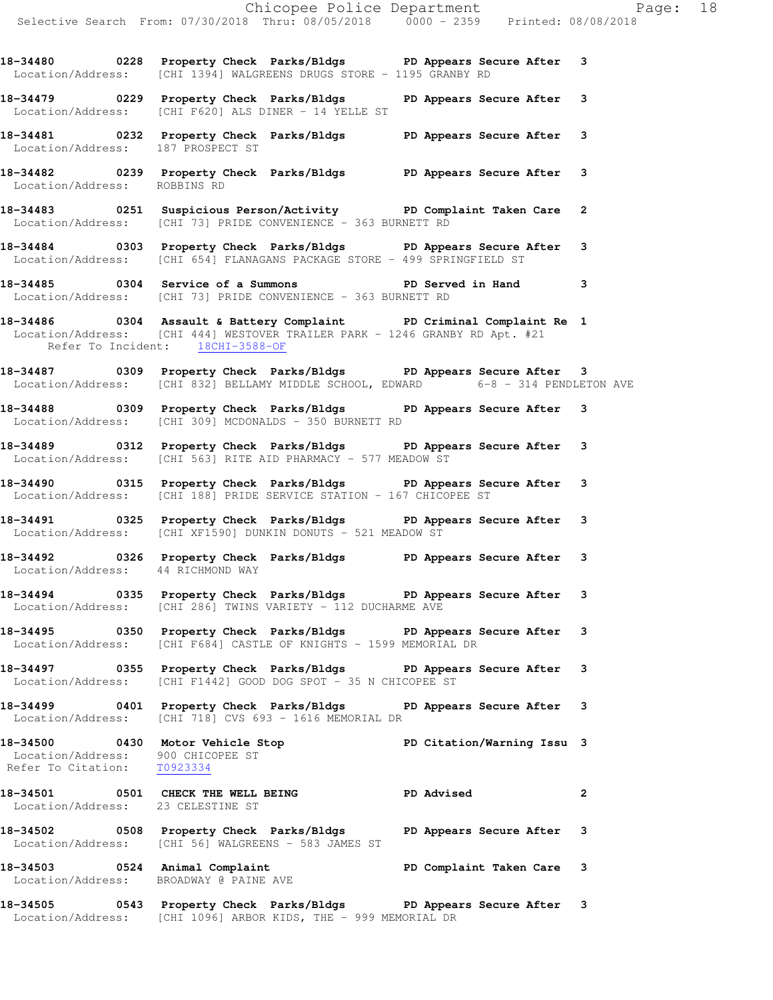Chicopee Police Department Page: 18 Selective Search From: 07/30/2018 Thru: 08/05/2018 0000 - 2359 Printed: 08/08/2018 **18-34480 0228 Property Check Parks/Bldgs PD Appears Secure After 3**  Location/Address: [CHI 1394] WALGREENS DRUGS STORE - 1195 GRANBY RD **18-34479 0229 Property Check Parks/Bldgs PD Appears Secure After 3**  Location/Address: [CHI F620] ALS DINER - 14 YELLE ST **18-34481 0232 Property Check Parks/Bldgs PD Appears Secure After 3**  Location/Address: 187 PROSPECT ST **18-34482 0239 Property Check Parks/Bldgs PD Appears Secure After 3**  Location/Address: ROBBINS RD **18-34483 0251 Suspicious Person/Activity PD Complaint Taken Care 2**  Location/Address: [CHI 73] PRIDE CONVENIENCE - 363 BURNETT RD **18-34484 0303 Property Check Parks/Bldgs PD Appears Secure After 3**  Location/Address: [CHI 654] FLANAGANS PACKAGE STORE - 499 SPRINGFIELD ST **18-34485 0304 Service of a Summons PD Served in Hand 3**  Location/Address: [CHI 73] PRIDE CONVENIENCE - 363 BURNETT RD **18-34486 0304 Assault & Battery Complaint PD Criminal Complaint Re 1**  Location/Address: [CHI 444] WESTOVER TRAILER PARK - 1246 GRANBY RD Apt. #21 Refer To Incident: 18CHI-3588-OF **18-34487 0309 Property Check Parks/Bldgs PD Appears Secure After 3**  Location/Address: [CHI 832] BELLAMY MIDDLE SCHOOL, EDWARD 6-8 - 314 PENDLETON AVE **18-34488 0309 Property Check Parks/Bldgs PD Appears Secure After 3**  Location/Address: [CHI 309] MCDONALDS - 350 BURNETT RD **18-34489 0312 Property Check Parks/Bldgs PD Appears Secure After 3**  Location/Address: [CHI 563] RITE AID PHARMACY - 577 MEADOW ST **18-34490 0315 Property Check Parks/Bldgs PD Appears Secure After 3**  Location/Address: [CHI 188] PRIDE SERVICE STATION - 167 CHICOPEE ST **18-34491 0325 Property Check Parks/Bldgs PD Appears Secure After 3**  Location/Address: [CHI XF1590] DUNKIN DONUTS - 521 MEADOW ST **18-34492 0326 Property Check Parks/Bldgs PD Appears Secure After 3**  Location/Address: 44 RICHMOND WAY **18-34494 0335 Property Check Parks/Bldgs PD Appears Secure After 3**  Location/Address: [CHI 286] TWINS VARIETY - 112 DUCHARME AVE **18-34495 0350 Property Check Parks/Bldgs PD Appears Secure After 3**  Location/Address: [CHI F684] CASTLE OF KNIGHTS - 1599 MEMORIAL DR **18-34497 0355 Property Check Parks/Bldgs PD Appears Secure After 3**  Location/Address: [CHI F1442] GOOD DOG SPOT - 35 N CHICOPEE ST **18-34499 0401 Property Check Parks/Bldgs PD Appears Secure After 3**  Location/Address: [CHI 718] CVS 693 - 1616 MEMORIAL DR **18-34500 0430 Motor Vehicle Stop PD Citation/Warning Issu 3**  Location/Address: 900 CHICOPEE ST Refer To Citation: T0923334 **18-34501 0501 CHECK THE WELL BEING PD Advised 2**  Location/Address: 23 CELESTINE ST **18-34502 0508 Property Check Parks/Bldgs PD Appears Secure After 3**  Location/Address: [CHI 56] WALGREENS - 583 JAMES ST **18-34503 0524 Animal Complaint PD Complaint Taken Care 3**  Location/Address: BROADWAY @ PAINE AVE

**18-34505 0543 Property Check Parks/Bldgs PD Appears Secure After 3**  Location/Address: [CHI 1096] ARBOR KIDS, THE - 999 MEMORIAL DR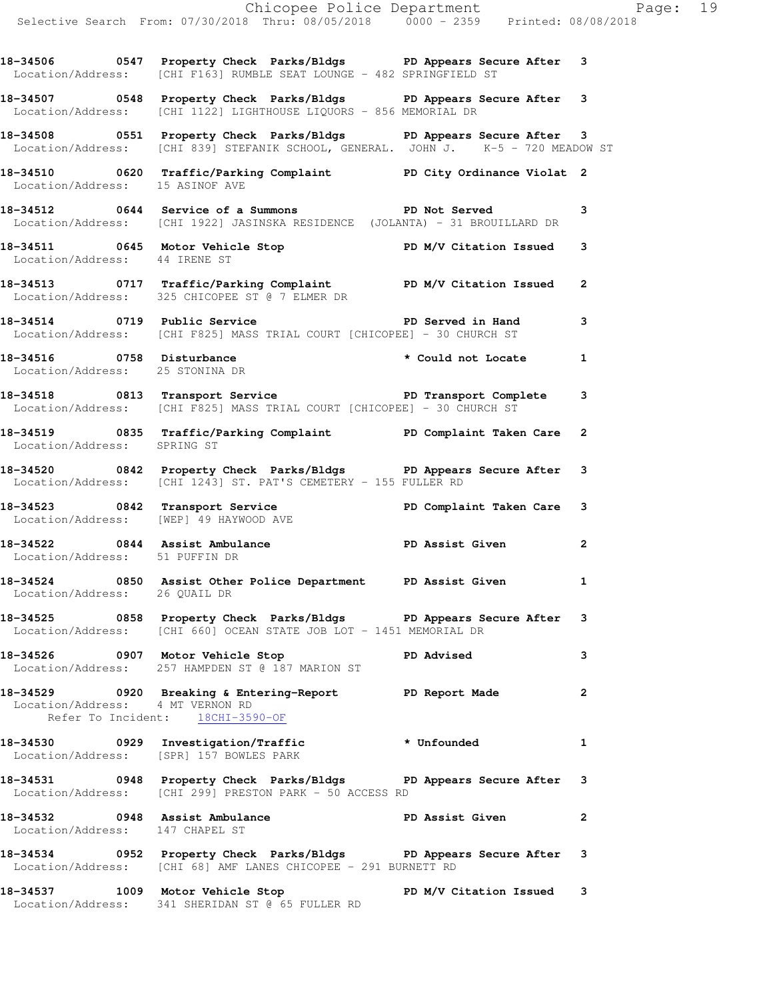Chicopee Police Department Fage: 19 Selective Search From: 07/30/2018 Thru: 08/05/2018 0000 - 2359 Printed: 08/08/2018 **18-34506 0547 Property Check Parks/Bldgs PD Appears Secure After 3**  Location/Address: [CHI F163] RUMBLE SEAT LOUNGE - 482 SPRINGFIELD ST **18-34507 0548 Property Check Parks/Bldgs PD Appears Secure After 3**  Location/Address: [CHI 1122] LIGHTHOUSE LIQUORS - 856 MEMORIAL DR **18-34508 0551 Property Check Parks/Bldgs PD Appears Secure After 3**  Location/Address: [CHI 839] STEFANIK SCHOOL, GENERAL. JOHN J. K-5 - 720 MEADOW ST **18-34510 0620 Traffic/Parking Complaint PD City Ordinance Violat 2**  Location/Address: 15 ASINOF AVE **18-34512 0644 Service of a Summons PD Not Served 3**  Location/Address: [CHI 1922] JASINSKA RESIDENCE (JOLANTA) - 31 BROUILLARD DR 18-34511 0645 Motor Vehicle Stop **PD M/V Citation Issued** 3 Location/Address: 44 IRENE ST **18-34513 0717 Traffic/Parking Complaint PD M/V Citation Issued 2**  Location/Address: 325 CHICOPEE ST @ 7 ELMER DR **18-34514 0719 Public Service PD Served in Hand 3**  Location/Address: [CHI F825] MASS TRIAL COURT [CHICOPEE] - 30 CHURCH ST **18-34516 0758 Disturbance \* Could not Locate 1**  Location/Address: 25 STONINA DR 18-34518 **18-34518** 0813 Transport Service **PD Transport Complete** 3 Location/Address: [CHI F825] MASS TRIAL COURT [CHICOPEE] - 30 CHURCH ST **18-34519 0835 Traffic/Parking Complaint PD Complaint Taken Care 2**  Location/Address: SPRING ST **18-34520 0842 Property Check Parks/Bldgs PD Appears Secure After 3**  Location/Address: [CHI 1243] ST. PAT'S CEMETERY - 155 FULLER RD 18-34523 0842 Transport Service **PD Complaint Taken Care** 3 Location/Address: [WEP] 49 HAYWOOD AVE **18-34522 0844 Assist Ambulance PD Assist Given 2**  Location/Address: 51 PUFFIN DR **18-34524 0850 Assist Other Police Department PD Assist Given 1**  Location/Address: 26 QUAIL DR **18-34525 0858 Property Check Parks/Bldgs PD Appears Secure After 3**  Location/Address: [CHI 660] OCEAN STATE JOB LOT - 1451 MEMORIAL DR 18-34526 0907 Motor Vehicle Stop **PD Advised** 3 Location/Address: 257 HAMPDEN ST @ 187 MARION ST **18-34529 0920 Breaking & Entering-Report PD Report Made 2**  Location/Address: 4 MT VERNON RD Refer To Incident: 18CHI-3590-OF **18-34530 0929 Investigation/Traffic \* Unfounded 1**  Location/Address: [SPR] 157 BOWLES PARK **18-34531 0948 Property Check Parks/Bldgs PD Appears Secure After 3**  Location/Address: [CHI 299] PRESTON PARK - 50 ACCESS RD **18-34532 0948 Assist Ambulance PD Assist Given 2**  Location/Address: 147 CHAPEL ST **18-34534 0952 Property Check Parks/Bldgs PD Appears Secure After 3**  Location/Address: [CHI 68] AMF LANES CHICOPEE - 291 BURNETT RD 18-34537 1009 Motor Vehicle Stop **PD M/V Citation Issued** 3

Location/Address: 341 SHERIDAN ST @ 65 FULLER RD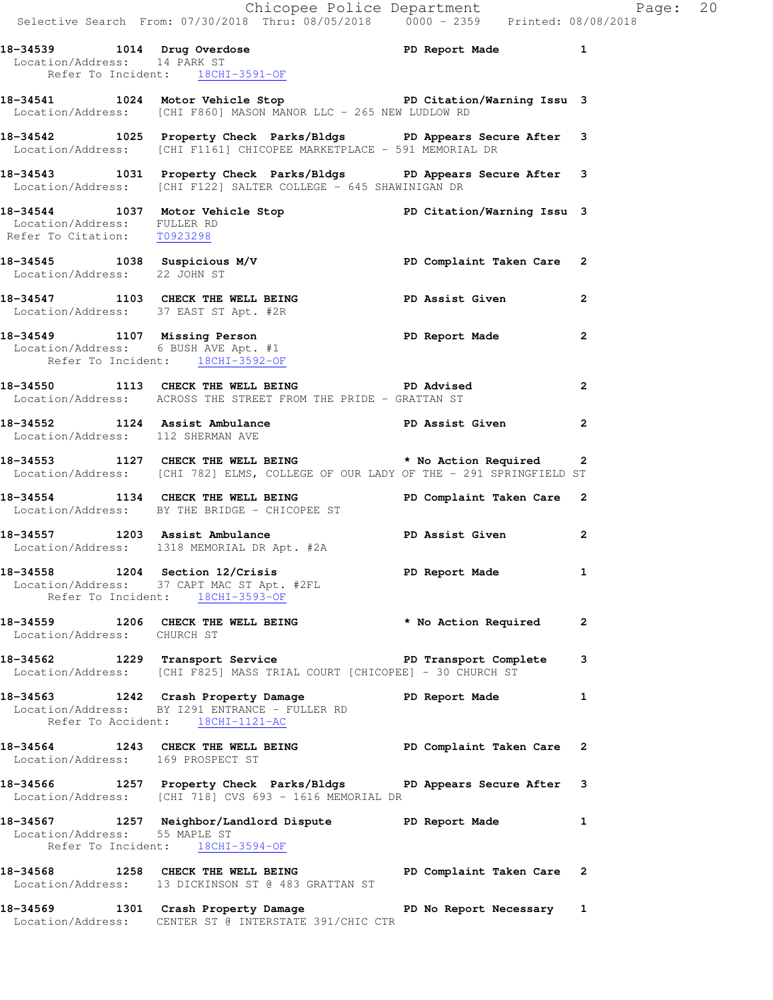|                                                            |                                                                                                                   | Chicopee Police Department                                                                                       | Selective Search From: 07/30/2018 Thru: 08/05/2018  0000 - 2359  Printed: 08/08/2018                                                           |                |
|------------------------------------------------------------|-------------------------------------------------------------------------------------------------------------------|------------------------------------------------------------------------------------------------------------------|------------------------------------------------------------------------------------------------------------------------------------------------|----------------|
|                                                            | Refer To Incident: 18CHI-3591-OF                                                                                  |                                                                                                                  | 18-34539 1014 Drug Overdose 1 PD Report Made 1 1<br>Location/Address: 14 PARK ST                                                               |                |
|                                                            |                                                                                                                   | Location/Address: [CHI F860] MASON MANOR LLC - 265 NEW LUDLOW RD                                                 | 18-34541 1024 Motor Vehicle Stop North PD Citation/Warning Issu 3                                                                              |                |
|                                                            |                                                                                                                   | Location/Address: [CHI F1161] CHICOPEE MARKETPLACE - 591 MEMORIAL DR                                             | 18-34542 1025 Property Check Parks/Bldgs PD Appears Secure After 3                                                                             |                |
|                                                            |                                                                                                                   | Location/Address: [CHI F122] SALTER COLLEGE - 645 SHAWINIGAN DR                                                  | 18-34543 1031 Property Check Parks/Bldgs PD Appears Secure After 3                                                                             |                |
| Location/Address: FULLER RD<br>Refer To Citation: T0923298 |                                                                                                                   |                                                                                                                  | 18-34544 1037 Motor Vehicle Stop Notor PD Citation/Warning Issu 3                                                                              |                |
|                                                            |                                                                                                                   |                                                                                                                  | 18-34545   1038   Suspicious M/V   PD Complaint Taken Care   2<br>Location/Address: 22   JOHN ST                                               |                |
|                                                            | Location/Address: 37 EAST ST Apt. #2R                                                                             |                                                                                                                  | 18-34547 1103 CHECK THE WELL BEING PD Assist Given                                                                                             | $\overline{2}$ |
|                                                            | Refer To Incident: 18CHI-3592-OF                                                                                  |                                                                                                                  | 18-34549 1107 Missing Person<br>Location/Address: 6 BUSH AVE Apt. #1                                                                           | 2              |
|                                                            |                                                                                                                   | 18-34550 1113 CHECK THE WELL BEING PD Advised<br>Location/Address: ACROSS THE STREET FROM THE PRIDE - GRATTAN ST |                                                                                                                                                | $\overline{2}$ |
|                                                            | Location/Address: 112 SHERMAN AVE                                                                                 |                                                                                                                  | 18-34552 1124 Assist Ambulance New PD Assist Given                                                                                             | $\mathbf{2}$   |
|                                                            |                                                                                                                   |                                                                                                                  | 18-34553 1127 CHECK THE WELL BEING * No Action Required 2<br>Location/Address: [CHI 782] ELMS, COLLEGE OF OUR LADY OF THE - 291 SPRINGFIELD ST |                |
|                                                            | Location/Address: BY THE BRIDGE - CHICOPEE ST                                                                     |                                                                                                                  | 18-34554 1134 CHECK THE WELL BEING PD Complaint Taken Care 2                                                                                   |                |
|                                                            | 18-34557 1203 Assist Ambulance<br>Location/Address: 1318 MEMORIAL DR Apt. #2A                                     |                                                                                                                  | PD Assist Given                                                                                                                                | $\mathbf{2}$   |
|                                                            | 18-34558 1204 Section 12/Crisis<br>Location/Address: 37 CAPT MAC ST Apt. #2FL<br>Refer To Incident: 18CHI-3593-OF |                                                                                                                  | PD Report Made 1                                                                                                                               |                |
| Location/Address: CHURCH ST                                |                                                                                                                   |                                                                                                                  | 18-34559 1206 CHECK THE WELL BEING * No Action Required                                                                                        | $\overline{2}$ |
|                                                            |                                                                                                                   | Location/Address: [CHI F825] MASS TRIAL COURT [CHICOPEE] - 30 CHURCH ST                                          | 18-34562 1229 Transport Service New PD Transport Complete                                                                                      | 3              |
|                                                            | Location/Address: BY I291 ENTRANCE - FULLER RD<br>Refer To Accident: 18CHI-1121-AC                                | 18-34563 1242 Crash Property Damage PD Report Made                                                               |                                                                                                                                                | 1              |
|                                                            | Location/Address: 169 PROSPECT ST                                                                                 |                                                                                                                  | 18-34564 1243 CHECK THE WELL BEING PD Complaint Taken Care                                                                                     | 2              |
|                                                            |                                                                                                                   |                                                                                                                  | 18-34566 1257 Property Check Parks/Bldgs PD Appears Secure After 3<br>Location/Address: [CHI 718] CVS 693 - 1616 MEMORIAL DR                   |                |
| Location/Address: 55 MAPLE ST                              | Refer To Incident: 18CHI-3594-OF                                                                                  | 18-34567 1257 Neighbor/Landlord Dispute PD Report Made                                                           |                                                                                                                                                | 1              |
|                                                            |                                                                                                                   | Location/Address: 13 DICKINSON ST @ 483 GRATTAN ST                                                               | 18-34568 1258 CHECK THE WELL BEING PD Complaint Taken Care 2                                                                                   |                |
|                                                            |                                                                                                                   | Location/Address: CENTER ST @ INTERSTATE 391/CHIC CTR                                                            | 18-34569 1301 Crash Property Damage No PD No Report Necessary 1                                                                                |                |

Page:  $20$ <br> $2018$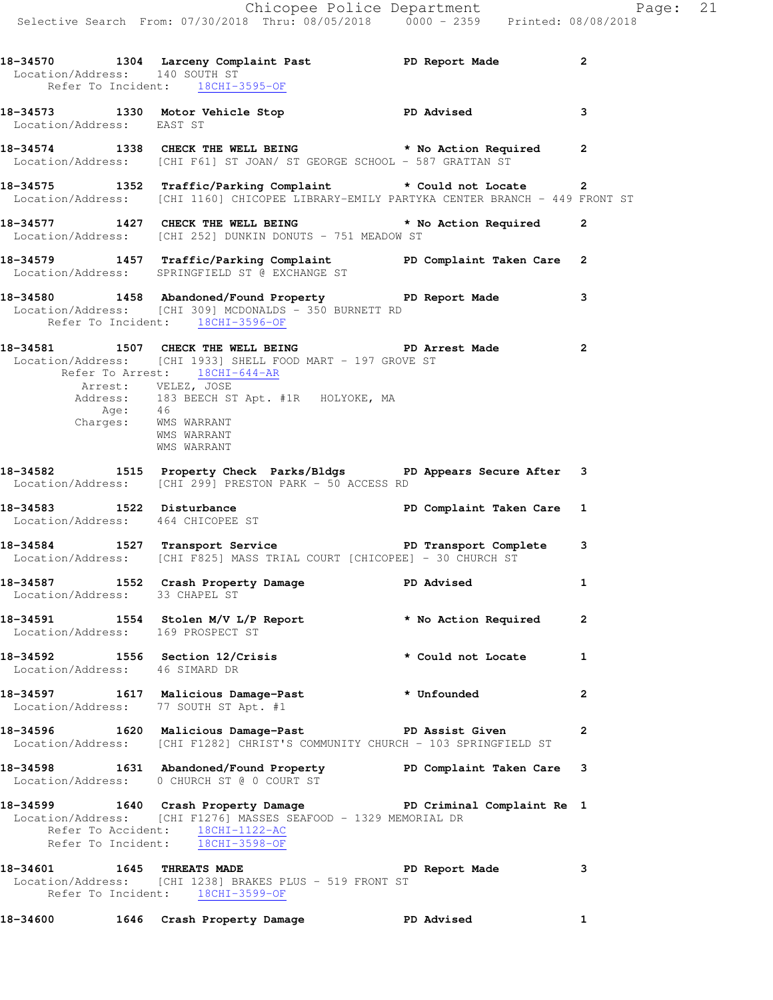|                                                                | Chicopee Police Department<br>Selective Search From: 07/30/2018 Thru: 08/05/2018 0000 - 2359 Printed: 08/08/2018                                                                                                                                       |                           |              |  |
|----------------------------------------------------------------|--------------------------------------------------------------------------------------------------------------------------------------------------------------------------------------------------------------------------------------------------------|---------------------------|--------------|--|
| Location/Address: 140 SOUTH ST                                 | 18-34570 1304 Larceny Complaint Past PD Report Made<br>Refer To Incident: 18CHI-3595-OF                                                                                                                                                                |                           | $\mathbf{2}$ |  |
| Location/Address: EAST ST                                      | 18-34573 1330 Motor Vehicle Stop North PD Advised 3                                                                                                                                                                                                    |                           |              |  |
|                                                                | 18-34574 1338 CHECK THE WELL BEING * No Action Required 2<br>Location/Address: [CHI F61] ST JOAN/ ST GEORGE SCHOOL - 587 GRATTAN ST                                                                                                                    |                           |              |  |
|                                                                | 18-34575 1352 Traffic/Parking Complaint * Could not Locate 2<br>Location/Address: [CHI 1160] CHICOPEE LIBRARY-EMILY PARTYKA CENTER BRANCH - 449 FRONT ST                                                                                               |                           |              |  |
|                                                                | 18-34577 1427 CHECK THE WELL BEING * No Action Required 2<br>Location/Address: [CHI 252] DUNKIN DONUTS - 751 MEADOW ST                                                                                                                                 |                           |              |  |
|                                                                | 18-34579   1457   Traffic/Parking Complaint   PD Complaint Taken Care   2<br>Location/Address: SPRINGFIELD ST @ EXCHANGE ST                                                                                                                            |                           |              |  |
| Refer To Incident: 18CHI-3596-OF                               | 18-34580 1458 Abandoned/Found Property PD Report Made<br>Location/Address: [CHI 309] MCDONALDS - 350 BURNETT RD                                                                                                                                        |                           | 3            |  |
| Age: 46<br>Charges: MMS WARRANT                                | 18-34581 1507 CHECK THE WELL BEING PD Arrest Made 2<br>Location/Address: [CHI 1933] SHELL FOOD MART - 197 GROVE ST<br>Refer To Arrest: 18CHI-644-AR<br>Arrest: VELEZ, JOSE<br>Address: 183 BEECH ST Apt. #1R HOLYOKE, MA<br>WMS WARRANT<br>WMS WARRANT |                           |              |  |
|                                                                | 18-34582 1515 Property Check Parks/Bldgs PD Appears Secure After 3<br>Location/Address: [CHI 299] PRESTON PARK - 50 ACCESS RD                                                                                                                          |                           |              |  |
| 18-34583 1522 Disturbance<br>Location/Address: 464 CHICOPEE ST |                                                                                                                                                                                                                                                        | PD Complaint Taken Care 1 |              |  |
|                                                                | 18-34584 1527 Transport Service <b>18-34584</b> PD Transport Complete 3<br>Location/Address: [CHI F825] MASS TRIAL COURT [CHICOPEE] - 30 CHURCH ST                                                                                                     |                           |              |  |
| Location/Address: 33 CHAPEL ST                                 | 18-34587 1552 Crash Property Damage Natural PD Advised 1                                                                                                                                                                                               |                           |              |  |
| Location/Address: 169 PROSPECT ST                              | 18-34591 1554 Stolen M/V L/P Report $\star$ No Action Required 2                                                                                                                                                                                       |                           |              |  |
| Location/Address: 46 SIMARD DR                                 | 18-34592 1556 Section 12/Crisis * Could not Locate 1                                                                                                                                                                                                   |                           |              |  |
| Location/Address: 77 SOUTH ST Apt. #1                          | 18-34597 1617 Malicious Damage-Past * Unfounded                                                                                                                                                                                                        |                           | $\mathbf{2}$ |  |
|                                                                | 18-34596 1620 Malicious Damage-Past Nervich BD Assist Given<br>Location/Address: [CHI F1282] CHRIST'S COMMUNITY CHURCH - 103 SPRINGFIELD ST                                                                                                            |                           | $\mathbf{2}$ |  |
|                                                                | 18-34598 1631 Abandoned/Found Property PD Complaint Taken Care 3<br>Location/Address: 0 CHURCH ST @ 0 COURT ST                                                                                                                                         |                           |              |  |
| Refer To Incident: 18CHI-3598-OF                               | 18-34599 1640 Crash Property Damage New PD Criminal Complaint Re 1<br>Location/Address: [CHI F1276] MASSES SEAFOOD - 1329 MEMORIAL DR<br>Refer To Accident: 18CHI-1122-AC                                                                              |                           |              |  |
|                                                                | 18-34601 1645 THREATS MADE <b>The Contract OF SEAL ASSESS</b> 2<br>Location/Address: [CHI 1238] BRAKES PLUS - 519 FRONT ST<br>Refer To Incident: 18CHI-3599-OF                                                                                         |                           |              |  |

**18-34600 1646 Crash Property Damage PD Advised 1**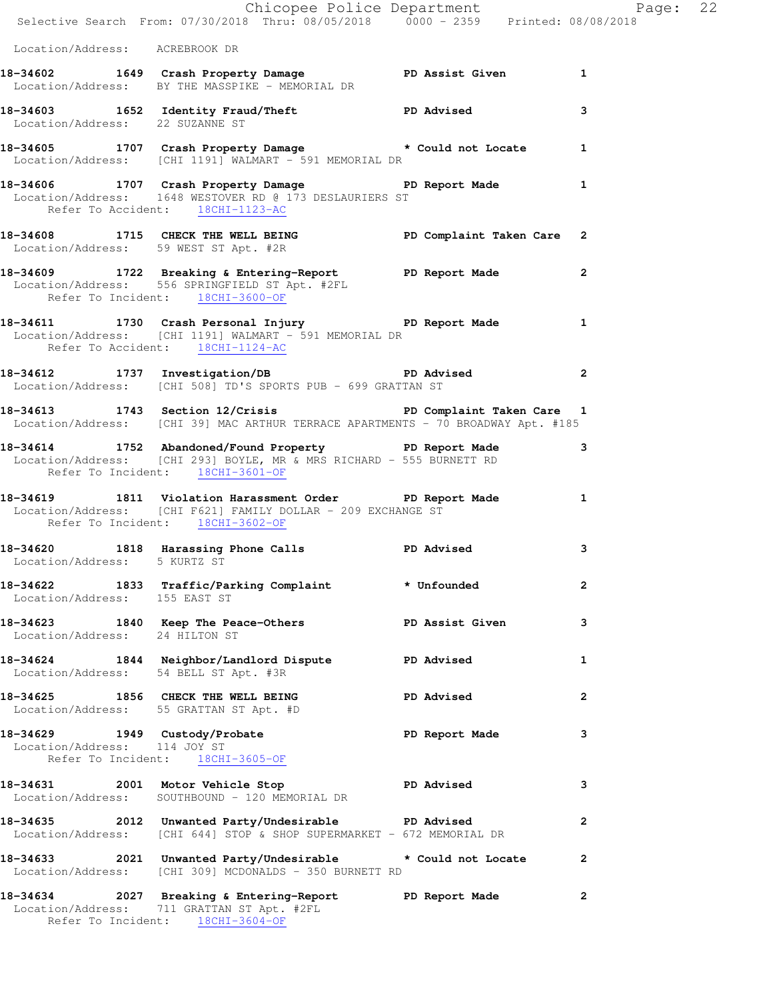|                                 | Chicopee Police Department<br>Selective Search From: 07/30/2018 Thru: 08/05/2018 0000 - 2359 Printed: 08/08/2018                                                    |                   |              |
|---------------------------------|---------------------------------------------------------------------------------------------------------------------------------------------------------------------|-------------------|--------------|
| Location/Address: ACREBROOK DR  |                                                                                                                                                                     |                   |              |
|                                 | 18-34602 1649 Crash Property Damage PD Assist Given 1<br>Location/Address: BY THE MASSPIKE - MEMORIAL DR                                                            |                   |              |
| Location/Address: 22 SUZANNE ST | 18-34603 1652 Identity Fraud/Theft No PD Advised                                                                                                                    |                   | 3            |
|                                 | 18-34605 1707 Crash Property Damage that a bould not Locate 1<br>Location/Address: [CHI 1191] WALMART - 591 MEMORIAL DR                                             |                   |              |
|                                 | 18-34606 1707 Crash Property Damage Name PD Report Made 1<br>Location/Address: 1648 WESTOVER RD @ 173 DESLAURIERS ST<br>Refer To Accident: 18CHI-1123-AC            |                   |              |
|                                 | 18-34608 1715 CHECK THE WELL BEING PD Complaint Taken Care 2<br>Location/Address: 59 WEST ST Apt. #2R                                                               |                   |              |
|                                 | 18-34609 1722 Breaking & Entering-Report PD Report Made 2<br>Location/Address: 556 SPRINGFIELD ST Apt. #2FL<br>Refer To Incident: 18CHI-3600-OF                     |                   |              |
|                                 | 18-34611 1730 Crash Personal Injury 1912 PD Report Made 1<br>Location/Address: [CHI 1191] WALMART - 591 MEMORIAL DR<br>Refer To Accident: 18CHI-1124-AC             |                   |              |
|                                 | 18-34612 1737 Investigation/DB PD Advised<br>Location/Address: [CHI 508] TD'S SPORTS PUB - 699 GRATTAN ST                                                           |                   |              |
|                                 | 18-34613 1743 Section 12/Crisis PD Complaint Taken Care 1<br>Location/Address: [CHI 39] MAC ARTHUR TERRACE APARTMENTS - 70 BROADWAY Apt. #185                       |                   |              |
|                                 | 18-34614 1752 Abandoned/Found Property PD Report Made 3<br>Location/Address: [CHI 293] BOYLE, MR & MRS RICHARD - 555 BURNETT RD<br>Refer To Incident: 18CHI-3601-OF |                   |              |
|                                 | 18-34619 1811 Violation Harassment Order PD Report Made 1<br>Location/Address: [CHI F621] FAMILY DOLLAR - 209 EXCHANGE ST<br>Refer To Incident: 18CHI-3602-OF       |                   |              |
| Location/Address: 5 KURTZ ST    | 18-34620 1818 Harassing Phone Calls 5 PD Advised                                                                                                                    |                   | 3            |
| Location/Address: 155 EAST ST   | 18-34622 1833 Traffic/Parking Complaint * Unfounded                                                                                                                 |                   | 2            |
| Location/Address: 24 HILTON ST  | 18-34623 1840 Keep The Peace-Others PD Assist Given                                                                                                                 |                   | 3            |
|                                 | 18-34624 1844 Neighbor/Landlord Dispute PD Advised<br>Location/Address: 54 BELL ST Apt. #3R                                                                         |                   | 1            |
|                                 | 18-34625 1856 CHECK THE WELL BEING<br>Location/Address: 55 GRATTAN ST Apt. #D                                                                                       | <b>PD Advised</b> | 2            |
| Location/Address: 114 JOY ST    | 18-34629 1949 Custody/Probate<br>Refer To Incident: 18CHI-3605-OF                                                                                                   | PD Report Made    | 3            |
|                                 | 18-34631 2001 Motor Vehicle Stop 50 PD Advised<br>Location/Address: SOUTHBOUND - 120 MEMORIAL DR                                                                    |                   | 3            |
|                                 | 18-34635 2012 Unwanted Party/Undesirable PD Advised<br>Location/Address: [CHI 644] STOP & SHOP SUPERMARKET - 672 MEMORIAL DR                                        |                   | $\mathbf{2}$ |
|                                 | 18-34633 2021 Unwanted Party/Undesirable to a Could not Locate<br>Location/Address: [CHI 309] MCDONALDS - 350 BURNETT RD                                            |                   | 2            |
|                                 | 18-34634 2027 Breaking & Entering-Report PD Report Made<br>Location/Address: 711 GRATTAN ST Apt. #2FL                                                               |                   | $\mathbf{2}$ |

Refer To Incident: 18CHI-3604-OF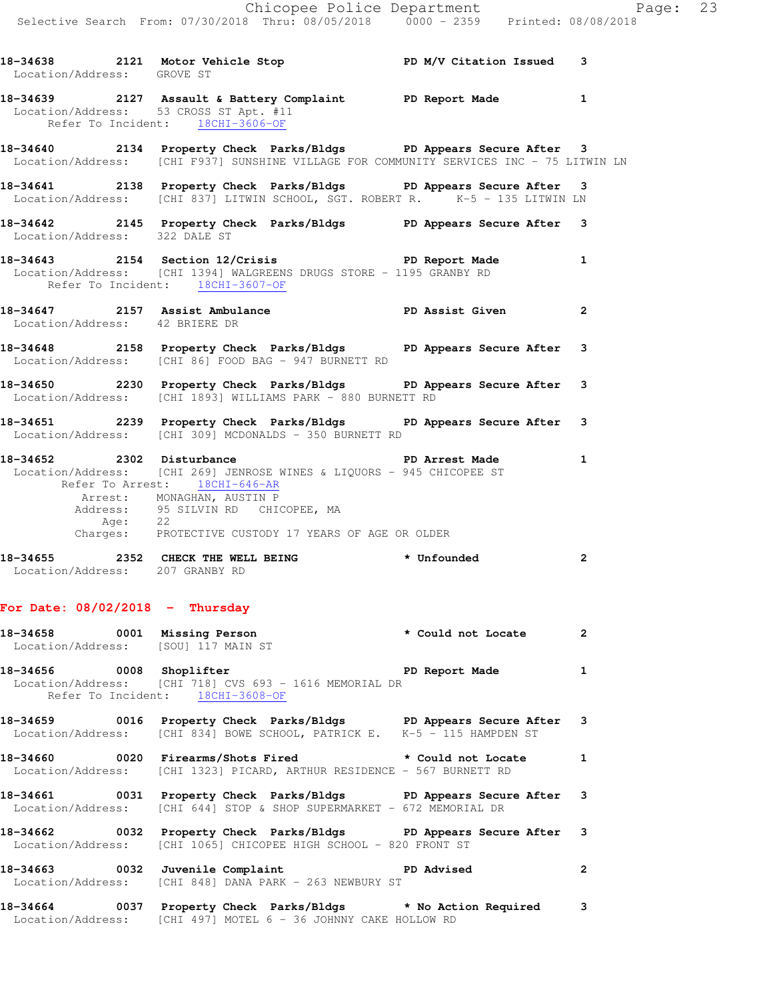| Location/Address: GROVE ST      | 18-34638 2121 Motor Vehicle Stop N/V Citation Issued 3                                                                                                                                                                                                                                         |                |
|---------------------------------|------------------------------------------------------------------------------------------------------------------------------------------------------------------------------------------------------------------------------------------------------------------------------------------------|----------------|
|                                 | 18-34639 2127 Assault & Battery Complaint PD Report Made<br>Location/Address: 53 CROSS ST Apt. #11<br>Refer To Incident: 18CHI-3606-OF                                                                                                                                                         | $\mathbf{1}$   |
|                                 | 18-34640 2134 Property Check Parks/Bldgs PD Appears Secure After 3<br>Location/Address: [CHI F937] SUNSHINE VILLAGE FOR COMMUNITY SERVICES INC - 75 LITWIN LN                                                                                                                                  |                |
|                                 | 18-34641 2138 Property Check Parks/Bldgs PD Appears Secure After 3<br>Location/Address: [CHI 837] LITWIN SCHOOL, SGT. ROBERT R. K-5 - 135 LITWIN LN                                                                                                                                            |                |
| Location/Address: 322 DALE ST   | 18-34642 2145 Property Check Parks/Bldgs PD Appears Secure After 3                                                                                                                                                                                                                             |                |
|                                 | 18-34643 2154 Section 12/Crisis The PD Report Made<br>Location/Address: [CHI 1394] WALGREENS DRUGS STORE - 1195 GRANBY RD<br>Refer To Incident: 18CHI-3607-OF                                                                                                                                  | $\mathbf{1}$   |
| Location/Address: 42 BRIERE DR  | 18-34647 2157 Assist Ambulance New PD Assist Given                                                                                                                                                                                                                                             | $\mathbf{2}$   |
|                                 | 18-34648 2158 Property Check Parks/Bldgs PD Appears Secure After<br>Location/Address: [CHI 86] FOOD BAG - 947 BURNETT RD                                                                                                                                                                       | 3              |
|                                 | 18-34650 2230 Property Check Parks/Bldgs PD Appears Secure After 3<br>Location/Address: [CHI 1893] WILLIAMS PARK - 880 BURNETT RD                                                                                                                                                              |                |
|                                 | 18-34651 2239 Property Check Parks/Bldgs PD Appears Secure After<br>Location/Address: [CHI 309] MCDONALDS - 350 BURNETT RD                                                                                                                                                                     | 3              |
|                                 | 18-34652 2302 Disturbance 2008 PD Arrest Made<br>Location/Address: [CHI 269] JENROSE WINES & LIQUORS - 945 CHICOPEE ST<br>Refer To Arrest: 18CHI-646-AR<br>Arrest: MONAGHAN, AUSTIN P<br>Address: 95 SILVIN RD CHICOPEE, MA<br>Age: 22<br>Charges: PROTECTIVE CUSTODY 17 YEARS OF AGE OR OLDER | 1              |
| Location/Address: 207 GRANBY RD | 18-34655 2352 CHECK THE WELL BEING * Unfounded                                                                                                                                                                                                                                                 | $\overline{2}$ |

## **For Date: 08/02/2018 - Thursday**

|  | 18-34658 0001 Missing Person<br>Location/Address: [SOU] 117 MAIN ST                                                                                   | * Could not Locate 2 |                            |
|--|-------------------------------------------------------------------------------------------------------------------------------------------------------|----------------------|----------------------------|
|  | 18-34656 0008 Shoplifter the series of PD Report Made 1<br>Location/Address: [CHI 718] CVS 693 - 1616 MEMORIAL DR<br>Refer To Incident: 18CHI-3608-OF |                      |                            |
|  | 18-34659 0016 Property Check Parks/Bldgs PD Appears Secure After 3<br>Location/Address: [CHI 834] BOWE SCHOOL, PATRICK E. K-5 - 115 HAMPDEN ST        |                      |                            |
|  | 18-34660 0020 Firearms/Shots Fired * Could not Locate 1<br>  Location/Address: [CHI 1323] PICARD, ARTHUR RESIDENCE - 567 BURNETT RD                   |                      |                            |
|  | 18-34661 0031 Property Check Parks/Bldgs PD Appears Secure After 3<br>  Location/Address: [CHI 644] STOP & SHOP SUPERMARKET - 672 MEMORIAL DR         |                      |                            |
|  | 18-34662 0032 Property Check Parks/Bldgs PD Appears Secure After 3<br>Location/Address: [CHI 1065] CHICOPEE HIGH SCHOOL - 820 FRONT ST                |                      |                            |
|  | 18-34663 0032 Juvenile Complaint PD Advised<br>Location/Address: [CHI 848] DANA PARK - 263 NEWBURY ST                                                 |                      | $\overline{\phantom{a}}$ 2 |
|  | 18-34664 0037 Property Check Parks/Bldgs * No Action Required 3                                                                                       |                      |                            |

Location/Address: [CHI 497] MOTEL 6 - 36 JOHNNY CAKE HOLLOW RD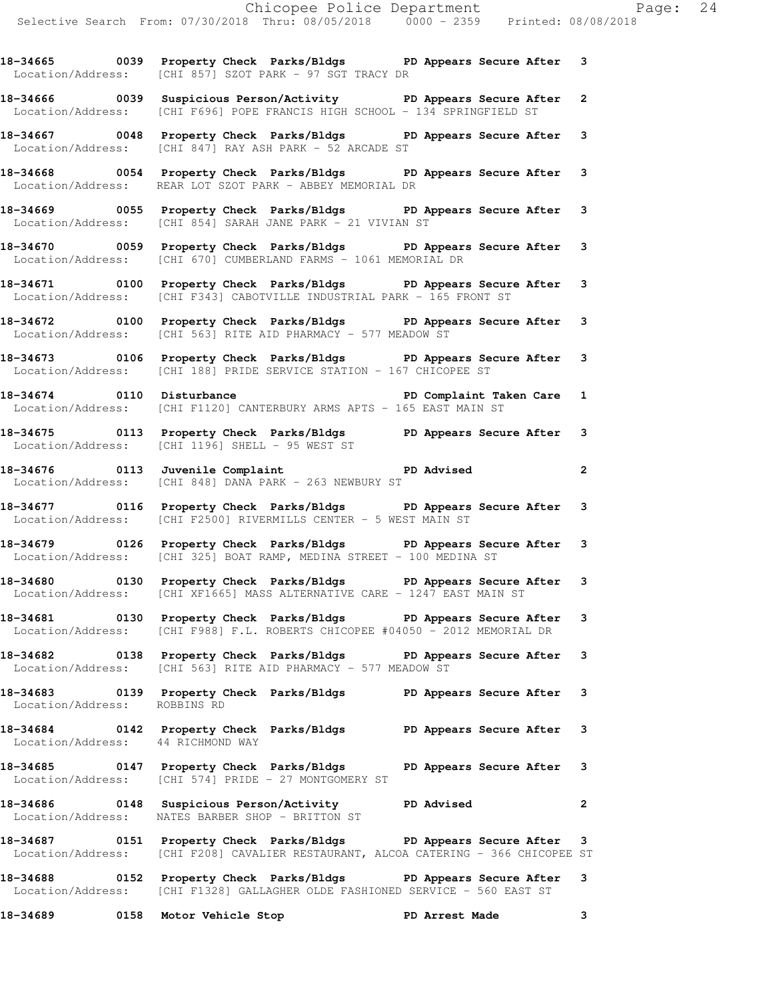**18-34665 0039 Property Check Parks/Bldgs PD Appears Secure After 3**  Location/Address: [CHI 857] SZOT PARK - 97 SGT TRACY DR

**18-34666 0039 Suspicious Person/Activity PD Appears Secure After 2**  Location/Address: [CHI F696] POPE FRANCIS HIGH SCHOOL - 134 SPRINGFIELD ST

**18-34667 0048 Property Check Parks/Bldgs PD Appears Secure After 3**  Location/Address: [CHI 847] RAY ASH PARK - 52 ARCADE ST

**18-34668 0054 Property Check Parks/Bldgs PD Appears Secure After 3**  Location/Address: REAR LOT SZOT PARK - ABBEY MEMORIAL DR

**18-34669 0055 Property Check Parks/Bldgs PD Appears Secure After 3**  Location/Address: [CHI 854] SARAH JANE PARK - 21 VIVIAN ST

**18-34670 0059 Property Check Parks/Bldgs PD Appears Secure After 3**  Location/Address: [CHI 670] CUMBERLAND FARMS - 1061 MEMORIAL DR

**18-34671 0100 Property Check Parks/Bldgs PD Appears Secure After 3**  Location/Address: [CHI F343] CABOTVILLE INDUSTRIAL PARK - 165 FRONT ST

**18-34672 0100 Property Check Parks/Bldgs PD Appears Secure After 3**  Location/Address: [CHI 563] RITE AID PHARMACY - 577 MEADOW ST

**18-34673 0106 Property Check Parks/Bldgs PD Appears Secure After 3**  Location/Address: [CHI 188] PRIDE SERVICE STATION - 167 CHICOPEE ST

18-34674 0110 Disturbance **PD Complaint Taken Care** 1 Location/Address: [CHI F1120] CANTERBURY ARMS APTS - 165 EAST MAIN ST

**18-34675 0113 Property Check Parks/Bldgs PD Appears Secure After 3**  Location/Address: [CHI 1196] SHELL - 95 WEST ST

**18-34676 0113 Juvenile Complaint PD Advised 2**  Location/Address: [CHI 848] DANA PARK - 263 NEWBURY ST

**18-34677 0116 Property Check Parks/Bldgs PD Appears Secure After 3**  Location/Address: [CHI F2500] RIVERMILLS CENTER - 5 WEST MAIN ST

**18-34679 0126 Property Check Parks/Bldgs PD Appears Secure After 3**  Location/Address: [CHI 325] BOAT RAMP, MEDINA STREET - 100 MEDINA ST

**18-34680 0130 Property Check Parks/Bldgs PD Appears Secure After 3**  Location/Address: [CHI XF1665] MASS ALTERNATIVE CARE - 1247 EAST MAIN ST

**18-34681 0130 Property Check Parks/Bldgs PD Appears Secure After 3**  Location/Address: [CHI F988] F.L. ROBERTS CHICOPEE #04050 - 2012 MEMORIAL DR

**18-34682 0138 Property Check Parks/Bldgs PD Appears Secure After 3**  Location/Address: [CHI 563] RITE AID PHARMACY - 577 MEADOW ST

**18-34683 0139 Property Check Parks/Bldgs PD Appears Secure After 3**  Location/Address: ROBBINS RD

**18-34684 0142 Property Check Parks/Bldgs PD Appears Secure After 3**  Location/Address: 44 RICHMOND WAY

**18-34685 0147 Property Check Parks/Bldgs PD Appears Secure After 3**  Location/Address: [CHI 574] PRIDE - 27 MONTGOMERY ST

**18-34686 0148 Suspicious Person/Activity PD Advised 2**  Location/Address: NATES BARBER SHOP - BRITTON ST

**18-34687 0151 Property Check Parks/Bldgs PD Appears Secure After 3**  Location/Address: [CHI F208] CAVALIER RESTAURANT, ALCOA CATERING - 366 CHICOPEE ST **18-34688 0152 Property Check Parks/Bldgs PD Appears Secure After 3**  Location/Address: [CHI F1328] GALLAGHER OLDE FASHIONED SERVICE - 560 EAST ST

**18-34689 0158 Motor Vehicle Stop PD Arrest Made 3**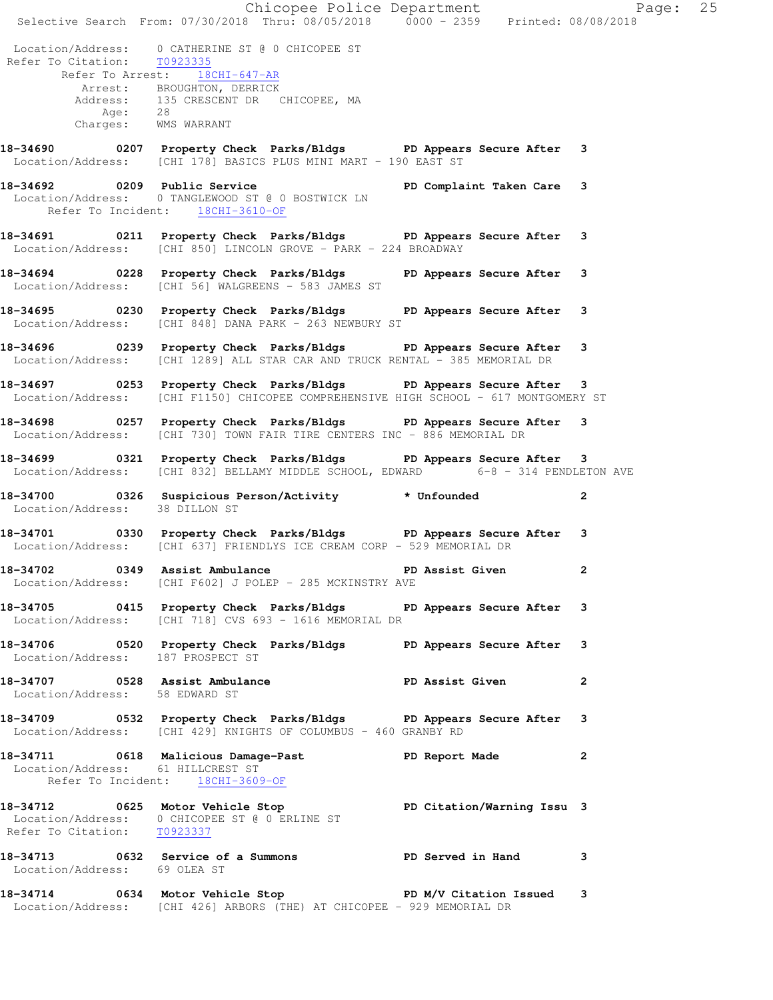Chicopee Police Department Fage: 25 Selective Search From: 07/30/2018 Thru: 08/05/2018 0000 - 2359 Printed: 08/08/2018 Location/Address: 0 CATHERINE ST @ 0 CHICOPEE ST Refer To Citation: T0923335 Refer To Arrest: 18CHI-647-AR Arrest: BROUGHTON, DERRICK Address: 135 CRESCENT DR CHICOPEE, MA Age: 28 Charges: WMS WARRANT **18-34690 0207 Property Check Parks/Bldgs PD Appears Secure After 3**  Location/Address: [CHI 178] BASICS PLUS MINI MART - 190 EAST ST **18-34692 0209 Public Service PD Complaint Taken Care 3**  Location/Address: 0 TANGLEWOOD ST @ 0 BOSTWICK LN Refer To Incident: 18CHI-3610-OF **18-34691 0211 Property Check Parks/Bldgs PD Appears Secure After 3**  Location/Address: [CHI 850] LINCOLN GROVE - PARK - 224 BROADWAY **18-34694 0228 Property Check Parks/Bldgs PD Appears Secure After 3**  Location/Address: [CHI 56] WALGREENS - 583 JAMES ST **18-34695 0230 Property Check Parks/Bldgs PD Appears Secure After 3**  Location/Address: [CHI 848] DANA PARK - 263 NEWBURY ST **18-34696 0239 Property Check Parks/Bldgs PD Appears Secure After 3**  Location/Address: [CHI 1289] ALL STAR CAR AND TRUCK RENTAL - 385 MEMORIAL DR **18-34697 0253 Property Check Parks/Bldgs PD Appears Secure After 3**  Location/Address: [CHI F1150] CHICOPEE COMPREHENSIVE HIGH SCHOOL - 617 MONTGOMERY ST **18-34698 0257 Property Check Parks/Bldgs PD Appears Secure After 3**  Location/Address: [CHI 730] TOWN FAIR TIRE CENTERS INC - 886 MEMORIAL DR **18-34699 0321 Property Check Parks/Bldgs PD Appears Secure After 3**  Location/Address: [CHI 832] BELLAMY MIDDLE SCHOOL, EDWARD 6-8 - 314 PENDLETON AVE **18-34700 0326 Suspicious Person/Activity \* Unfounded 2**  Location/Address: 38 DILLON ST **18-34701 0330 Property Check Parks/Bldgs PD Appears Secure After 3**  Location/Address: [CHI 637] FRIENDLYS ICE CREAM CORP - 529 MEMORIAL DR **18-34702 0349 Assist Ambulance PD Assist Given 2**  Location/Address: [CHI F602] J POLEP - 285 MCKINSTRY AVE **18-34705 0415 Property Check Parks/Bldgs PD Appears Secure After 3**  Location/Address: [CHI 718] CVS 693 - 1616 MEMORIAL DR **18-34706 0520 Property Check Parks/Bldgs PD Appears Secure After 3**  Location/Address: 187 PROSPECT ST **18-34707 0528 Assist Ambulance PD Assist Given 2**  Location/Address: 58 EDWARD ST **18-34709 0532 Property Check Parks/Bldgs PD Appears Secure After 3**  Location/Address: [CHI 429] KNIGHTS OF COLUMBUS - 460 GRANBY RD **18-34711 0618 Malicious Damage-Past PD Report Made 2**  Location/Address: 61 HILLCREST ST Refer To Incident: 18CHI-3609-OF **18-34712 0625 Motor Vehicle Stop PD Citation/Warning Issu 3**  Location/Address: 0 CHICOPEE ST @ 0 ERLINE ST Refer To Citation: T0923337 **18-34713 0632 Service of a Summons PD Served in Hand 3**  Location/Address: 69 OLEA ST **18-34714 0634 Motor Vehicle Stop PD M/V Citation Issued 3**  Location/Address: [CHI 426] ARBORS (THE) AT CHICOPEE - 929 MEMORIAL DR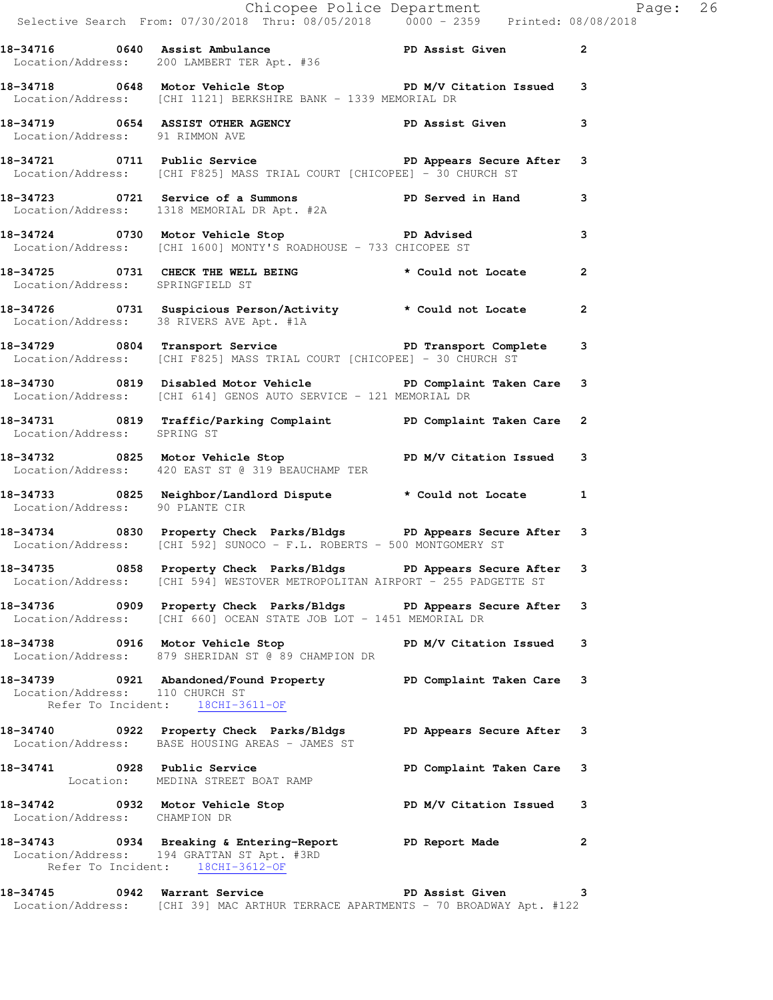|                                                                     | Chicopee Police Department<br>Selective Search From: 07/30/2018 Thru: 08/05/2018 0000 - 2359 Printed: 08/08/2018                                  |              |  |
|---------------------------------------------------------------------|---------------------------------------------------------------------------------------------------------------------------------------------------|--------------|--|
|                                                                     | 18-34716 0640 Assist Ambulance PD Assist Given<br>Location/Address: 200 LAMBERT TER Apt. #36                                                      |              |  |
|                                                                     | 18-34718 0648 Motor Vehicle Stop PD M/V Citation Issued 3<br>Location/Address: [CHI 1121] BERKSHIRE BANK - 1339 MEMORIAL DR                       |              |  |
| Location/Address: 91 RIMMON AVE                                     | 18-34719 0654 ASSIST OTHER AGENCY DPD Assist Given 3                                                                                              |              |  |
|                                                                     | 18-34721 0711 Public Service<br>Location/Address: [CHI F825] MASS TRIAL COURT [CHICOPEE] - 30 CHURCH ST                                           |              |  |
|                                                                     | 18-34723  0721  Service of a Summons<br>Location/Address: 1318  MEMORIAL DR Apt. #2A                                                              |              |  |
|                                                                     | 18-34724 0730 Motor Vehicle Stop PD Advised<br>Location/Address: [CHI 1600] MONTY'S ROADHOUSE - 733 CHICOPEE ST                                   | 3            |  |
| Location/Address: SPRINGFIELD ST                                    | 18-34725 0731 CHECK THE WELL BEING * Could not Locate 2                                                                                           |              |  |
|                                                                     | 18-34726 0731 Suspicious Person/Activity the Could not Locate<br>Location/Address: 38 RIVERS AVE Apt. #1A                                         | $\mathbf{2}$ |  |
|                                                                     | 18-34729 0804 Transport Service PD Transport Complete 3<br>Location/Address: [CHI F825] MASS TRIAL COURT [CHICOPEE] - 30 CHURCH ST                |              |  |
|                                                                     | 18-34730 0819 Disabled Motor Vehicle Noted PD Complaint Taken Care 3<br>Location/Address: [CHI 614] GENOS AUTO SERVICE - 121 MEMORIAL DR          |              |  |
| Location/Address: SPRING ST                                         | 18-34731 0819 Traffic/Parking Complaint PD Complaint Taken Care 2                                                                                 |              |  |
|                                                                     | 18-34732 0825 Motor Vehicle Stop N/V Citation Issued 3<br>Location/Address: 420 EAST ST @ 319 BEAUCHAMP TER                                       |              |  |
| Location/Address: 90 PLANTE CIR                                     | 18-34733 0825 Neighbor/Landlord Dispute the Mould not Locate 1                                                                                    |              |  |
|                                                                     | 18-34734 0830 Property Check Parks/Bldgs PD Appears Secure After 3<br>Location/Address: [CHI 592] SUNOCO - F.L. ROBERTS - 500 MONTGOMERY ST       |              |  |
|                                                                     | 18-34735 0858 Property Check Parks/Bldgs PD Appears Secure After 3<br>Location/Address: [CHI 594] WESTOVER METROPOLITAN AIRPORT - 255 PADGETTE ST |              |  |
|                                                                     | 18-34736 0909 Property Check Parks/Bldgs PD Appears Secure After 3<br>Location/Address: [CHI 660] OCEAN STATE JOB LOT - 1451 MEMORIAL DR          |              |  |
|                                                                     | 18-34738 0916 Motor Vehicle Stop PD M/V Citation Issued 3<br>Location/Address: 879 SHERIDAN ST @ 89 CHAMPION DR                                   |              |  |
| Location/Address: 110 CHURCH ST<br>Refer To Incident: 18CHI-3611-OF | 18-34739 0921 Abandoned/Found Property PD Complaint Taken Care 3                                                                                  |              |  |
|                                                                     | 18-34740 0922 Property Check Parks/Bldgs PD Appears Secure After 3<br>Location/Address: BASE HOUSING AREAS - JAMES ST                             |              |  |
|                                                                     | Location: MEDINA STREET BOAT RAMP                                                                                                                 |              |  |
| Location/Address: CHAMPION DR                                       | 18-34742 0932 Motor Vehicle Stop N/V Citation Issued 3                                                                                            |              |  |
| Refer To Incident: 18CHI-3612-OF                                    | 18-34743 0934 Breaking & Entering-Report PD Report Made<br>Location/Address: 194 GRATTAN ST Apt. #3RD                                             | $\mathbf{2}$ |  |
|                                                                     | 18-34745 0942 Warrant Service <b>18-18 PD</b> Assist Given<br>Location/Address: [CHI 39] MAC ARTHUR TERRACE APARTMENTS - 70 BROADWAY Apt. #122    | 3            |  |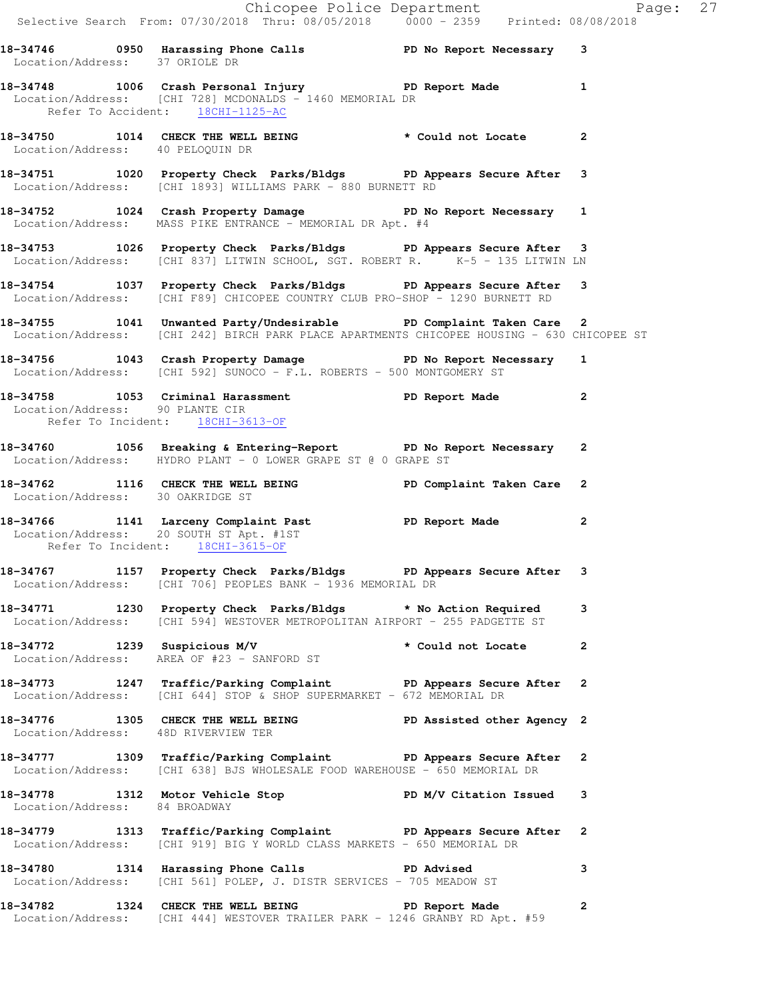**18-34750 1014 CHECK THE WELL BEING \* Could not Locate 2**  Location/Address: 40 PELOQUIN DR

**18-34751 1020 Property Check Parks/Bldgs PD Appears Secure After 3**  Location/Address: [CHI 1893] WILLIAMS PARK - 880 BURNETT RD

18-34752 1024 Crash Property Damage **PD No Report Necessary** 1 Location/Address: MASS PIKE ENTRANCE - MEMORIAL DR Apt. #4

**18-34753 1026 Property Check Parks/Bldgs PD Appears Secure After 3**  Location/Address: [CHI 837] LITWIN SCHOOL, SGT. ROBERT R. K-5 - 135 LITWIN LN

**18-34754 1037 Property Check Parks/Bldgs PD Appears Secure After 3**  Location/Address: [CHI F89] CHICOPEE COUNTRY CLUB PRO-SHOP - 1290 BURNETT RD

**18-34755 1041 Unwanted Party/Undesirable PD Complaint Taken Care 2**  Location/Address: [CHI 242] BIRCH PARK PLACE APARTMENTS CHICOPEE HOUSING - 630 CHICOPEE ST

**18-34756 1043 Crash Property Damage PD No Report Necessary 1**  Location/Address: [CHI 592] SUNOCO - F.L. ROBERTS - 500 MONTGOMERY ST

**18-34758 1053 Criminal Harassment PD Report Made 2**  Location/Address: 90 PLANTE CIR Refer To Incident: 18CHI-3613-OF

**18-34760 1056 Breaking & Entering-Report PD No Report Necessary 2**  Location/Address: HYDRO PLANT - 0 LOWER GRAPE ST @ 0 GRAPE ST

**18-34762 1116 CHECK THE WELL BEING PD Complaint Taken Care 2**  Location/Address: 30 OAKRIDGE ST

**18-34766 1141 Larceny Complaint Past PD Report Made 2**  Location/Address: 20 SOUTH ST Apt. #1ST Refer To Incident: 18CHI-3615-OF

**18-34767 1157 Property Check Parks/Bldgs PD Appears Secure After 3**  Location/Address: [CHI 706] PEOPLES BANK - 1936 MEMORIAL DR

**18-34771 1230 Property Check Parks/Bldgs \* No Action Required 3**  Location/Address: [CHI 594] WESTOVER METROPOLITAN AIRPORT - 255 PADGETTE ST

**18-34772 1239 Suspicious M/V \* Could not Locate 2**  Location/Address: AREA OF #23 - SANFORD ST

**18-34773 1247 Traffic/Parking Complaint PD Appears Secure After 2**  Location/Address: [CHI 644] STOP & SHOP SUPERMARKET - 672 MEMORIAL DR

**18-34776 1305 CHECK THE WELL BEING PD Assisted other Agency 2**  Location/Address: 48D RIVERVIEW TER **18-34777 1309 Traffic/Parking Complaint PD Appears Secure After 2** 

Location/Address: [CHI 638] BJS WHOLESALE FOOD WAREHOUSE - 650 MEMORIAL DR

18-34778 1312 Motor Vehicle Stop **PD M/V Citation Issued** 3 Location/Address: 84 BROADWAY

**18-34779 1313 Traffic/Parking Complaint PD Appears Secure After 2**  Location/Address: [CHI 919] BIG Y WORLD CLASS MARKETS - 650 MEMORIAL DR

**18-34780 1314 Harassing Phone Calls PD Advised 3**  Location/Address: [CHI 561] POLEP, J. DISTR SERVICES - 705 MEADOW ST

**18-34782 1324 CHECK THE WELL BEING PD Report Made 2**  Location/Address: [CHI 444] WESTOVER TRAILER PARK - 1246 GRANBY RD Apt. #59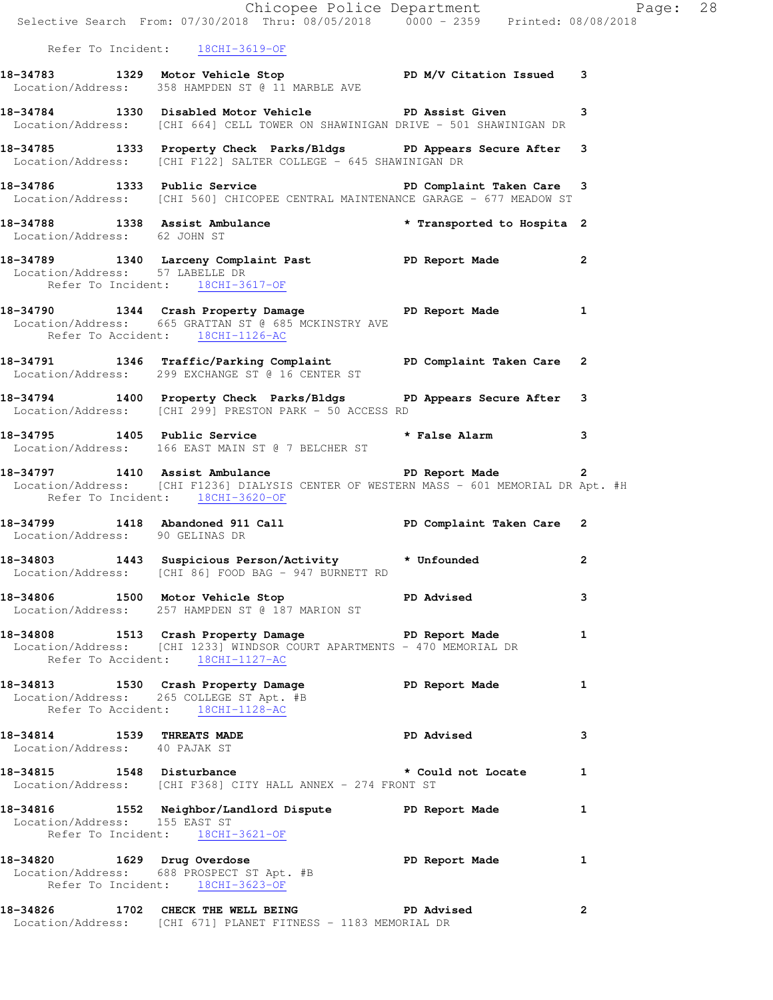|                                 | Chicopee Police Department<br>Selective Search From: 07/30/2018 Thru: 08/05/2018 0000 - 2359 Printed: 08/08/2018                                                                                                                                                                              |                |              |  |
|---------------------------------|-----------------------------------------------------------------------------------------------------------------------------------------------------------------------------------------------------------------------------------------------------------------------------------------------|----------------|--------------|--|
|                                 | Refer To Incident: 18CHI-3619-OF                                                                                                                                                                                                                                                              |                |              |  |
|                                 | 18-34783 1329 Motor Vehicle Stop Notor PD M/V Citation Issued 3<br>Location/Address: 358 HAMPDEN ST @ 11 MARBLE AVE                                                                                                                                                                           |                |              |  |
|                                 | 18-34784 1330 Disabled Motor Vehicle PD Assist Given 3<br>Location/Address: [CHI 664] CELL TOWER ON SHAWINIGAN DRIVE - 501 SHAWINIGAN DR                                                                                                                                                      |                |              |  |
|                                 | 18-34785 1333 Property Check Parks/Bldgs PD Appears Secure After 3<br>Location/Address: [CHI F122] SALTER COLLEGE - 645 SHAWINIGAN DR                                                                                                                                                         |                |              |  |
|                                 | 18-34786 1333 Public Service 20 PD Complaint Taken Care 3<br>Location/Address: [CHI 560] CHICOPEE CENTRAL MAINTENANCE GARAGE - 677 MEADOW ST                                                                                                                                                  |                |              |  |
| Location/Address: 62 JOHN ST    | 18-34788 1338 Assist Ambulance the state of the set of the set of the set of the set of the set of the set of t                                                                                                                                                                               |                |              |  |
| Location/Address: 57 LABELLE DR | 18-34789 1340 Larceny Complaint Past PD Report Made 2<br>Refer To Incident: 18CHI-3617-OF                                                                                                                                                                                                     |                |              |  |
|                                 | 18-34790 1344 Crash Property Damage PD Report Made 1<br>Location/Address: 665 GRATTAN ST @ 685 MCKINSTRY AVE<br>Refer To Accident: 18CHI-1126-AC                                                                                                                                              |                |              |  |
|                                 | 18-34791 1346 Traffic/Parking Complaint PD Complaint Taken Care 2<br>Location/Address: 299 EXCHANGE ST @ 16 CENTER ST                                                                                                                                                                         |                |              |  |
|                                 | 18-34794 1400 Property Check Parks/Bldgs PD Appears Secure After 3<br>Location/Address: [CHI 299] PRESTON PARK - 50 ACCESS RD                                                                                                                                                                 |                |              |  |
|                                 | 18-34795 1405 Public Service * * False Alarm 3<br>Location/Address: 166 EAST MAIN ST @ 7 BELCHER ST                                                                                                                                                                                           |                |              |  |
|                                 | 18-34797 1410 Assist Ambulance Ne PD Report Made<br>Location/Address: [CHI F1236] DIALYSIS CENTER OF WESTERN MASS - 601 MEMORIAL DR Apt. #H<br>Refer To Incident: 18CHI-3620-OF                                                                                                               |                |              |  |
| Location/Address: 90 GELINAS DR | 18-34799 1418 Abandoned 911 Call 1990 PD Complaint Taken Care 2                                                                                                                                                                                                                               |                |              |  |
|                                 | 18-34803 1443 Suspicious Person/Activity * Unfounded 2<br>Location/Address: [CHI 86] FOOD BAG - 947 BURNETT RD                                                                                                                                                                                |                |              |  |
|                                 | 18-34806 1500 Motor Vehicle Stop North PD Advised<br>Location/Address: 257 HAMPDEN ST @ 187 MARION ST                                                                                                                                                                                         |                | 3            |  |
|                                 | 18-34808 1513 Crash Property Damage Name PD Report Made<br>Location/Address: [CHI 1233] WINDSOR COURT APARTMENTS - 470 MEMORIAL DR<br>Refer To Accident: 18CHI-1127-AC                                                                                                                        |                | 1            |  |
|                                 | 18-34813 1530 Crash Property Damage Name PD Report Made<br>Location/Address: 265 COLLEGE ST Apt. #B<br>Refer To Accident: 18CHI-1128-AC                                                                                                                                                       |                | $\mathbf{1}$ |  |
| Location/Address: 40 PAJAK ST   | 18-34814 1539 THREATS MADE                                                                                                                                                                                                                                                                    | PD Advised     | 3            |  |
|                                 | 18-34815 1548 Disturbance the set of the set of the set of the set of the set of the set of the set of the set of the set of the set of the set of the set of the set of the set of the set of the set of the set of the set o<br>Location/Address: [CHI F368] CITY HALL ANNEX - 274 FRONT ST |                |              |  |
| Location/Address: 155 EAST ST   | 18-34816 1552 Neighbor/Landlord Dispute PD Report Made 1<br>Refer To Incident: 18CHI-3621-OF                                                                                                                                                                                                  |                |              |  |
|                                 | 18-34820 1629 Drug Overdose<br>Location/Address: 688 PROSPECT ST Apt. #B<br>Refer To Incident: 18CHI-3623-OF                                                                                                                                                                                  | PD Report Made | 1            |  |
|                                 | 18-34826 1702 CHECK THE WELL BEING PD Advised<br>Location/Address: [CHI 671] PLANET FITNESS - 1183 MEMORIAL DR                                                                                                                                                                                |                | 2            |  |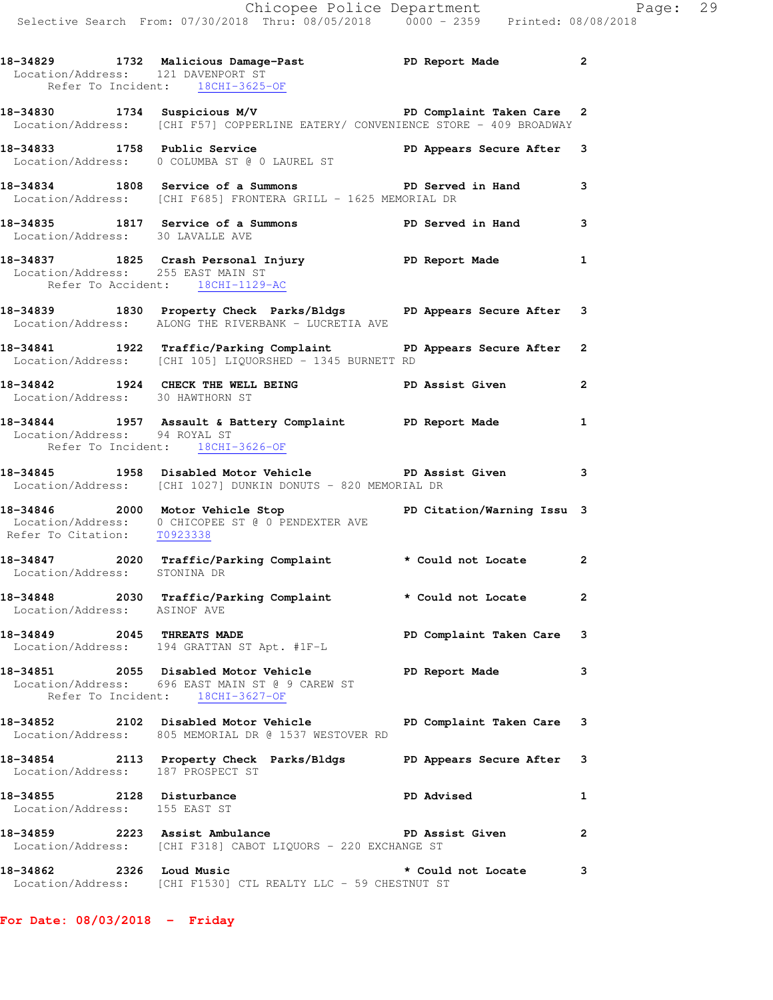| Location/Address: 121 DAVENPORT ST                         | 18-34829 1732 Malicious Damage-Past Name PD Report Made<br>Refer To Incident: 18CHI-3625-OF                                               |                         | $\overline{2}$ |
|------------------------------------------------------------|-------------------------------------------------------------------------------------------------------------------------------------------|-------------------------|----------------|
|                                                            | 18-34830 1734 Suspicious M/V PD Complaint Taken Care 2<br>Location/Address: [CHI F57] COPPERLINE EATERY/ CONVENIENCE STORE - 409 BROADWAY |                         |                |
|                                                            | 18-34833 1758 Public Service<br>Location/Address: 0 COLUMBA ST @ 0 LAUREL ST                                                              |                         |                |
|                                                            | 18-34834 1808 Service of a Summons<br>Location/Address: [CHI F685] FRONTERA GRILL - 1625 MEMORIAL DR                                      | PD Served in Hand       | 3              |
| Location/Address: 30 LAVALLE AVE                           | 18-34835 1817 Service of a Summons TPD Served in Hand                                                                                     |                         | 3              |
| Location/Address: 255 EAST MAIN ST                         | 18-34837 1825 Crash Personal Injury PD Report Made<br>Refer To Accident: 18CHI-1129-AC                                                    |                         | $\mathbf{1}$   |
|                                                            | 18-34839 1830 Property Check Parks/Bldgs PD Appears Secure After 3<br>Location/Address: ALONG THE RIVERBANK - LUCRETIA AVE                |                         |                |
|                                                            | 18-34841 1922 Traffic/Parking Complaint PD Appears Secure After<br>Location/Address: [CHI 105] LIQUORSHED - 1345 BURNETT RD               |                         | $\mathbf{2}$   |
|                                                            | 18-34842 1924 CHECK THE WELL BEING PD Assist Given<br>Location/Address: 30 HAWTHORN ST                                                    |                         | 2              |
|                                                            | 18-34844 1957 Assault & Battery Complaint PD Report Made<br>Location/Address: 94 ROYAL ST<br>Refer To Incident: <u>18CHI-3626-OF</u>      |                         | 1              |
|                                                            | 18-34845 1958 Disabled Motor Vehicle PD Assist Given<br>Location/Address: [CHI 1027] DUNKIN DONUTS - 820 MEMORIAL DR                      |                         | 3              |
| Refer To Citation: T0923338                                | 18-34846 2000 Motor Vehicle Stop <b>18-34846</b> PD Citation/Warning Issu 3<br>Location/Address: 0 CHICOPEE ST @ 0 PENDEXTER AVE          |                         |                |
| Location/Address: STONINA DR                               | 18-34847 2020 Traffic/Parking Complaint * Could not Locate                                                                                |                         | $\mathbf{2}$   |
| Location/Address: ASINOF AVE                               | 18-34848 2030 Traffic/Parking Complaint * Could not Locate                                                                                |                         | 2              |
|                                                            | 18-34849 2045 THREATS MADE<br>Location/Address: 194 GRATTAN ST Apt. #1F-L                                                                 | PD Complaint Taken Care | 3              |
|                                                            | 18-34851 2055 Disabled Motor Vehicle<br>Location/Address: 696 EAST MAIN ST @ 9 CAREW ST<br>Refer To Incident: 18CHI-3627-OF               | PD Report Made          | 3              |
|                                                            | 18-34852 2102 Disabled Motor Vehicle<br>Location/Address: 805 MEMORIAL DR @ 1537 WESTOVER RD                                              | PD Complaint Taken Care | 3              |
| Location/Address: 187 PROSPECT ST                          | 18-34854 2113 Property Check Parks/Bldgs PD Appears Secure After                                                                          |                         | 3              |
| 18-34855 2128 Disturbance<br>Location/Address: 155 EAST ST |                                                                                                                                           | <b>PD Advised</b>       | 1              |
|                                                            | 18-34859 2223 Assist Ambulance New PD Assist Given<br>Location/Address: [CHI F318] CABOT LIQUORS - 220 EXCHANGE ST                        |                         | 2              |
| 18-34862                                                   | 2326 Loud Music<br>Location/Address: [CHI F1530] CTL REALTY LLC - 59 CHESTNUT ST                                                          | * Could not Locate      | 3              |

**For Date: 08/03/2018 - Friday**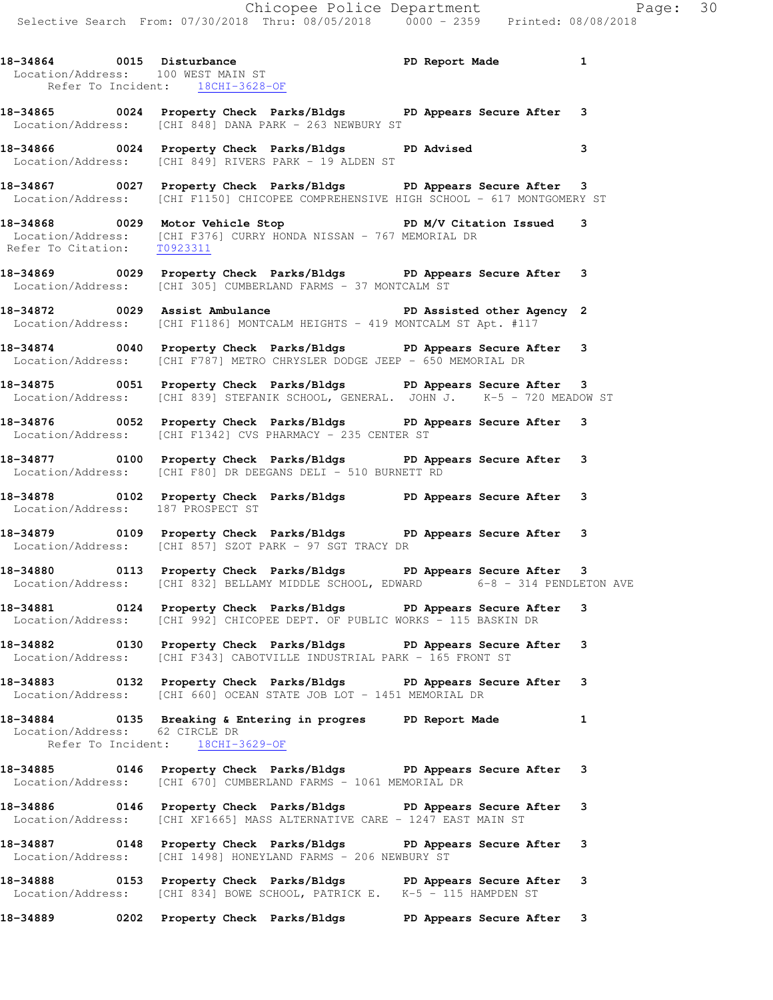Chicopee Police Department Page: 30 Selective Search From: 07/30/2018 Thru: 08/05/2018 0000 - 2359 Printed: 08/08/2018 **18-34864 0015 Disturbance PD Report Made 1**  Location/Address: 100 WEST MAIN ST Refer To Incident: 18CHI-3628-OF **18-34865 0024 Property Check Parks/Bldgs PD Appears Secure After 3**  Location/Address: [CHI 848] DANA PARK - 263 NEWBURY ST **18-34866 0024 Property Check Parks/Bldgs PD Advised 3**  Location/Address: [CHI 849] RIVERS PARK - 19 ALDEN ST **18-34867 0027 Property Check Parks/Bldgs PD Appears Secure After 3**  Location/Address: [CHI F1150] CHICOPEE COMPREHENSIVE HIGH SCHOOL - 617 MONTGOMERY ST **18-34868 0029 Motor Vehicle Stop PD M/V Citation Issued 3**  Location/Address: [CHI F376] CURRY HONDA NISSAN - 767 MEMORIAL DR Refer To Citation: T0923311 **18-34869 0029 Property Check Parks/Bldgs PD Appears Secure After 3**  Location/Address: [CHI 305] CUMBERLAND FARMS - 37 MONTCALM ST **18-34872 0029 Assist Ambulance PD Assisted other Agency 2**  Location/Address: [CHI F1186] MONTCALM HEIGHTS - 419 MONTCALM ST Apt. #117 **18-34874 0040 Property Check Parks/Bldgs PD Appears Secure After 3**  Location/Address: [CHI F787] METRO CHRYSLER DODGE JEEP - 650 MEMORIAL DR **18-34875 0051 Property Check Parks/Bldgs PD Appears Secure After 3**  Location/Address: [CHI 839] STEFANIK SCHOOL, GENERAL. JOHN J. K-5 - 720 MEADOW ST **18-34876 0052 Property Check Parks/Bldgs PD Appears Secure After 3**  Location/Address: [CHI F1342] CVS PHARMACY - 235 CENTER ST **18-34877 0100 Property Check Parks/Bldgs PD Appears Secure After 3**  Location/Address: [CHI F80] DR DEEGANS DELI - 510 BURNETT RD **18-34878 0102 Property Check Parks/Bldgs PD Appears Secure After 3**  Location/Address: 187 PROSPECT ST

**18-34879 0109 Property Check Parks/Bldgs PD Appears Secure After 3**  Location/Address: [CHI 857] SZOT PARK - 97 SGT TRACY DR

**18-34880 0113 Property Check Parks/Bldgs PD Appears Secure After 3**  Location/Address: [CHI 832] BELLAMY MIDDLE SCHOOL, EDWARD 6-8 - 314 PENDLETON AVE

**18-34881 0124 Property Check Parks/Bldgs PD Appears Secure After 3**  Location/Address: [CHI 992] CHICOPEE DEPT. OF PUBLIC WORKS - 115 BASKIN DR

**18-34882 0130 Property Check Parks/Bldgs PD Appears Secure After 3**  Location/Address: [CHI F343] CABOTVILLE INDUSTRIAL PARK - 165 FRONT ST

**18-34883 0132 Property Check Parks/Bldgs PD Appears Secure After 3**  Location/Address: [CHI 660] OCEAN STATE JOB LOT - 1451 MEMORIAL DR

**18-34884 0135 Breaking & Entering in progres PD Report Made 1**  Location/Address: 62 CIRCLE DR Refer To Incident: 18CHI-3629-OF

**18-34885 0146 Property Check Parks/Bldgs PD Appears Secure After 3**  Location/Address: [CHI 670] CUMBERLAND FARMS - 1061 MEMORIAL DR

**18-34886 0146 Property Check Parks/Bldgs PD Appears Secure After 3**  Location/Address: [CHI XF1665] MASS ALTERNATIVE CARE - 1247 EAST MAIN ST

**18-34887 0148 Property Check Parks/Bldgs PD Appears Secure After 3**  Location/Address: [CHI 1498] HONEYLAND FARMS - 206 NEWBURY ST

**18-34888 0153 Property Check Parks/Bldgs PD Appears Secure After 3**  Location/Address: [CHI 834] BOWE SCHOOL, PATRICK E. K-5 - 115 HAMPDEN ST

**18-34889 0202 Property Check Parks/Bldgs PD Appears Secure After 3**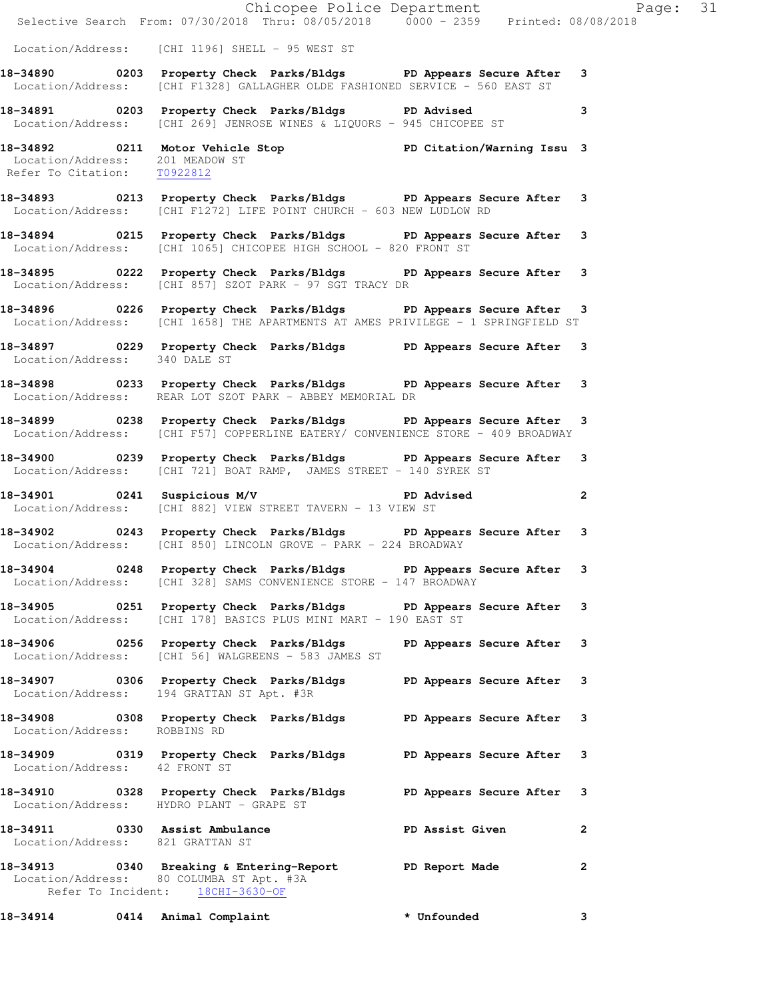|                                                                | Chicopee Police Department<br>Selective Search From: 07/30/2018 Thru: 08/05/2018 0000 - 2359 Printed: 08/08/2018                                       |                 |                |
|----------------------------------------------------------------|--------------------------------------------------------------------------------------------------------------------------------------------------------|-----------------|----------------|
|                                                                | Location/Address: [CHI 1196] SHELL - 95 WEST ST                                                                                                        |                 |                |
|                                                                | 18-34890 0203 Property Check Parks/Bldgs PD Appears Secure After 3<br>Location/Address: [CHI F1328] GALLAGHER OLDE FASHIONED SERVICE - 560 EAST ST     |                 |                |
|                                                                | 18-34891 0203 Property Check Parks/Bldgs PD Advised<br>Location/Address: [CHI 269] JENROSE WINES & LIQUORS - 945 CHICOPEE ST                           |                 | 3              |
| Location/Address: 201 MEADOW ST<br>Refer To Citation: T0922812 | 18-34892   0211   Motor Vehicle Stop   PD Citation/Warning Issu   3<br>Location/Address:   201   MEADOW ST                                             |                 |                |
|                                                                | 18-34893 0213 Property Check Parks/Bldgs PD Appears Secure After 3<br>Location/Address: [CHI F1272] LIFE POINT CHURCH - 603 NEW LUDLOW RD              |                 |                |
|                                                                | 18-34894 0215 Property Check Parks/Bldgs PD Appears Secure After 3<br>Location/Address: [CHI 1065] CHICOPEE HIGH SCHOOL - 820 FRONT ST                 |                 |                |
|                                                                | 18-34895 0222 Property Check Parks/Bldgs PD Appears Secure After 3<br>Location/Address: [CHI 857] SZOT PARK - 97 SGT TRACY DR                          |                 |                |
|                                                                | 18-34896 0226 Property Check Parks/Bldgs PD Appears Secure After 3<br>Location/Address: [CHI 1658] THE APARTMENTS AT AMES PRIVILEGE - 1 SPRINGFIELD ST |                 |                |
| Location/Address: 340 DALE ST                                  | 18-34897 0229 Property Check Parks/Bldgs PD Appears Secure After 3                                                                                     |                 |                |
|                                                                | 18-34898 0233 Property Check Parks/Bldgs PD Appears Secure After 3<br>Location/Address: REAR LOT SZOT PARK - ABBEY MEMORIAL DR                         |                 |                |
|                                                                | 18-34899 0238 Property Check Parks/Bldgs PD Appears Secure After 3<br>Location/Address: [CHI F57] COPPERLINE EATERY/ CONVENIENCE STORE - 409 BROADWAY  |                 |                |
|                                                                | 18-34900 0239 Property Check Parks/Bldgs PD Appears Secure After 3<br>Location/Address: [CHI 721] BOAT RAMP, JAMES STREET - 140 SYREK ST               |                 |                |
|                                                                | 18-34901 0241 Suspicious M/V PD Advised<br>Location/Address: [CHI 882] VIEW STREET TAVERN - 13 VIEW ST                                                 |                 | $\overline{2}$ |
|                                                                | 18-34902 0243 Property Check Parks/Bldgs PD Appears Secure After 3<br>Location/Address: [CHI 850] LINCOLN GROVE - PARK - 224 BROADWAY                  |                 |                |
|                                                                | 18-34904 0248 Property Check Parks/Bldgs PD Appears Secure After 3<br>Location/Address: [CHI 328] SAMS CONVENIENCE STORE - 147 BROADWAY                |                 |                |
|                                                                | 18-34905 0251 Property Check Parks/Bldgs PD Appears Secure After 3<br>Location/Address: [CHI 178] BASICS PLUS MINI MART - 190 EAST ST                  |                 |                |
|                                                                | 18-34906 0256 Property Check Parks/Bldgs PD Appears Secure After 3<br>Location/Address: [CHI 56] WALGREENS - 583 JAMES ST                              |                 |                |
|                                                                | 18-34907 0306 Property Check Parks/Bldgs PD Appears Secure After 3<br>Location/Address: 194 GRATTAN ST Apt. #3R                                        |                 |                |
| Location/Address: ROBBINS RD                                   | 18-34908 0308 Property Check Parks/Bldgs PD Appears Secure After 3                                                                                     |                 |                |
| Location/Address: 42 FRONT ST                                  | 18-34909 0319 Property Check Parks/Bldgs PD Appears Secure After 3                                                                                     |                 |                |
|                                                                | 18-34910 0328 Property Check Parks/Bldgs PD Appears Secure After 3<br>Location/Address: HYDRO PLANT - GRAPE ST                                         |                 |                |
| Location/Address: 821 GRATTAN ST                               | 18-34911 0330 Assist Ambulance                                                                                                                         | PD Assist Given | $\mathbf{2}$   |
| Refer To Incident: 18CHI-3630-OF                               | 18-34913 0340 Breaking & Entering-Report PD Report Made<br>Location/Address: 80 COLUMBA ST Apt. #3A                                                    |                 | $\mathbf{2}$   |
|                                                                | 18-34914 0414 Animal Complaint                                                                                                                         | * Unfounded     | 3              |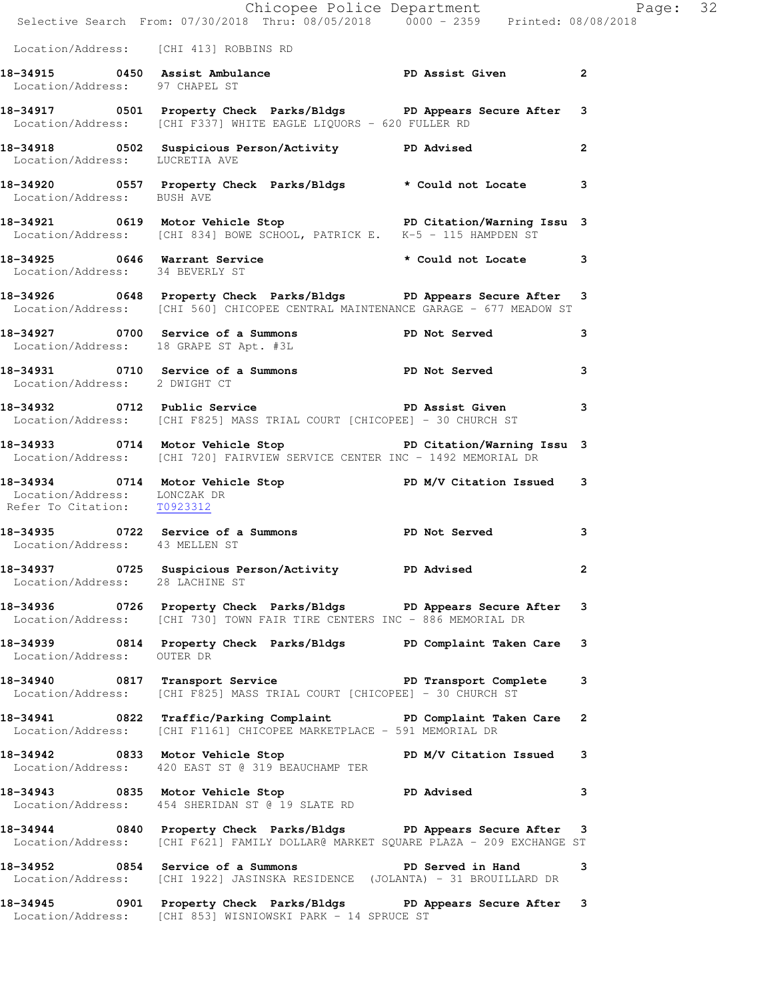|                                                             | Chicopee Police Department<br>Selective Search From: 07/30/2018 Thru: 08/05/2018 0000 - 2359 Printed: 08/08/2018                                        |                |  |
|-------------------------------------------------------------|---------------------------------------------------------------------------------------------------------------------------------------------------------|----------------|--|
| Location/Address: [CHI 413] ROBBINS RD                      |                                                                                                                                                         |                |  |
| Location/Address: 97 CHAPEL ST                              | 18-34915 0450 Assist Ambulance New PD Assist Given 2                                                                                                    |                |  |
|                                                             | 18-34917 0501 Property Check Parks/Bldgs PD Appears Secure After 3<br>Location/Address: [CHI F337] WHITE EAGLE LIQUORS - 620 FULLER RD                  |                |  |
| Location/Address: LUCRETIA AVE                              | 18-34918 		 0502 Suspicious Person/Activity 		 PD Advised                                                                                               | $\overline{2}$ |  |
| Location/Address: BUSH AVE                                  | 18-34920 0557 Property Check Parks/Bldgs * Could not Locate 3                                                                                           |                |  |
|                                                             | 18-34921 0619 Motor Vehicle Stop PD Citation/Warning Issu 3<br>Location/Address: [CHI 834] BOWE SCHOOL, PATRICK E. K-5 - 115 HAMPDEN ST                 |                |  |
| Location/Address: 34 BEVERLY ST                             | 18-34925 0646 Warrant Service * Could not Locate 3                                                                                                      |                |  |
|                                                             | 18-34926 0648 Property Check Parks/Bldgs PD Appears Secure After 3<br>Location/Address: [CHI 560] CHICOPEE CENTRAL MAINTENANCE GARAGE - 677 MEADOW ST   |                |  |
|                                                             | 18-34927 0700 Service of a Summons PD Not Served 3<br>Location/Address: 18 GRAPE ST Apt. #3L                                                            |                |  |
| Location/Address: 2 DWIGHT CT                               | 18-34931 0710 Service of a Summons PD Not Served                                                                                                        | $\mathbf{3}$   |  |
|                                                             | 18-34932 18-34932 0712 Public Service 2010 1990 PD Assist Given<br>Location/Address: [CHI F825] MASS TRIAL COURT [CHICOPEE] - 30 CHURCH ST              |                |  |
|                                                             | 18-34933 0714 Motor Vehicle Stop North PD Citation/Warning Issu 3<br>Location/Address: [CHI 720] FAIRVIEW SERVICE CENTER INC - 1492 MEMORIAL DR         |                |  |
| Location/Address: LONCZAK DR<br>Refer To Citation: T0923312 | 18-34934 0714 Motor Vehicle Stop PD M/V Citation Issued 3                                                                                               |                |  |
|                                                             | 18-34935 0722 Service of a Summons PD Not Served 3<br>Location/Address: 43 MELLEN ST                                                                    |                |  |
| Location/Address: 28 LACHINE ST                             | 18-34937 0725 Suspicious Person/Activity PD Advised                                                                                                     |                |  |
|                                                             | 18-34936 0726 Property Check Parks/Bldgs PD Appears Secure After 3<br>Location/Address: [CHI 730] TOWN FAIR TIRE CENTERS INC - 886 MEMORIAL DR          |                |  |
| Location/Address: OUTER DR                                  | 18-34939 0814 Property Check Parks/Bldgs PD Complaint Taken Care 3                                                                                      |                |  |
|                                                             | 18-34940 0817 Transport Service The PD Transport Complete 3<br>Location/Address: [CHI F825] MASS TRIAL COURT [CHICOPEE] - 30 CHURCH ST                  |                |  |
|                                                             | 18-34941 0822 Traffic/Parking Complaint PD Complaint Taken Care 2<br>Location/Address: [CHI F1161] CHICOPEE MARKETPLACE - 591 MEMORIAL DR               |                |  |
|                                                             | 18-34942 0833 Motor Vehicle Stop N/V Citation Issued 3<br>Location/Address: 420 EAST ST @ 319 BEAUCHAMP TER                                             |                |  |
|                                                             | 18-34943 0835 Motor Vehicle Stop North PD Advised 3<br>Location/Address: 454 SHERIDAN ST @ 19 SLATE RD                                                  |                |  |
|                                                             | 18-34944 0840 Property Check Parks/Bldgs PD Appears Secure After 3<br>Location/Address: [CHI F621] FAMILY DOLLAR@ MARKET SQUARE PLAZA - 209 EXCHANGE ST |                |  |
|                                                             | 18-34952 0854 Service of a Summons TPD Served in Hand 3<br>Location/Address: [CHI 1922] JASINSKA RESIDENCE (JOLANTA) - 31 BROUILLARD DR                 |                |  |
|                                                             | 18-34945 0901 Property Check Parks/Bldgs PD Appears Secure After 3<br>Location/Address: [CHI 853] WISNIOWSKI PARK - 14 SPRUCE ST                        |                |  |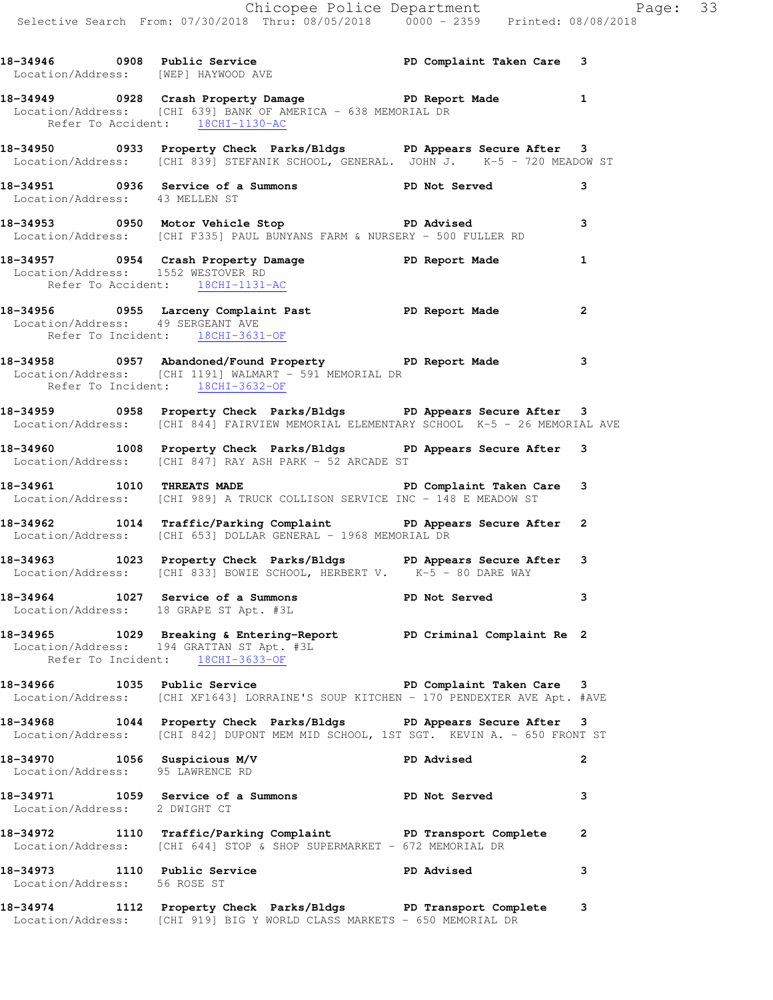|                                                                  | 18-34946   0908   Public Service   PD Complaint Taken Care   3<br>Location/Address: [WEP] HAYWOOD AVE                                                             |                           |                |
|------------------------------------------------------------------|-------------------------------------------------------------------------------------------------------------------------------------------------------------------|---------------------------|----------------|
|                                                                  | 18-34949 		 0928 Crash Property Damage 		 PD Report Made<br>Location/Address: [CHI 639] BANK OF AMERICA - 638 MEMORIAL DR<br>Refer To Accident: 18CHI-1130-AC     |                           | $\mathbf{1}$   |
|                                                                  | 18-34950 18-3950 0933 Property Check Parks/Bldgs 1 PD Appears Secure After 3<br>Location/Address: [CHI 839] STEFANIK SCHOOL, GENERAL. JOHN J. K-5 - 720 MEADOW ST |                           |                |
| Location/Address: 43 MELLEN ST                                   | 18-34951 0936 Service of a Summons PD Not Served                                                                                                                  |                           | 3              |
|                                                                  | 18-34953 0950 Motor Vehicle Stop PD Advised<br>Location/Address: [CHI F335] PAUL BUNYANS FARM & NURSERY - 500 FULLER RD                                           |                           | 3              |
|                                                                  | 18-34957 0954 Crash Property Damage PD Report Made<br>Location/Address: 1552 WESTOVER RD<br>Refer To Accident: 18CHI-1131-AC                                      |                           | $\mathbf{1}$   |
| Location/Address: 49 SERGEANT AVE                                | 18-34956 0955 Larceny Complaint Past Naport Made<br>Refer To Incident: 18CHI-3631-OF                                                                              |                           | $\overline{2}$ |
|                                                                  | 18-34958 		 0957 Abandoned/Found Property 		 PD Report Made<br>Location/Address: [CHI 1191] WALMART - 591 MEMORIAL DR<br>Refer To Incident: 18CHI-3632-OF         |                           | 3              |
|                                                                  | 18-34959 0958 Property Check Parks/Bldgs PD Appears Secure After 3<br>Location/Address: [CHI 844] FAIRVIEW MEMORIAL ELEMENTARY SCHOOL K-5 - 26 MEMORIAL AVE       |                           |                |
|                                                                  | 18-34960 1008 Property Check Parks/Bldgs PD Appears Secure After 3<br>Location/Address: [CHI 847] RAY ASH PARK - 52 ARCADE ST                                     |                           |                |
|                                                                  | 18-34961 1010 THREATS MADE 18 PD Complaint Taken Care 3<br>Location/Address: [CHI 989] A TRUCK COLLISON SERVICE INC - 148 E MEADOW ST                             |                           |                |
|                                                                  | 18-34962 1014 Traffic/Parking Complaint PD Appears Secure After<br>Location/Address: [CHI 653] DOLLAR GENERAL - 1968 MEMORIAL DR                                  |                           | 2              |
|                                                                  | 18-34963 1023 Property Check Parks/Bldgs PD Appears Secure After 3<br>Location/Address: [CHI 833] BOWIE SCHOOL, HERBERT V. $K-\overline{5}$ - 80 DARE WAY         |                           |                |
|                                                                  | 18-34964 1027 Service of a Summons PD Not Served<br>Location/Address: 18 GRAPE ST Apt. #3L                                                                        |                           | 3              |
|                                                                  | 18-34965 1029 Breaking & Entering-Report PD Criminal Complaint Re 2<br>Location/Address: 194 GRATTAN ST Apt. #3L<br>Refer To Incident: 18CHI-3633-OF              |                           |                |
| 18-34966 1035 Public Service                                     | Location/Address: [CHI XF1643] LORRAINE'S SOUP KITCHEN - 170 PENDEXTER AVE Apt. #AVE                                                                              | PD Complaint Taken Care 3 |                |
|                                                                  | 18-34968 1044 Property Check Parks/Bldgs PD Appears Secure After 3<br>Location/Address: [CHI 842] DUPONT MEM MID SCHOOL, 1ST SGT. KEVIN A. - 650 FRONT ST         |                           |                |
| 18-34970 1056 Suspicious M/V<br>Location/Address: 95 LAWRENCE RD |                                                                                                                                                                   | <b>PD Advised</b>         | 2              |
| Location/Address: 2 DWIGHT CT                                    | 18-34971 1059 Service of a Summons                                                                                                                                | PD Not Served             | 3              |
|                                                                  | 18-34972 1110 Traffic/Parking Complaint PD Transport Complete<br>Location/Address: [CHI 644] STOP & SHOP SUPERMARKET - 672 MEMORIAL DR                            |                           | 2              |
| 18-34973<br>Location/Address: 56 ROSE ST                         | 1110 Public Service                                                                                                                                               | <b>PD Advised</b>         | 3              |
|                                                                  |                                                                                                                                                                   |                           |                |

**<sup>18-34974 1112</sup> Property Check Parks/Bldgs PD Transport Complete 3**  Location/Address: [CHI 919] BIG Y WORLD CLASS MARKETS - 650 MEMORIAL DR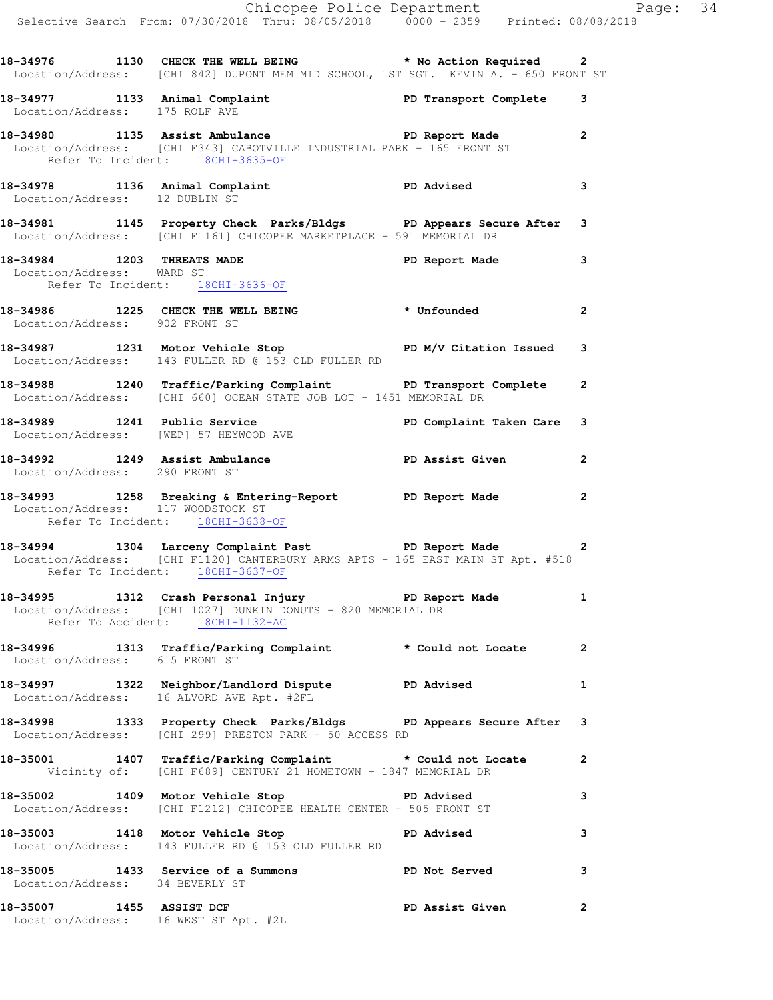|                                    | Chicopee Police Department<br>Selective Search From: 07/30/2018 Thru: 08/05/2018 0000 - 2359 Printed: 08/08/2018                                            |                |
|------------------------------------|-------------------------------------------------------------------------------------------------------------------------------------------------------------|----------------|
|                                    | 18-34976 1130 CHECK THE WELL BEING * No Action Required 2<br>Location/Address: [CHI 842] DUPONT MEM MID SCHOOL, 1ST SGT. KEVIN A. - 650 FRONT ST            |                |
|                                    | 18-34977 1133 Animal Complaint PD Transport Complete 3<br>Location/Address: 175 ROLF AVE                                                                    |                |
| Refer To Incident: 18CHI-3635-OF   | 18-34980 1135 Assist Ambulance 1 18-34980 PD Report Made<br>Location/Address: [CHI F343] CABOTVILLE INDUSTRIAL PARK - 165 FRONT ST                          |                |
| Location/Address: 12 DUBLIN ST     | 18-34978 1136 Animal Complaint PD Advised                                                                                                                   | 3              |
|                                    | 18-34981 1145 Property Check Parks/Bldgs PD Appears Secure After 3<br>Location/Address: [CHI F1161] CHICOPEE MARKETPLACE - 591 MEMORIAL DR                  |                |
| Location/Address: WARD ST          | 18-34984 1203 THREATS MADE PD Report Made 3<br>Refer To Incident: 18CHI-3636-OF                                                                             |                |
| Location/Address: 902 FRONT ST     | 18-34986 1225 CHECK THE WELL BEING * Unfounded                                                                                                              | $\mathbf{2}$   |
|                                    | 18-34987 1231 Motor Vehicle Stop N/V Citation Issued 3<br>Location/Address: 143 FULLER RD @ 153 OLD FULLER RD                                               |                |
|                                    | 18-34988 1240 Traffic/Parking Complaint PD Transport Complete<br>Location/Address: [CHI 660] OCEAN STATE JOB LOT - 1451 MEMORIAL DR                         | $\mathbf{2}$   |
|                                    | 18-34989 1241 Public Service PD Complaint Taken Care 3<br>Location/Address: [WEP] 57 HEYWOOD AVE                                                            |                |
| Location/Address: 290 FRONT ST     | 18-34992 1249 Assist Ambulance New PD Assist Given                                                                                                          | $\overline{2}$ |
| Location/Address: 117 WOODSTOCK ST | 18-34993 1258 Breaking & Entering-Report PD Report Made<br>Refer To Incident: 18CHI-3638-OF                                                                 | $\overline{a}$ |
|                                    | 18-34994 1304 Larceny Complaint Past<br>Location/Address: [CHI F1120] CANTERBURY ARMS APTS - 165 EAST MAIN ST Apt. #518<br>Refer To Incident: 18CHI-3637-OF |                |
|                                    | 18-34995 1312 Crash Personal Injury 1 PD Report Made 1<br>Location/Address: [CHI 1027] DUNKIN DONUTS - 820 MEMORIAL DR<br>Refer To Accident: 18CHI-1132-AC  |                |
| Location/Address: 615 FRONT ST     | 18-34996 1313 Traffic/Parking Complaint * Could not Locate 2                                                                                                |                |
|                                    | 18-34997 1322 Neighbor/Landlord Dispute PD Advised 1<br>Location/Address: 16 ALVORD AVE Apt. #2FL                                                           |                |
|                                    | 18-34998 1333 Property Check Parks/Bldgs PD Appears Secure After 3<br>Location/Address: [CHI 299] PRESTON PARK - 50 ACCESS RD                               |                |
|                                    | 18-35001 1407 Traffic/Parking Complaint * Could not Locate<br>Vicinity of: [CHI F689] CENTURY 21 HOMETOWN - 1847 MEMORIAL DR                                | $\mathbf{2}$   |
|                                    | 18-35002 1409 Motor Vehicle Stop PD Advised<br>Location/Address: [CHI F1212] CHICOPEE HEALTH CENTER - 505 FRONT ST                                          | 3              |
|                                    | 18-35003 1418 Motor Vehicle Stop Noter PD Advised<br>Location/Address: 143 FULLER RD @ 153 OLD FULLER RD                                                    | 3              |
| Location/Address: 34 BEVERLY ST    | 18-35005 1433 Service of a Summons TPD Not Served                                                                                                           | 3              |
|                                    | 18-35007 1455 ASSIST DCF <b>PD Assist Given</b><br>Location/Address: 16 WEST ST Apt. #2L                                                                    | $\overline{2}$ |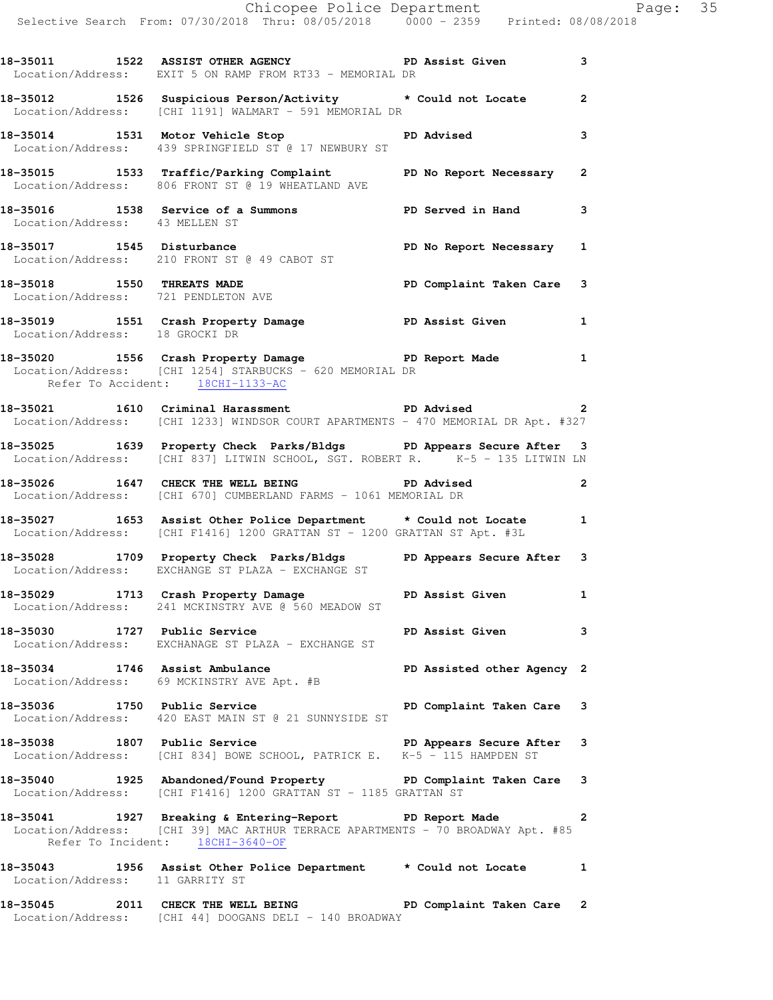|                                  | 18-35011 1522 ASSIST OTHER AGENCY THE PD Assist Given<br>Location/Address: EXIT 5 ON RAMP FROM RT33 - MEMORIAL DR                                                                |                            | $\mathbf{3}$ |
|----------------------------------|----------------------------------------------------------------------------------------------------------------------------------------------------------------------------------|----------------------------|--------------|
|                                  | 18-35012 1526 Suspicious Person/Activity * Could not Locate 2<br>Location/Address: [CHI 1191] WALMART - 591 MEMORIAL DR                                                          |                            |              |
|                                  | 18-35014 1531 Motor Vehicle Stop New PD Advised<br>Location/Address: 439 SPRINGFIELD ST @ 17 NEWBURY ST                                                                          |                            | 3            |
|                                  | 18-35015 1533 Traffic/Parking Complaint PD No Report Necessary 2<br>Location/Address: 806 FRONT ST @ 19 WHEATLAND AVE                                                            |                            |              |
| Location/Address: 43 MELLEN ST   | 18-35016 1538 Service of a Summons 18-3 PD Served in Hand 13                                                                                                                     |                            |              |
|                                  | 18-35017 1545 Disturbance<br>Location/Address: 210 FRONT ST @ 49 CABOT ST                                                                                                        | PD No Report Necessary 1   |              |
|                                  | 18-35018   1550   THREATS MADE   PD Complaint Taken Care   3<br>Location/Address:   721   PENDLETON AVE                                                                          |                            |              |
| Location/Address: 18 GROCKI DR   | 18-35019 1551 Crash Property Damage National PD Assist Given 1                                                                                                                   |                            |              |
| Refer To Accident: 18CHI-1133-AC | 18-35020 1556 Crash Property Damage Neport Made 1<br>Location/Address: [CHI 1254] STARBUCKS - 620 MEMORIAL DR                                                                    |                            |              |
|                                  | 18-35021 1610 Criminal Harassment <b>PD</b> Advised 2<br>Location/Address: [CHI 1233] WINDSOR COURT APARTMENTS - 470 MEMORIAL DR Apt. #327                                       |                            |              |
|                                  | 18-35025 1639 Property Check Parks/Bldgs PD Appears Secure After 3<br>Location/Address: [CHI 837] LITWIN SCHOOL, SGT. ROBERT R. K-5 - 135 LITWIN LN                              |                            |              |
|                                  | 18-35026 1647 CHECK THE WELL BEING PD Advised<br>Location/Address: [CHI 670] CUMBERLAND FARMS - 1061 MEMORIAL DR                                                                 | $\overline{\mathbf{a}}$    |              |
|                                  | 18-35027 1653 Assist Other Police Department t Could not Locate 1<br>Location/Address: [CHI F1416] 1200 GRATTAN ST - 1200 GRATTAN ST Apt. #3L                                    |                            |              |
|                                  | 18-35028 1709 Property Check Parks/Bldgs PD Appears Secure After 3<br>Location/Address: EXCHANGE ST PLAZA - EXCHANGE ST                                                          |                            |              |
|                                  | 18-35029 1713 Crash Property Damage National PD Assist Given 1<br>Location/Address: 241 MCKINSTRY AVE @ 560 MEADOW ST                                                            |                            |              |
| 18-35030 1727 Public Service     | Location/Address: EXCHANAGE ST PLAZA - EXCHANGE ST                                                                                                                               | PD Assist Given 3          |              |
| 18-35034 1746 Assist Ambulance   | Location/Address: 69 MCKINSTRY AVE Apt. #B                                                                                                                                       | PD Assisted other Agency 2 |              |
| 18-35036 1750 Public Service     | Location/Address: 420 EAST MAIN ST @ 21 SUNNYSIDE ST                                                                                                                             | PD Complaint Taken Care 3  |              |
| 18-35038 1807 Public Service     | 18-35038 1807 Public Service PD Appears Secure After<br>Location/Address: [CHI 834] BOWE SCHOOL, PATRICK E. K-5 - 115 HAMPDEN ST                                                 |                            | 3            |
|                                  | 18-35040 1925 Abandoned/Found Property PD Complaint Taken Care 3<br>Location/Address: [CHI F1416] 1200 GRATTAN ST - 1185 GRATTAN ST                                              |                            |              |
|                                  | 18-35041 1927 Breaking & Entering-Report PD Report Made :<br>Location/Address: [CHI 39] MAC ARTHUR TERRACE APARTMENTS - 70 BROADWAY Apt. #85<br>Refer To Incident: 18CHI-3640-OF |                            | $\mathbf{2}$ |
| Location/Address: 11 GARRITY ST  | 18-35043 1956 Assist Other Police Department * Could not Locate 1                                                                                                                |                            |              |
|                                  | 18-35045 2011 CHECK THE WELL BEING FOR PD Complaint Taken Care 2<br>Location/Address: [CHI 44] DOOGANS DELI - 140 BROADWAY                                                       |                            |              |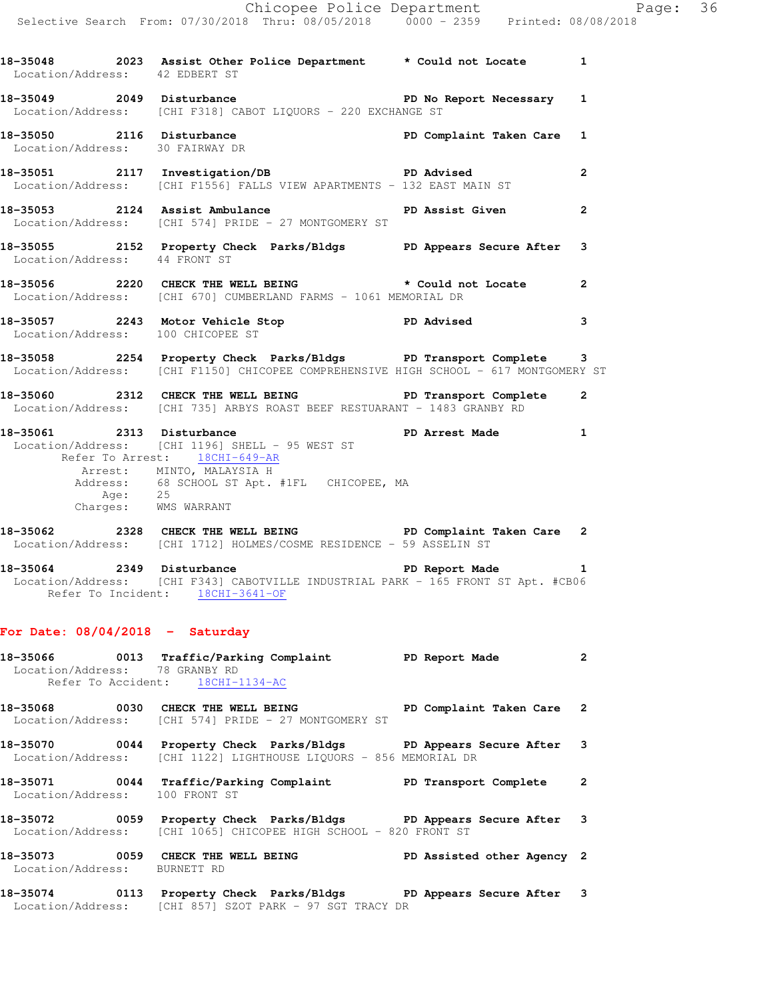| Location/Address: 42 EDBERT ST | 18-35048 2023 Assist Other Police Department * Could not Locate                                                                                                                                  |                        | $\mathbf 1$    |
|--------------------------------|--------------------------------------------------------------------------------------------------------------------------------------------------------------------------------------------------|------------------------|----------------|
| 18-35049 2049 Disturbance      | Location/Address: [CHI F318] CABOT LIQUORS - 220 EXCHANGE ST                                                                                                                                     | PD No Report Necessary | 1              |
|                                | 18-35050 2116 Disturbance PD Complaint Taken Care<br>Location/Address: 30 FAIRWAY DR                                                                                                             |                        | $\mathbf{1}$   |
|                                | 18-35051 2117 Investigation/DB PD Advised<br>Location/Address: [CHI F1556] FALLS VIEW APARTMENTS - 132 EAST MAIN ST                                                                              |                        | $\mathbf{2}$   |
|                                | 18-35053 2124 Assist Ambulance<br>Location/Address: [CHI 574] PRIDE - 27 MONTGOMERY ST                                                                                                           | PD Assist Given        | $\mathbf{2}$   |
| Location/Address: 44 FRONT ST  | 18-35055 2152 Property Check Parks/Bldgs PD Appears Secure After                                                                                                                                 |                        | 3              |
|                                | 18-35056 2220 CHECK THE WELL BEING * Could not Locate<br>Location/Address: [CHI 670] CUMBERLAND FARMS - 1061 MEMORIAL DR                                                                         |                        | $\mathbf{2}$   |
|                                | 18-35057 2243 Motor Vehicle Stop North PD Advised<br>Location/Address: 100 CHICOPEE ST                                                                                                           |                        | 3              |
|                                | 18-35058 2254 Property Check Parks/Bldgs PD Transport Complete<br>Location/Address: [CHI F1150] CHICOPEE COMPREHENSIVE HIGH SCHOOL - 617 MONTGOMERY ST                                           |                        | 3              |
|                                | 18-35060 2312 CHECK THE WELL BEING PD Transport Complete<br>Location/Address: [CHI 735] ARBYS ROAST BEEF RESTUARANT - 1483 GRANBY RD                                                             |                        | $\overline{2}$ |
| 18-35061 2313 Disturbance      | Location/Address: [CHI 1196] SHELL - 95 WEST ST<br>Refer To Arrest: 18CHI-649-AR<br>Arrest: MINTO, MALAYSIA H<br>Address: 68 SCHOOL ST Apt. #1FL CHICOPEE, MA<br>Age: 25<br>Charges: WMS WARRANT | PD Arrest Made         | 1              |
|                                | -<br>18-35062 2328 CHECK THE WELL BEING FREE PD Complaint Taken Care<br>Location/Address: [CHI 1712] HOLMES/COSME RESIDENCE - 59 ASSELIN ST                                                      |                        | $\mathbf{2}$   |
| 18-35064 2349                  | Disturbance                                                                                                                                                                                      | PD Report Made         | 1              |

Location/Address: [CHI F343] CABOTVILLE INDUSTRIAL PARK - 165 FRONT ST Apt. #CB06 Refer To Incident: 18CHI-3641-OF

## **For Date: 08/04/2018 - Saturday**

| Location/Address: 78 GRANBY RD | 18-35066 0013 Traffic/Parking Complaint<br>Refer To Accident: 18CHI-1134-AC                                                             | PD Report Made             | $\overline{2}$ |
|--------------------------------|-----------------------------------------------------------------------------------------------------------------------------------------|----------------------------|----------------|
|                                | 18-35068 0030 CHECK THE WELL BEING<br>Location/Address: [CHI 574] PRIDE - 27 MONTGOMERY ST                                              | PD Complaint Taken Care 2  |                |
|                                | 18-35070 0044 Property Check Parks/Bldgs PD Appears Secure After 3<br>Location/Address: [CHI 1122] LIGHTHOUSE LIOUORS - 856 MEMORIAL DR |                            |                |
| Location/Address: 100 FRONT ST | 18-35071 0044 Traffic/Parking Complaint                                                                                                 | PD Transport Complete      | 2              |
|                                | 18-35072 0059 Property Check Parks/Bldgs PD Appears Secure After 3<br>Location/Address: [CHI 1065] CHICOPEE HIGH SCHOOL - 820 FRONT ST  |                            |                |
| Location/Address: BURNETT RD   | 18-35073 0059 CHECK THE WELL BEING                                                                                                      | PD Assisted other Agency 2 |                |
| 18-35074                       | 0113 Property Check Parks/Bldgs                                                                                                         | PD Appears Secure After 3  |                |

Location/Address: [CHI 857] SZOT PARK - 97 SGT TRACY DR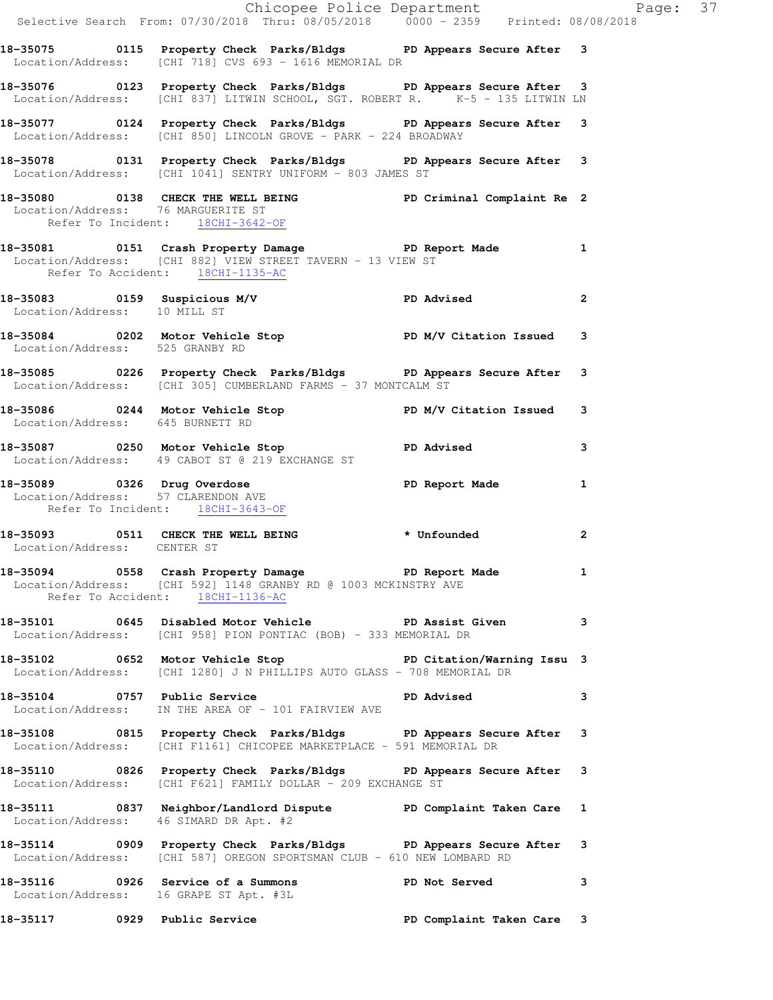|                                        | Chicopee Police Department<br>Selective Search From: 07/30/2018 Thru: 08/05/2018 0000 - 2359 Printed: 08/08/2018                                                   |                           |                |  |
|----------------------------------------|--------------------------------------------------------------------------------------------------------------------------------------------------------------------|---------------------------|----------------|--|
|                                        |                                                                                                                                                                    |                           |                |  |
|                                        | 18-35075 0115 Property Check Parks/Bldgs PD Appears Secure After 3<br>Location/Address: [CHI 718] CVS 693 - 1616 MEMORIAL DR                                       |                           |                |  |
|                                        | 18-35076 0123 Property Check Parks/Bldgs PD Appears Secure After 3<br>Location/Address: [CHI 837] LITWIN SCHOOL, SGT. ROBERT R. K-5 - 135 LITWIN LN                |                           |                |  |
|                                        | 18-35077 0124 Property Check Parks/Bldgs PD Appears Secure After 3<br>Location/Address: [CHI 850] LINCOLN GROVE - PARK - 224 BROADWAY                              |                           |                |  |
|                                        | 18-35078 0131 Property Check Parks/Bldgs PD Appears Secure After 3<br>Location/Address: [CHI 1041] SENTRY UNIFORM - 803 JAMES ST                                   |                           |                |  |
| Refer To Incident: 18CHI-3642-OF       | 18-35080 0138 CHECK THE WELL BEING PD Criminal Complaint Re 2<br>Location/Address: 76 MARGUERITE ST                                                                |                           |                |  |
|                                        | 18-35081 18-35081 0151 Crash Property Damage 1 PD Report Made 1<br>Location/Address: [CHI 882] VIEW STREET TAVERN - 13 VIEW ST<br>Refer To Accident: 18CHI-1135-AC |                           |                |  |
| Location/Address: 10 MILL ST           | $18-35083$ 0159 Suspicious M/V PD Advised 2                                                                                                                        |                           |                |  |
|                                        | 18-35084 0202 Motor Vehicle Stop PD M/V Citation Issued 3<br>Location/Address: 525 GRANBY RD                                                                       |                           |                |  |
|                                        | 18-35085 0226 Property Check Parks/Bldgs PD Appears Secure After 3<br>Location/Address: [CHI 305] CUMBERLAND FARMS - 37 MONTCALM ST                                |                           |                |  |
| Location/Address: 645 BURNETT RD       | 18-35086 0244 Motor Vehicle Stop PD M/V Citation Issued 3                                                                                                          |                           |                |  |
|                                        | 18-35087      0250  Motor Vehicle Stop           PD Advised<br>Location/Address: 49 CABOT ST @ 219 EXCHANGE ST                                                     |                           | 3              |  |
| Refer To Incident: 18CHI-3643-OF       | 18-35089 0326 Drug Overdose PD Report Made 1<br>Location/Address: 57 CLARENDON AVE                                                                                 |                           |                |  |
| Location/Address: CENTER ST            | 18-35093 0511 CHECK THE WELL BEING * Unfounded                                                                                                                     |                           | $\overline{2}$ |  |
|                                        | 18-35094 0558 Crash Property Damage Neport Made 1<br>Location/Address: [CHI 592] 1148 GRANBY RD @ 1003 MCKINSTRY AVE<br>Refer To Accident: 18CHI-1136-AC           |                           |                |  |
|                                        | 18-35101 0645 Disabled Motor Vehicle PD Assist Given 3<br>Location/Address: [CHI 958] PION PONTIAC (BOB) - 333 MEMORIAL DR                                         |                           |                |  |
|                                        | 18-35102 0652 Motor Vehicle Stop North PD Citation/Warning Issu 3<br>Location/Address: [CHI 1280] J N PHILLIPS AUTO GLASS - 708 MEMORIAL DR                        |                           |                |  |
|                                        | 18-35104 0757 Public Service Natural PD Advised<br>Location/Address: IN THE AREA OF - 101 FAIRVIEW AVE                                                             |                           | 3              |  |
|                                        | 18-35108 0815 Property Check Parks/Bldgs PD Appears Secure After 3<br>Location/Address: [CHI F1161] CHICOPEE MARKETPLACE - 591 MEMORIAL DR                         |                           |                |  |
|                                        | 18-35110 0826 Property Check Parks/Bldgs PD Appears Secure After 3<br>Location/Address: [CHI F621] FAMILY DOLLAR - 209 EXCHANGE ST                                 |                           |                |  |
| Location/Address: 46 SIMARD DR Apt. #2 | 18-35111 0837 Neighbor/Landlord Dispute PD Complaint Taken Care 1                                                                                                  |                           |                |  |
|                                        | 18-35114 0909 Property Check Parks/Bldgs PD Appears Secure After 3<br>Location/Address: [CHI 587] OREGON SPORTSMAN CLUB - 610 NEW LOMBARD RD                       |                           |                |  |
|                                        | 18-35116 0926 Service of a Summons PD Not Served 3<br>Location/Address: 16 GRAPE ST Apt. #3L                                                                       |                           |                |  |
|                                        | 18-35117 0929 Public Service                                                                                                                                       | PD Complaint Taken Care 3 |                |  |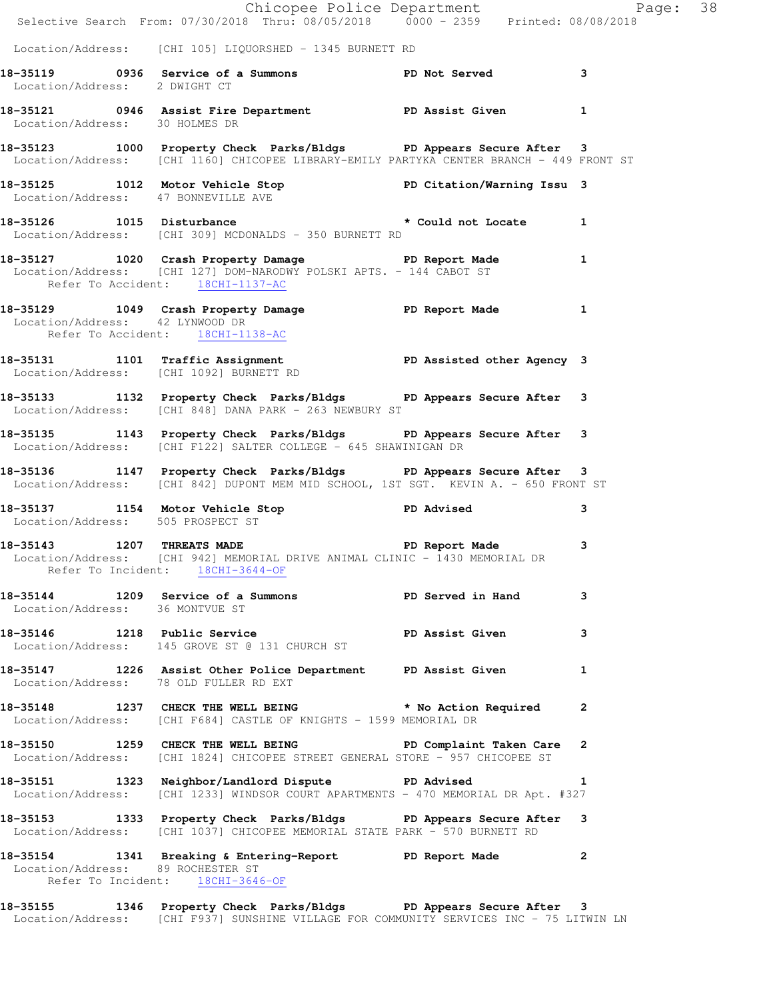|  | Chicopee Police Department<br>Selective Search From: 07/30/2018 Thru: 08/05/2018 0000 - 2359 Printed: 08/08/2018                                                  |                         |  |
|--|-------------------------------------------------------------------------------------------------------------------------------------------------------------------|-------------------------|--|
|  | Location/Address: [CHI 105] LIQUORSHED - 1345 BURNETT RD                                                                                                          |                         |  |
|  | 18-35119 		 0936 Service of a Summons 		 PD Not Served 3<br>Location/Address: 2 DWIGHT CT                                                                         |                         |  |
|  | 18-35121 0946 Assist Fire Department PD Assist Given 1<br>Location/Address: 30 HOLMES DR                                                                          |                         |  |
|  | 18-35123 1000 Property Check Parks/Bldgs PD Appears Secure After 3<br>Location/Address: [CHI 1160] CHICOPEE LIBRARY-EMILY PARTYKA CENTER BRANCH - 449 FRONT ST    |                         |  |
|  | 18-35125 1012 Motor Vehicle Stop PD Citation/Warning Issu 3<br>Location/Address: 47 BONNEVILLE AVE                                                                |                         |  |
|  | 18-35126 1015 Disturbance the set of the set of the set of the set of the set of the set of the set o<br>Location/Address: [CHI 309] MCDONALDS - 350 BURNETT RD   |                         |  |
|  | 18-35127 1020 Crash Property Damage PD Report Made 1<br>Location/Address: [CHI 127] DOM-NARODWY POLSKI APTS. - 144 CABOT ST<br>Refer To Accident: 18CHI-1137-AC   |                         |  |
|  | 18-35129 1049 Crash Property Damage Name PD Report Made 1<br>Location/Address: 42 LYNWOOD DR<br>Refer To Accident: 18CHI-1138-AC                                  |                         |  |
|  | 18-35131 1101 Traffic Assignment 18-35131 1101 PD Assisted other Agency 3<br>Location/Address: [CHI 1092] BURNETT RD                                              |                         |  |
|  | 18-35133 1132 Property Check Parks/Bldgs PD Appears Secure After 3<br>Location/Address: [CHI 848] DANA PARK - 263 NEWBURY ST                                      |                         |  |
|  | 18-35135 1143 Property Check Parks/Bldgs PD Appears Secure After 3<br>Location/Address: [CHI F122] SALTER COLLEGE - 645 SHAWINIGAN DR                             |                         |  |
|  | 18-35136 1147 Property Check Parks/Bldgs PD Appears Secure After 3<br>Location/Address: [CHI 842] DUPONT MEM MID SCHOOL, 1ST SGT. KEVIN A. - 650 FRONT ST         |                         |  |
|  | 18-35137 1154 Motor Vehicle Stop PD Advised<br>Location/Address: 505 PROSPECT ST                                                                                  | $\overline{\mathbf{3}}$ |  |
|  | 18-35143 1207 THREATS MADE 20 PD Report Made 3<br>Location/Address: [CHI 942] MEMORIAL DRIVE ANIMAL CLINIC - 1430 MEMORIAL DR<br>Refer To Incident: 18CHI-3644-OF |                         |  |
|  | 18-35144 1209 Service of a Summons TPD Served in Hand 3<br>Location/Address: 36 MONTVUE ST                                                                        |                         |  |
|  | 18-35146 1218 Public Service <b>18-3146</b> PD Assist Given 3<br>Location/Address: 145 GROVE ST @ 131 CHURCH ST                                                   |                         |  |
|  | 18-35147 1226 Assist Other Police Department PD Assist Given 1<br>Location/Address: 78 OLD FULLER RD EXT                                                          |                         |  |
|  | 18-35148 1237 CHECK THE WELL BEING * No Action Required 2<br>Location/Address: [CHI F684] CASTLE OF KNIGHTS - 1599 MEMORIAL DR                                    |                         |  |
|  | 18-35150 1259 CHECK THE WELL BEING FOR PD Complaint Taken Care 2<br>Location/Address: [CHI 1824] CHICOPEE STREET GENERAL STORE - 957 CHICOPEE ST                  |                         |  |
|  | 18-35151 1323 Neighbor/Landlord Dispute PD Advised 1<br>Location/Address: [CHI 1233] WINDSOR COURT APARTMENTS - 470 MEMORIAL DR Apt. #327                         | 1                       |  |
|  | 18-35153 1333 Property Check Parks/Bldgs PD Appears Secure After 3<br>Location/Address: [CHI 1037] CHICOPEE MEMORIAL STATE PARK - 570 BURNETT RD                  |                         |  |
|  | 18-35154 1341 Breaking & Entering-Report PD Report Made 2<br>Location/Address: 89 ROCHESTER ST<br>Refer To Incident: 18CHI-3646-OF                                |                         |  |
|  | 18-35155 1346 Property Check Parks/Bldgs PD Appears Secure After 3                                                                                                |                         |  |

Location/Address: [CHI F937] SUNSHINE VILLAGE FOR COMMUNITY SERVICES INC - 75 LITWIN LN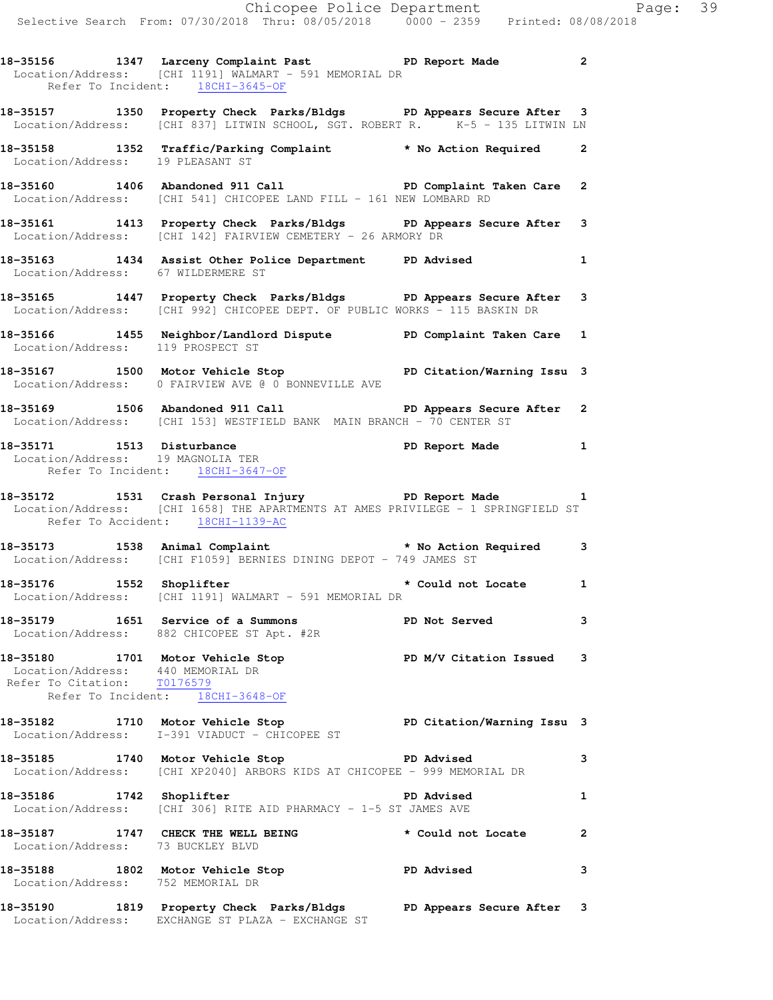**18-35156 1347 Larceny Complaint Past PD Report Made 2**  Location/Address: [CHI 1191] WALMART - 591 MEMORIAL DR Refer To Incident: 18CHI-3645-OF **18-35157 1350 Property Check Parks/Bldgs PD Appears Secure After 3**  Location/Address: [CHI 837] LITWIN SCHOOL, SGT. ROBERT R. K-5 - 135 LITWIN LN **18-35158 1352 Traffic/Parking Complaint \* No Action Required 2**  Location/Address: 19 PLEASANT ST **18-35160 1406 Abandoned 911 Call PD Complaint Taken Care 2**  Location/Address: [CHI 541] CHICOPEE LAND FILL - 161 NEW LOMBARD RD **18-35161 1413 Property Check Parks/Bldgs PD Appears Secure After 3**  Location/Address: [CHI 142] FAIRVIEW CEMETERY - 26 ARMORY DR **18-35163 1434 Assist Other Police Department PD Advised 1**  Location/Address: 67 WILDERMERE ST **18-35165 1447 Property Check Parks/Bldgs PD Appears Secure After 3**  Location/Address: [CHI 992] CHICOPEE DEPT. OF PUBLIC WORKS - 115 BASKIN DR **18-35166 1455 Neighbor/Landlord Dispute PD Complaint Taken Care 1**  Location/Address: 119 PROSPECT ST **18-35167 1500 Motor Vehicle Stop PD Citation/Warning Issu 3**  Location/Address: 0 FAIRVIEW AVE @ 0 BONNEVILLE AVE **18-35169 1506 Abandoned 911 Call PD Appears Secure After 2**  Location/Address: [CHI 153] WESTFIELD BANK MAIN BRANCH - 70 CENTER ST **18-35171 1513 Disturbance PD Report Made 1**  Location/Address: 19 MAGNOLIA TER Refer To Incident: 18CHI-3647-OF **18-35172 1531 Crash Personal Injury PD Report Made 1**  Location/Address: [CHI 1658] THE APARTMENTS AT AMES PRIVILEGE - 1 SPRINGFIELD ST Refer To Accident: 18CHI-1139-AC **18-35173 1538 Animal Complaint \* No Action Required 3**  Location/Address: [CHI F1059] BERNIES DINING DEPOT - 749 JAMES ST **18-35176 1552 Shoplifter \* Could not Locate 1**  Location/Address: [CHI 1191] WALMART - 591 MEMORIAL DR **18-35179 1651 Service of a Summons PD Not Served 3**  Location/Address: 882 CHICOPEE ST Apt. #2R **18-35180 1701 Motor Vehicle Stop PD M/V Citation Issued 3**  Location/Address: 440 MEMORIAL DR Refer To Citation: T0176579 Refer To Incident: 18CHI-3648-OF **18-35182 1710 Motor Vehicle Stop PD Citation/Warning Issu 3**  Location/Address: I-391 VIADUCT - CHICOPEE ST **18-35185 1740 Motor Vehicle Stop PD Advised 3**  Location/Address: [CHI XP2040] ARBORS KIDS AT CHICOPEE - 999 MEMORIAL DR **18-35186** 1742 Shoplifter **1 18-35186** 1 Location/Address: [CHI 306] RITE AID PHARMACY - 1-5 ST JAMES AVE **18-35187 1747 CHECK THE WELL BEING \* Could not Locate 2**  Location/Address: 73 BUCKLEY BLVD **18-35188 1802 Motor Vehicle Stop PD Advised 3**  Location/Address: 752 MEMORIAL DR

**18-35190 1819 Property Check Parks/Bldgs PD Appears Secure After 3**  Location/Address: EXCHANGE ST PLAZA - EXCHANGE ST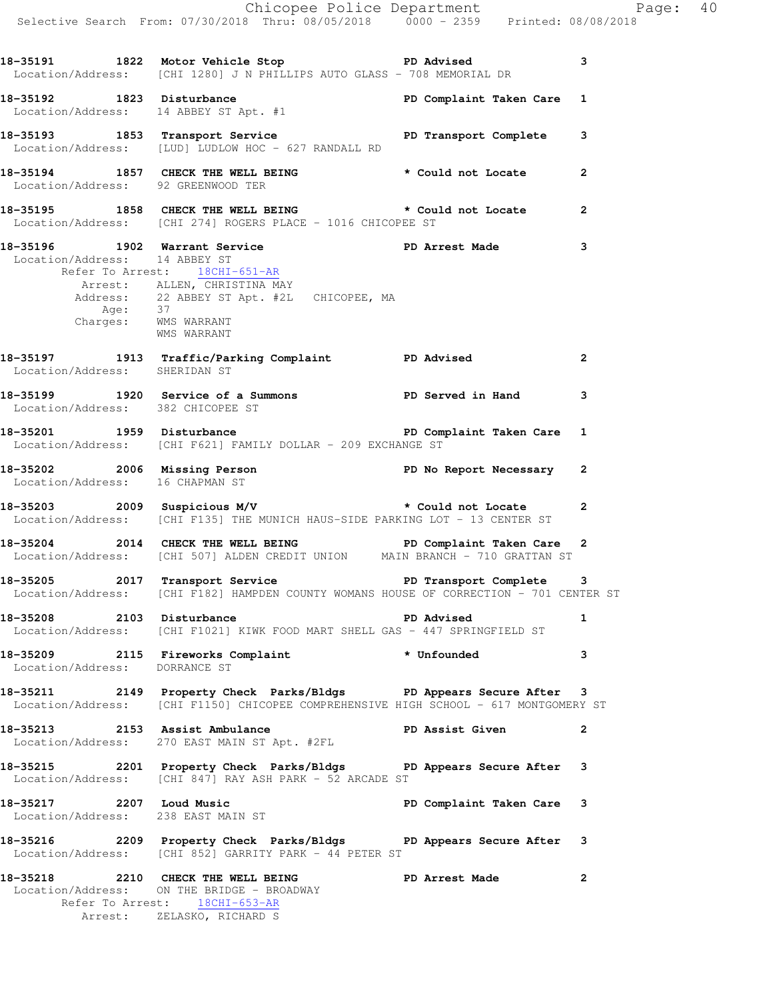|                                                                | Chicopee Police Department<br>Selective Search From: 07/30/2018 Thru: 08/05/2018 0000 - 2359 Printed: 08/08/2018                                                           |                           |                |
|----------------------------------------------------------------|----------------------------------------------------------------------------------------------------------------------------------------------------------------------------|---------------------------|----------------|
|                                                                | 18-35191 1822 Motor Vehicle Stop PD Advised<br>Location/Address: [CHI 1280] J N PHILLIPS AUTO GLASS - 708 MEMORIAL DR                                                      |                           | 3              |
|                                                                | 18-35192 1823 Disturbance<br>Location/Address: 14 ABBEY ST Apt. #1                                                                                                         |                           |                |
|                                                                | 18-35193 1853 Transport Service PD Transport Complete 3<br>Location/Address: [LUD] LUDLOW HOC - 627 RANDALL RD                                                             |                           |                |
| Location/Address: 92 GREENWOOD TER                             | 18-35194 1857 CHECK THE WELL BEING the second of Locate 2                                                                                                                  |                           |                |
|                                                                | 18-35195 1858 CHECK THE WELL BEING * Could not Locate 2<br>Location/Address: [CHI 274] ROGERS PLACE - 1016 CHICOPEE ST                                                     |                           |                |
| Location/Address: 14 ABBEY ST<br>Charges: WMS WARRANT          | 18-35196 1902 Warrant Service New PD Arrest Made<br>Refer To Arrest: 18CHI-651-AR<br>Arrest: ALLEN, CHRISTINA MAY<br>Address: 22 ABBEY ST Apt. #2L CHICOPEE, MA<br>Age: 37 |                           | 3              |
|                                                                | WMS WARRANT                                                                                                                                                                |                           | $\overline{2}$ |
|                                                                | 18-35199 1920 Service of a Summons PD Served in Hand 3<br>Location/Address: 382 CHICOPEE ST                                                                                |                           |                |
|                                                                | Location/Address: [CHI F621] FAMILY DOLLAR - 209 EXCHANGE ST                                                                                                               |                           |                |
|                                                                | 18-35202 2006 Missing Person<br>Location/Address: 16 CHAPMAN ST                                                                                                            |                           |                |
|                                                                | Location/Address: [CHI F135] THE MUNICH HAUS-SIDE PARKING LOT - 13 CENTER ST                                                                                               |                           | $\mathbf{2}$   |
|                                                                | 18-35204 2014 CHECK THE WELL BEING PD Complaint Taken Care 2<br>Location/Address: [CHI 507] ALDEN CREDIT UNION MAIN BRANCH - 710 GRATTAN ST                                |                           |                |
|                                                                | 18-35205 2017 Transport Service <b>18-31 PD</b> Transport Complete 3<br>Location/Address: [CHI F182] HAMPDEN COUNTY WOMANS HOUSE OF CORRECTION - 701 CENTER ST             |                           |                |
|                                                                | 18-35208 2103 Disturbance<br>Location/Address: [CHI F1021] KIWK FOOD MART SHELL GAS - 447 SPRINGFIELD ST                                                                   | <b>PD Advised</b>         | $\mathbf{1}$   |
| Location/Address: DORRANCE ST                                  | 18-35209 2115 Fireworks Complaint * Unfounded                                                                                                                              |                           | 3              |
|                                                                | 18-35211 2149 Property Check Parks/Bldgs PD Appears Secure After 3<br>Location/Address: [CHI F1150] CHICOPEE COMPREHENSIVE HIGH SCHOOL - 617 MONTGOMERY ST                 |                           |                |
| 18-35213 2153 Assist Ambulance                                 | 18-35213 2153 Assist Ambulance<br>Location/Address: 270 EAST MAIN ST Apt. #2FL                                                                                             | PD Assist Given           | 2              |
|                                                                | 18-35215 2201 Property Check Parks/Bldgs PD Appears Secure After 3<br>Location/Address: [CHI 847] RAY ASH PARK - 52 ARCADE ST                                              |                           |                |
| 18-35217 2207 Loud Music<br>Location/Address: 238 EAST MAIN ST |                                                                                                                                                                            | PD Complaint Taken Care 3 |                |
|                                                                | 18-35216 2209 Property Check Parks/Bldgs PD Appears Secure After 3<br>Location/Address: [CHI 852] GARRITY PARK - 44 PETER ST                                               |                           |                |
|                                                                | 18-35218 2210 CHECK THE WELL BEING PD Arrest Made<br>Location/Address: ON THE BRIDGE - BROADWAY<br>Refer To Arrest: 18CHI-653-AR<br>Arrest: ZELASKO, RICHARD S             |                           | $\mathbf{2}$   |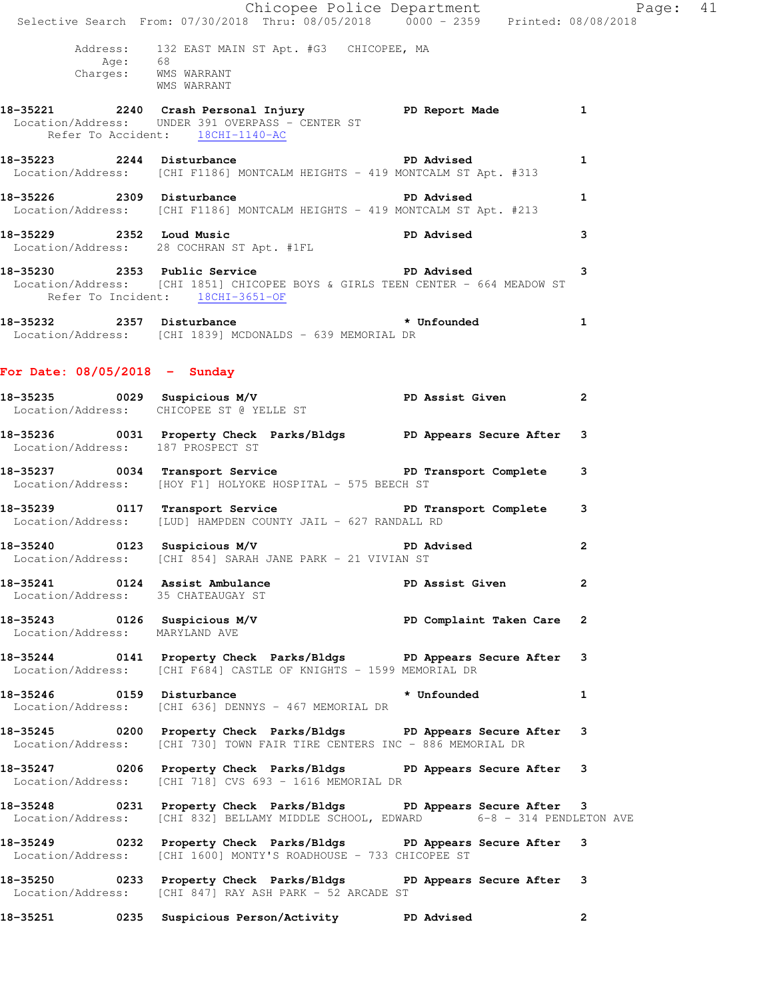|                                                | Chicopee Police Department<br>Selective Search From: 07/30/2018 Thru: 08/05/2018 0000 - 2359 Printed: 08/08/2018                                        |             |              |  |
|------------------------------------------------|---------------------------------------------------------------------------------------------------------------------------------------------------------|-------------|--------------|--|
|                                                |                                                                                                                                                         |             |              |  |
| Age: 68<br>Charges: WMS WARRANT<br>WMS WARRANT | Address: 132 EAST MAIN ST Apt. #G3 CHICOPEE, MA                                                                                                         |             |              |  |
|                                                | 18-35221 12240 Crash Personal Injury 1 PD Report Made 1<br>Location/Address: UNDER 391 OVERPASS - CENTER ST<br>Refer To Accident: 18CHI-1140-AC         |             |              |  |
|                                                | 18-35223 2244 Disturbance<br>Location/Address: [CHI F1186] MONTCALM HEIGHTS - 419 MONTCALM ST Apt. #313                                                 |             | 1            |  |
|                                                | 18-35226 2309 Disturbance<br>Location/Address: [CHI F1186] MONTCALM HEIGHTS - 419 MONTCALM ST Apt. #213                                                 |             | $\mathbf{1}$ |  |
|                                                | 18-35229 2352 Loud Music 2008 PD Advised<br>Location/Address: 28 COCHRAN ST Apt. #1FL                                                                   |             | 3            |  |
| Refer To Incident: 18CHI-3651-OF               | 18-35230 2353 Public Service 2353 Public Service<br>Location/Address: [CHI 1851] CHICOPEE BOYS & GIRLS TEEN CENTER - 664 MEADOW ST                      |             | 3            |  |
|                                                | 18-35232 2357 Disturbance * * Unfounded 1<br>Location/Address: [CHI 1839] MCDONALDS - 639 MEMORIAL DR                                                   |             |              |  |
| For Date: $08/05/2018$ - Sunday                |                                                                                                                                                         |             |              |  |
|                                                | 18-35235 0029 Suspicious M/V PD Assist Given<br>Location/Address: CHICOPEE ST @ YELLE ST                                                                |             | $\mathbf{2}$ |  |
|                                                | 18-35236 0031 Property Check Parks/Bldgs PD Appears Secure After 3<br>Location/Address: 187 PROSPECT ST                                                 |             |              |  |
|                                                | 18-35237 0034 Transport Service PD Transport Complete 3<br>Location/Address: [HOY F1] HOLYOKE HOSPITAL - 575 BEECH ST                                   |             |              |  |
|                                                | 18-35239 0117 Transport Service New PD Transport Complete 3<br>Location/Address: [LUD] HAMPDEN COUNTY JAIL - 627 RANDALL RD                             |             |              |  |
|                                                | 18-35240 0123 Suspicious M/V PD Advised<br>Location/Address: [CHI 854] SARAH JANE PARK - 21 VIVIAN ST                                                   |             | 2            |  |
| Location/Address: 35 CHATEAUGAY ST             | 18-35241 0124 Assist Ambulance New PD Assist Given                                                                                                      |             | $\mathbf{2}$ |  |
| Location/Address: MARYLAND AVE                 | 18-35243 18-0126 Suspicious M/V 1990 PD Complaint Taken Care 2                                                                                          |             |              |  |
|                                                | 18-35244 0141 Property Check Parks/Bldgs PD Appears Secure After 3<br>Location/Address: [CHI F684] CASTLE OF KNIGHTS - 1599 MEMORIAL DR                 |             |              |  |
|                                                | 18-35246 0159 Disturbance<br>Location/Address: [CHI 636] DENNYS - 467 MEMORIAL DR                                                                       | * Unfounded | $\mathbf{1}$ |  |
|                                                | 18-35245 0200 Property Check Parks/Bldgs PD Appears Secure After 3<br>Location/Address: [CHI 730] TOWN FAIR TIRE CENTERS INC - 886 MEMORIAL DR          |             |              |  |
|                                                | 18-35247 0206 Property Check Parks/Bldgs PD Appears Secure After 3<br>Location/Address: [CHI 718] CVS 693 - 1616 MEMORIAL DR                            |             |              |  |
|                                                | 18-35248 0231 Property Check Parks/Bldgs PD Appears Secure After 3<br>Location/Address: [CHI 832] BELLAMY MIDDLE SCHOOL, EDWARD 6-8 - 314 PENDLETON AVE |             |              |  |
|                                                | 18-35249 		 0232 Property Check Parks/Bldgs 		 PD Appears Secure After 3<br>Location/Address: [CHI 1600] MONTY'S ROADHOUSE - 733 CHICOPEE ST            |             |              |  |
|                                                | 18-35250 0233 Property Check Parks/Bldgs PD Appears Secure After 3<br>Location/Address: [CHI 847] RAY ASH PARK - 52 ARCADE ST                           |             |              |  |
| 18-35251                                       | 0235 Suspicious Person/Activity TD Advised                                                                                                              |             | $\mathbf{2}$ |  |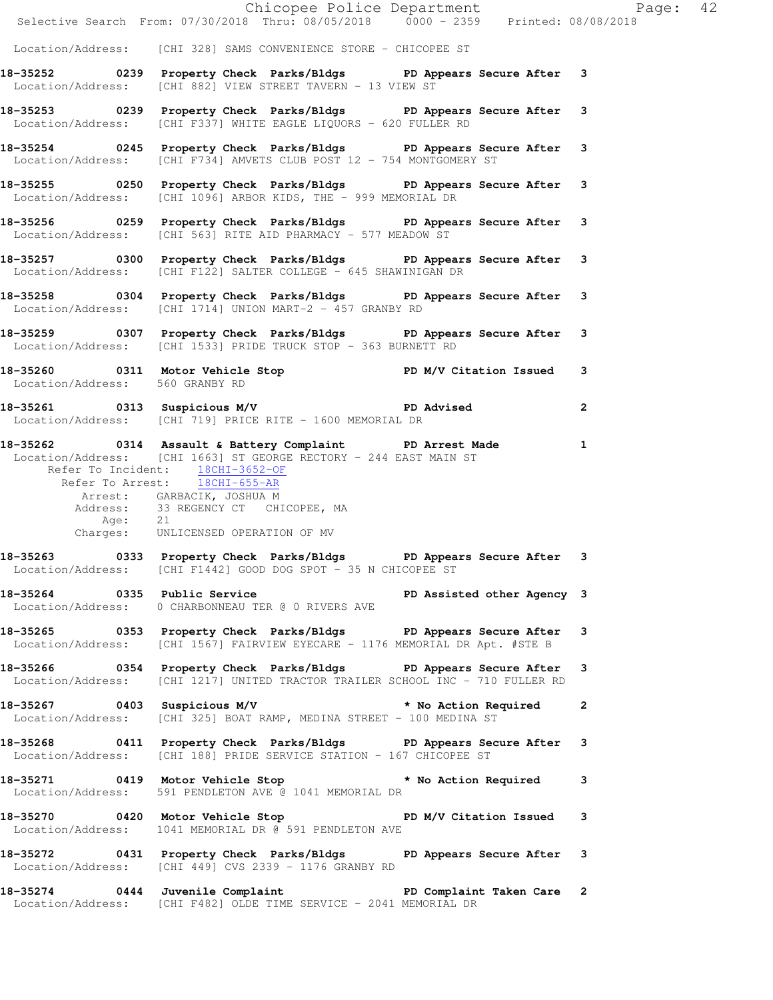|                                 | Chicopee Police Department<br>Selective Search From: 07/30/2018 Thru: 08/05/2018 0000 - 2359 Printed: 08/08/2018                                                                                                                                                                                                          |  |
|---------------------------------|---------------------------------------------------------------------------------------------------------------------------------------------------------------------------------------------------------------------------------------------------------------------------------------------------------------------------|--|
|                                 | Location/Address: [CHI 328] SAMS CONVENIENCE STORE - CHICOPEE ST                                                                                                                                                                                                                                                          |  |
|                                 |                                                                                                                                                                                                                                                                                                                           |  |
|                                 | 18-35252 0239 Property Check Parks/Bldgs PD Appears Secure After 3<br>Location/Address: [CHI 882] VIEW STREET TAVERN - 13 VIEW ST                                                                                                                                                                                         |  |
|                                 | 18-35253 0239 Property Check Parks/Bldgs PD Appears Secure After 3<br>Location/Address: [CHI F337] WHITE EAGLE LIQUORS - 620 FULLER RD                                                                                                                                                                                    |  |
|                                 | 18-35254 0245 Property Check Parks/Bldgs PD Appears Secure After 3<br>Location/Address: [CHI F734] AMVETS CLUB POST 12 - 754 MONTGOMERY ST                                                                                                                                                                                |  |
|                                 | 18-35255 0250 Property Check Parks/Bldgs PD Appears Secure After 3<br>Location/Address: [CHI 1096] ARBOR KIDS, THE - 999 MEMORIAL DR                                                                                                                                                                                      |  |
|                                 | 18-35256 0259 Property Check Parks/Bldgs PD Appears Secure After 3<br>Location/Address: [CHI 563] RITE AID PHARMACY - 577 MEADOW ST                                                                                                                                                                                       |  |
|                                 | 18-35257 0300 Property Check Parks/Bldgs PD Appears Secure After 3<br>Location/Address: [CHI F122] SALTER COLLEGE - 645 SHAWINIGAN DR                                                                                                                                                                                     |  |
|                                 | 18-35258 0304 Property Check Parks/Bldgs PD Appears Secure After 3<br>Location/Address: [CHI 1714] UNION MART-2 - 457 GRANBY RD                                                                                                                                                                                           |  |
|                                 | 18-35259 0307 Property Check Parks/Bldgs PD Appears Secure After 3<br>Location/Address: [CHI 1533] PRIDE TRUCK STOP - 363 BURNETT RD                                                                                                                                                                                      |  |
| Location/Address: 560 GRANBY RD | 18-35260 0311 Motor Vehicle Stop N/V Citation Issued 3                                                                                                                                                                                                                                                                    |  |
|                                 | 18-35261 0313 Suspicious M/V PD Advised 2<br>Location/Address: [CHI 719] PRICE RITE - 1600 MEMORIAL DR                                                                                                                                                                                                                    |  |
|                                 | 18-35262 0314 Assault & Battery Complaint PD Arrest Made<br>Location/Address: [CHI 1663] ST GEORGE RECTORY - 244 EAST MAIN ST<br>Refer To Incident: 18CHI-3652-OF<br>Refer To Arrest: 18CHI-655-AR<br>Arrest: GARBACIK, JOSHUA M<br>Address: 33 REGENCY CT CHICOPEE, MA<br>Age: 21<br>Charges: UNLICENSED OPERATION OF MV |  |
|                                 | 18-35263 0333 Property Check Parks/Bldgs PD Appears Secure After 3<br>Location/Address: [CHI F1442] GOOD DOG SPOT - 35 N CHICOPEE ST                                                                                                                                                                                      |  |
|                                 | 18-35264 0335 Public Service New PD Assisted other Agency 3<br>Location/Address: 0 CHARBONNEAU TER @ 0 RIVERS AVE                                                                                                                                                                                                         |  |
|                                 | 18-35265 0353 Property Check Parks/Bldgs PD Appears Secure After 3<br>Location/Address: [CHI 1567] FAIRVIEW EYECARE - 1176 MEMORIAL DR Apt. #STE B                                                                                                                                                                        |  |
|                                 | 18-35266 0354 Property Check Parks/Bldgs PD Appears Secure After 3<br>Location/Address: [CHI 1217] UNITED TRACTOR TRAILER SCHOOL INC - 710 FULLER RD                                                                                                                                                                      |  |
|                                 | 18-35267 0403 Suspicious M/V * No Action Required 2<br>Location/Address: [CHI 325] BOAT RAMP, MEDINA STREET - 100 MEDINA ST                                                                                                                                                                                               |  |
|                                 | 18-35268 0411 Property Check Parks/Bldgs PD Appears Secure After 3<br>Location/Address: [CHI 188] PRIDE SERVICE STATION - 167 CHICOPEE ST                                                                                                                                                                                 |  |
|                                 | 18-35271 0419 Motor Vehicle Stop * No Action Required 3<br>Location/Address: 591 PENDLETON AVE @ 1041 MEMORIAL DR                                                                                                                                                                                                         |  |
|                                 | 18-35270 0420 Motor Vehicle Stop North PD M/V Citation Issued 3<br>Location/Address: 1041 MEMORIAL DR @ 591 PENDLETON AVE                                                                                                                                                                                                 |  |
|                                 | 18-35272 0431 Property Check Parks/Bldgs PD Appears Secure After 3<br>Location/Address: [CHI 449] CVS 2339 - 1176 GRANBY RD                                                                                                                                                                                               |  |
|                                 | 18-35274 0444 Juvenile Complaint 18-35274 0444 Duvenile Complaint PD Complaint Taken Care<br>Location/Address: [CHI F482] OLDE TIME SERVICE - 2041 MEMORIAL DR                                                                                                                                                            |  |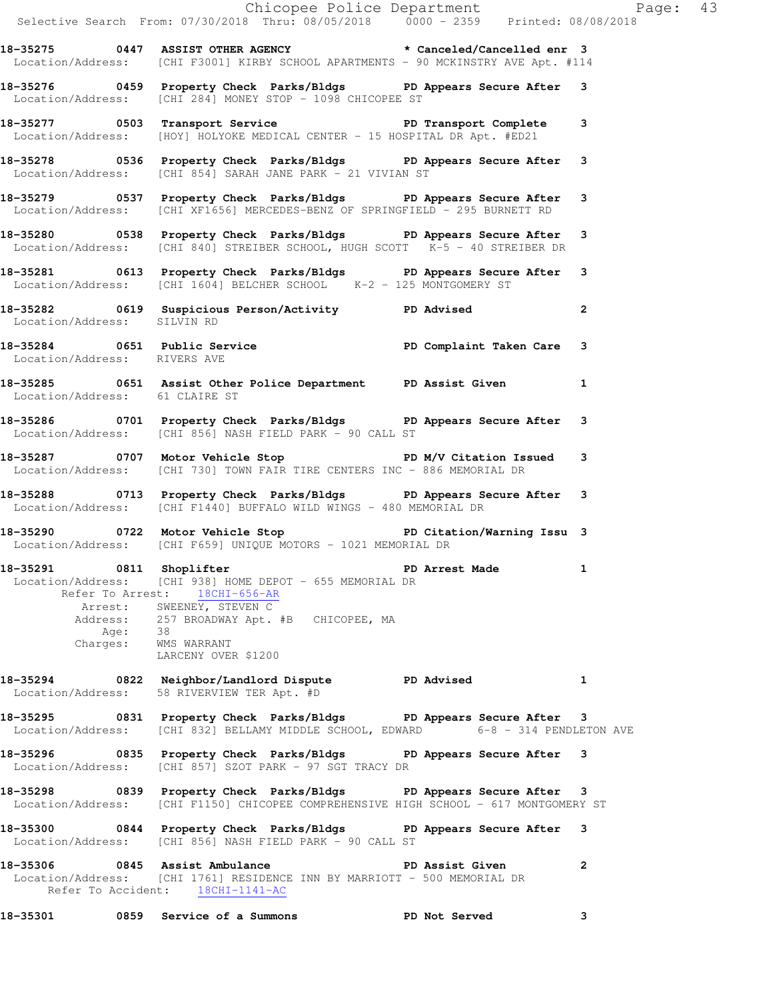|                                                                    | Exage: 43<br>Selective Search From: 07/30/2018 Thru: 08/05/2018 0000 - 2359 Printed: 08/08/2018                                                                                                                                                                                |                 |                |
|--------------------------------------------------------------------|--------------------------------------------------------------------------------------------------------------------------------------------------------------------------------------------------------------------------------------------------------------------------------|-----------------|----------------|
|                                                                    | 18-35275 0447 ASSIST OTHER AGENCY the state of the canceled/Cancelled enr 3<br>Location/Address: [CHI F3001] KIRBY SCHOOL APARTMENTS - 90 MCKINSTRY AVE Apt. #114                                                                                                              |                 |                |
|                                                                    | 18-35276 1899 Property Check Parks/Bldgs PD Appears Secure After<br>Location/Address: [CHI 284] MONEY STOP - 1098 CHICOPEE ST                                                                                                                                                  |                 |                |
|                                                                    | 18-35277 0503 Transport Service PD Transport Complete 3<br>Location/Address: [HOY] HOLYOKE MEDICAL CENTER - 15 HOSPITAL DR Apt. #ED21                                                                                                                                          |                 |                |
|                                                                    | 18-35278 0536 Property Check Parks/Bldgs PD Appears Secure After 3<br>Location/Address: [CHI 854] SARAH JANE PARK - 21 VIVIAN ST                                                                                                                                               |                 |                |
|                                                                    | 18-35279 0537 Property Check Parks/Bldgs PD Appears Secure After 3<br>Location/Address: [CHI XF1656] MERCEDES-BENZ OF SPRINGFIELD - 295 BURNETT RD                                                                                                                             |                 |                |
|                                                                    | 18-35280 18-35280 Droperty Check Parks/Bldgs PD Appears Secure After 3<br>Location/Address: [CHI 840] STREIBER SCHOOL, HUGH SCOTT K-5 - 40 STREIBER DR                                                                                                                         |                 |                |
|                                                                    | 18-35281 0613 Property Check Parks/Bldgs PD Appears Secure After 3<br>Location/Address: [CHI 1604] BELCHER SCHOOL K-2 - 125 MONTGOMERY ST                                                                                                                                      |                 |                |
| Location/Address: SILVIN RD                                        | 18-35282 		 0619 Suspicious Person/Activity 		 PD Advised                                                                                                                                                                                                                      |                 | $\mathbf{2}$   |
| Location/Address: RIVERS AVE                                       | 18-35284 0651 Public Service PD Complaint Taken Care 3                                                                                                                                                                                                                         |                 |                |
| Location/Address: 61 CLAIRE ST                                     | 18-35285 0651 Assist Other Police Department PD Assist Given                                                                                                                                                                                                                   |                 | $\mathbf{1}$   |
|                                                                    | 18-35286 0701 Property Check Parks/Bldgs PD Appears Secure After 3<br>Location/Address: [CHI 856] NASH FIELD PARK - 90 CALL ST                                                                                                                                                 |                 |                |
|                                                                    | 18-35287 0707 Motor Vehicle Stop N/V Citation Issued 3<br>Location/Address: [CHI 730] TOWN FAIR TIRE CENTERS INC - 886 MEMORIAL DR                                                                                                                                             |                 |                |
|                                                                    | 18-35288 0713 Property Check Parks/Bldgs PD Appears Secure After 3<br>Location/Address: [CHI F1440] BUFFALO WILD WINGS - 480 MEMORIAL DR                                                                                                                                       |                 |                |
|                                                                    | 18-35290 0722 Motor Vehicle Stop PD Citation/Warning Issu 3<br>Location/Address: [CHI F659] UNIQUE MOTORS - 1021 MEMORIAL DR                                                                                                                                                   |                 |                |
|                                                                    | 18-35291 0811 Shoplifter 2008 PD Arrest Made<br>Location/Address: [CHI 938] HOME DEPOT - 655 MEMORIAL DR<br>Refer To Arrest: 18CHI-656-AR<br>Arrest: SWEENEY, STEVEN C<br>Address: 257 BROADWAY Apt. #B CHICOPEE, MA<br>Age: 38<br>Charges: WMS WARRANT<br>LARCENY OVER \$1200 |                 |                |
|                                                                    | 18-35294 0822 Neighbor/Landlord Dispute PD Advised<br>Location/Address: 58 RIVERVIEW TER Apt. #D                                                                                                                                                                               |                 | 1              |
|                                                                    | 18-35295 0831 Property Check Parks/Bldgs PD Appears Secure After 3<br>Location/Address: [CHI 832] BELLAMY MIDDLE SCHOOL, EDWARD 6-8 - 314 PENDLETON AVE                                                                                                                        |                 |                |
|                                                                    | 18-35296 0835 Property Check Parks/Bldgs PD Appears Secure After 3<br>Location/Address: [CHI 857] SZOT PARK - 97 SGT TRACY DR                                                                                                                                                  |                 |                |
|                                                                    | 18-35298 0839 Property Check Parks/Bldgs PD Appears Secure After 3<br>Location/Address: [CHI F1150] CHICOPEE COMPREHENSIVE HIGH SCHOOL - 617 MONTGOMERY ST                                                                                                                     |                 |                |
|                                                                    | 18-35300 0844 Property Check Parks/Bldgs PD Appears Secure After 3<br>Location/Address: [CHI 856] NASH FIELD PARK - 90 CALL ST                                                                                                                                                 |                 |                |
| 18-35306 0845 Assist Ambulance<br>Refer To Accident: 18CHI-1141-AC | Location/Address: [CHI 1761] RESIDENCE INN BY MARRIOTT - 500 MEMORIAL DR                                                                                                                                                                                                       | PD Assist Given | $\overline{2}$ |
|                                                                    | 18-35301 0859 Service of a Summons                                                                                                                                                                                                                                             | PD Not Served   | 3              |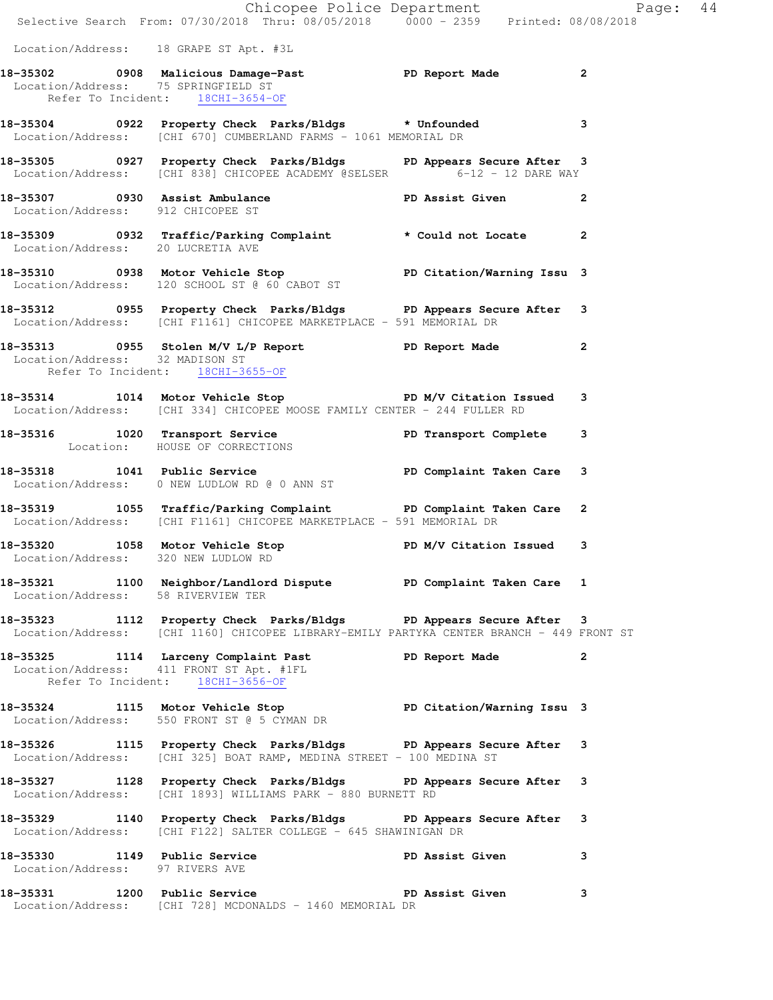|                                     | Chicopee Police Department<br>Selective Search From: 07/30/2018 Thru: 08/05/2018 0000 - 2359 Printed: 08/08/2018                                               |                   |   |
|-------------------------------------|----------------------------------------------------------------------------------------------------------------------------------------------------------------|-------------------|---|
|                                     | Location/Address: 18 GRAPE ST Apt. #3L                                                                                                                         |                   |   |
| Location/Address: 75 SPRINGFIELD ST | 18-35302 0908 Malicious Damage-Past Name PD Report Made 2<br>Location/Address: 75 SPRINGFIELD ST<br>Refer To Incident: 18CHI-3654-OF                           |                   |   |
|                                     | 18-35304 0922 Property Check Parks/Bldgs * Unfounded 3<br>Location/Address: [CHI 670] CUMBERLAND FARMS - 1061 MEMORIAL DR                                      |                   |   |
|                                     | 18-35305 0927 Property Check Parks/Bldgs PD Appears Secure After 3<br>Location/Address: [CHI 838] CHICOPEE ACADEMY @SELSER 6-12 - 12 DARE WAY                  |                   |   |
| Location/Address: 912 CHICOPEE ST   | 18-35307 0930 Assist Ambulance New PD Assist Given 2                                                                                                           |                   |   |
|                                     | 18-35309 0932 Traffic/Parking Complaint * Could not Locate 2<br>Location/Address: 20 LUCRETIA AVE                                                              |                   |   |
|                                     | 18-35310 0938 Motor Vehicle Stop PD Citation/Warning Issu 3<br>Location/Address: 120 SCHOOL ST @ 60 CABOT ST                                                   |                   |   |
|                                     | 18-35312 18-35312 0955 Property Check Parks/Bldgs 19 PD Appears Secure After 3<br>Location/Address: [CHI F1161] CHICOPEE MARKETPLACE - 591 MEMORIAL DR         |                   |   |
| Location/Address: 32 MADISON ST     | 18-35313 0955 Stolen M/V L/P Report 1 PD Report Made 2<br>Refer To Incident: 18CHI-3655-OF                                                                     |                   |   |
|                                     | 18-35314 1014 Motor Vehicle Stop N/V Citation Issued 3<br>Location/Address: [CHI 334] CHICOPEE MOOSE FAMILY CENTER - 244 FULLER RD                             |                   |   |
|                                     | 18-35316 1020 Transport Service PD Transport Complete 3<br>Location: HOUSE OF CORRECTIONS                                                                      |                   |   |
|                                     | 18-35318 1041 Public Service 20 PD Complaint Taken Care 3<br>Location/Address: 0 NEW LUDLOW RD @ 0 ANN ST                                                      |                   |   |
|                                     | 18-35319 1055 Traffic/Parking Complaint PD Complaint Taken Care 2<br>Location/Address: [CHI F1161] CHICOPEE MARKETPLACE - 591 MEMORIAL DR                      |                   |   |
| Location/Address: 320 NEW LUDLOW RD | 18-35320 1058 Motor Vehicle Stop N/V Citation Issued 3                                                                                                         |                   |   |
|                                     | 18-35321 1100 Neighbor/Landlord Dispute PD Complaint Taken Care 1<br>Location/Address: 58 RIVERVIEW TER                                                        |                   |   |
|                                     | 18-35323 1112 Property Check Parks/Bldgs PD Appears Secure After 3<br>Location/Address: [CHI 1160] CHICOPEE LIBRARY-EMILY PARTYKA CENTER BRANCH - 449 FRONT ST |                   |   |
|                                     | 18-35325 1114 Larceny Complaint Past PD Report Made 2<br>Location/Address: 411 FRONT ST Apt. #1FL<br>Refer To Incident: 18CHI-3656-OF                          |                   |   |
|                                     | 18-35324 1115 Motor Vehicle Stop North PD Citation/Warning Issu 3<br>Location/Address: 550 FRONT ST @ 5 CYMAN DR                                               |                   |   |
|                                     | 18-35326 1115 Property Check Parks/Bldgs PD Appears Secure After 3<br>Location/Address: [CHI 325] BOAT RAMP, MEDINA STREET - 100 MEDINA ST                     |                   |   |
|                                     | 18-35327 1128 Property Check Parks/Bldgs PD Appears Secure After 3<br>Location/Address: [CHI 1893] WILLIAMS PARK - 880 BURNETT RD                              |                   |   |
|                                     | 18-35329 1140 Property Check Parks/Bldgs PD Appears Secure After 3<br>Location/Address: [CHI F122] SALTER COLLEGE - 645 SHAWINIGAN DR                          |                   |   |
| Location/Address: 97 RIVERS AVE     | 18-35330 1149 Public Service New PD Assist Given                                                                                                               |                   | 3 |
| 18-35331 1200 Public Service        | Location/Address: [CHI 728] MCDONALDS - 1460 MEMORIAL DR                                                                                                       | PD Assist Given 3 |   |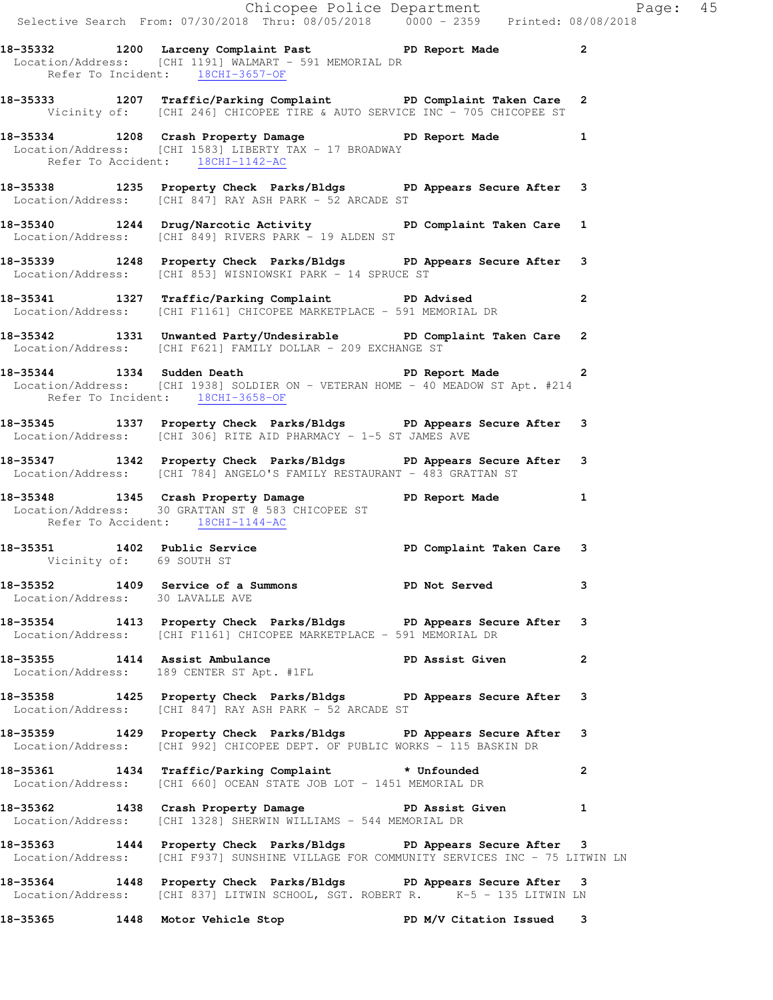|                                  | Chicopee Police Department<br>Selective Search From: 07/30/2018 Thru: 08/05/2018 0000 - 2359 Printed: 08/08/2018                                                |              |  |
|----------------------------------|-----------------------------------------------------------------------------------------------------------------------------------------------------------------|--------------|--|
|                                  |                                                                                                                                                                 |              |  |
|                                  | 18-35332 1200 Larceny Complaint Past PD Report Made 2<br>Location/Address: [CHI 1191] WALMART - 591 MEMORIAL DR<br>Refer To Incident: 18CHI-3657-OF             |              |  |
|                                  | 18-35333 1207 Traffic/Parking Complaint PD Complaint Taken Care 2<br>Vicinity of: [CHI 246] CHICOPEE TIRE & AUTO SERVICE INC - 705 CHICOPEE ST                  |              |  |
| Refer To Accident: 18CHI-1142-AC | 18-35334 1208 Crash Property Damage Name PD Report Made 1<br>Location/Address: [CHI 1583] LIBERTY TAX - 17 BROADWAY                                             |              |  |
|                                  | 18-35338 1235 Property Check Parks/Bldgs PD Appears Secure After 3<br>Location/Address: [CHI 847] RAY ASH PARK - 52 ARCADE ST                                   |              |  |
|                                  | 18-35340 1244 Drug/Narcotic Activity 1 PD Complaint Taken Care 1<br>Location/Address: [CHI 849] RIVERS PARK - 19 ALDEN ST                                       |              |  |
|                                  | 18-35339 1248 Property Check Parks/Bldgs PD Appears Secure After 3<br>Location/Address: [CHI 853] WISNIOWSKI PARK - 14 SPRUCE ST                                |              |  |
|                                  | 18-35341 1327 Traffic/Parking Complaint PD Advised<br>Location/Address: [CHI F1161] CHICOPEE MARKETPLACE - 591 MEMORIAL DR                                      | $\mathbf{2}$ |  |
|                                  | 18-35342 1331 Unwanted Party/Undesirable PD Complaint Taken Care 2<br>Location/Address: [CHI F621] FAMILY DOLLAR - 209 EXCHANGE ST                              |              |  |
| Refer To Incident: 18CHI-3658-OF | 18-35344 1334 Sudden Death <b>Death</b> PD Report Made 2<br>Location/Address: [CHI 1938] SOLDIER ON - VETERAN HOME - 40 MEADOW ST Apt. #214                     |              |  |
|                                  | 18-35345 1337 Property Check Parks/Bldgs PD Appears Secure After 3<br>Location/Address: [CHI 306] RITE AID PHARMACY - 1-5 ST JAMES AVE                          |              |  |
|                                  | 18-35347 1342 Property Check Parks/Bldgs PD Appears Secure After 3<br>Location/Address: [CHI 784] ANGELO'S FAMILY RESTAURANT - 483 GRATTAN ST                   |              |  |
| Refer To Accident: 18CHI-1144-AC | 18-35348 1345 Crash Property Damage PD Report Made 1<br>Location/Address: 30 GRATTAN ST @ 583 CHICOPEE ST                                                       |              |  |
| Vicinity of: 69 SOUTH ST         | 18-35351 1402 Public Service 20 PD Complaint Taken Care 3                                                                                                       |              |  |
|                                  | 18-35352 1409 Service of a Summons PD Not Served 3<br>Location/Address: 30 LAVALLE AVE                                                                          |              |  |
|                                  | 18-35354 1413 Property Check Parks/Bldgs PD Appears Secure After 3<br>Location/Address: [CHI F1161] CHICOPEE MARKETPLACE - 591 MEMORIAL DR                      |              |  |
|                                  | 18-35355 1414 Assist Ambulance PD Assist Given<br>Location/Address: 189 CENTER ST Apt. #1FL PD Assist Given                                                     | $\mathbf{2}$ |  |
|                                  | 18-35358 1425 Property Check Parks/Bldgs PD Appears Secure After 3<br>Location/Address: [CHI 847] RAY ASH PARK - 52 ARCADE ST                                   |              |  |
|                                  | 18-35359 1429 Property Check Parks/Bldgs PD Appears Secure After 3<br>Location/Address: [CHI 992] CHICOPEE DEPT. OF PUBLIC WORKS - 115 BASKIN DR                |              |  |
|                                  | 18-35361 1434 Traffic/Parking Complaint * Unfounded<br>Location/Address: [CHI 660] OCEAN STATE JOB LOT - 1451 MEMORIAL DR                                       | $\mathbf{2}$ |  |
|                                  | 18-35362 1438 Crash Property Damage PD Assist Given 1<br>Location/Address: [CHI 1328] SHERWIN WILLIAMS - 544 MEMORIAL DR                                        |              |  |
|                                  | 18-35363 1444 Property Check Parks/Bldgs PD Appears Secure After 3<br>  Location/Address: [CHI F937] SUNSHINE VILLAGE FOR COMMUNITY SERVICES INC - 75 LITWIN LN |              |  |
|                                  | 18-35364 1448 Property Check Parks/Bldgs PD Appears Secure After 3<br>Location/Address: [CHI 837] LITWIN SCHOOL, SGT. ROBERT R. K-5 - 135 LITWIN LN             |              |  |

**18-35365 1448 Motor Vehicle Stop PD M/V Citation Issued 3**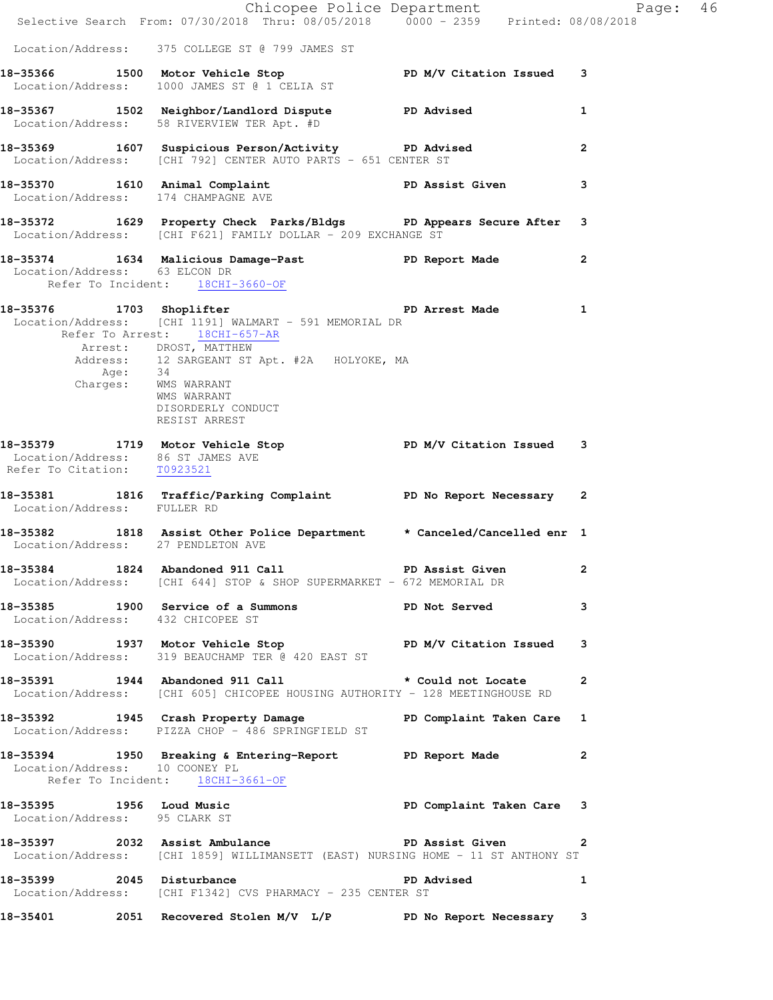|                                                                  | Chicopee Police Department<br>Selective Search From: 07/30/2018 Thru: 08/05/2018 0000 - 2359 Printed: 08/08/2018                                                                       |              | Page: 46       |  |
|------------------------------------------------------------------|----------------------------------------------------------------------------------------------------------------------------------------------------------------------------------------|--------------|----------------|--|
|                                                                  | Location/Address: 375 COLLEGE ST @ 799 JAMES ST                                                                                                                                        |              |                |  |
|                                                                  | 18-35366 1500 Motor Vehicle Stop PD M/V Citation Issued 3<br>Location/Address: 1000 JAMES ST @ 1 CELIA ST                                                                              |              |                |  |
|                                                                  | 18-35367 1502 Neighbor/Landlord Dispute PD Advised<br>Location/Address: 58 RIVERVIEW TER Apt. #D                                                                                       |              | 1              |  |
|                                                                  | 18-35369 1607 Suspicious Person/Activity PD Advised<br>Location/Address: [CHI 792] CENTER AUTO PARTS - 651 CENTER ST                                                                   |              | $\overline{2}$ |  |
|                                                                  | 18-35370 1610 Animal Complaint PD Assist Given<br>Location/Address: 174 CHAMPAGNE AVE                                                                                                  |              | 3              |  |
|                                                                  | 18-35372 1629 Property Check Parks/Bldgs PD Appears Secure After 3<br>Location/Address: [CHI F621] FAMILY DOLLAR - 209 EXCHANGE ST                                                     |              |                |  |
|                                                                  | 18-35374 1634 Malicious Damage-Past PD Report Made<br>Location/Address: 63 ELCON DR<br>Refer To Incident: 18CHI-3660-OF                                                                |              | $\mathbf{2}$   |  |
| Refer To Arrest: 18CHI-657-AR<br>Age: 34<br>Charges: WMS WARRANT | Location/Address: [CHI 1191] WALMART - 591 MEMORIAL DR<br>Arrest: DROST, MATTHEW<br>Address: 12 SARGEANT ST Apt. #2A HOLYOKE, MA<br>WMS WARRANT<br>DISORDERLY CONDUCT<br>RESIST ARREST |              |                |  |
| Location/Address: 86 ST JAMES AVE<br>Refer To Citation: T0923521 | 18-35379 1719 Motor Vehicle Stop N/V Citation Issued 3                                                                                                                                 |              |                |  |
| Location/Address: FULLER RD                                      | 18-35381 1816 Traffic/Parking Complaint PD No Report Necessary 2                                                                                                                       |              |                |  |
|                                                                  | 18-35382 1818 Assist Other Police Department * Canceled/Cancelled enr 1<br>Location/Address: 27 PENDLETON AVE                                                                          |              |                |  |
|                                                                  | 18-35384 1824 Abandoned 911 Call PD Assist Given<br>Location/Address: [CHI 644] STOP & SHOP SUPERMARKET - 672 MEMORIAL DR                                                              |              | $\mathbf{2}$   |  |
| Location/Address: 432 CHICOPEE ST                                | 18-35385 1900 Service of a Summons PD Not Served                                                                                                                                       |              | 3              |  |
|                                                                  | 18-35390 1937 Motor Vehicle Stop PD M/V Citation Issued 3<br>Location/Address: 319 BEAUCHAMP TER @ 420 EAST ST                                                                         |              |                |  |
|                                                                  | 18-35391 1944 Abandoned 911 Call the stould not Locate<br>Location/Address: [CHI 605] CHICOPEE HOUSING AUTHORITY - 128 MEETINGHOUSE RD                                                 |              | $\mathbf{2}$   |  |
|                                                                  | 18-35392 1945 Crash Property Damage PD Complaint Taken Care 1<br>Location/Address: PIZZA CHOP - 486 SPRINGFIELD ST                                                                     |              |                |  |
| Location/Address: 10 COONEY PL                                   | 18-35394 1950 Breaking & Entering-Report PD Report Made 2<br>Refer To Incident: 18CHI-3661-OF                                                                                          |              |                |  |
| Location/Address: 95 CLARK ST                                    | 18-35395 1956 Loud Music<br>The Complaint Taken Care 3                                                                                                                                 |              |                |  |
|                                                                  | 18-35397 2032 Assist Ambulance PD Assist Given 2<br>Location/Address: [CHI 1859] WILLIMANSETT (EAST) NURSING HOME - 11 ST ANTHONY ST                                                   |              |                |  |
|                                                                  | 18-35399 2045 Disturbance<br>Location/Address: [CHI F1342] CVS PHARMACY - 235 CENTER ST                                                                                                | PD Advised 1 |                |  |
|                                                                  | 18-35401 2051 Recovered Stolen M/V L/P PD No Report Necessary 3                                                                                                                        |              |                |  |